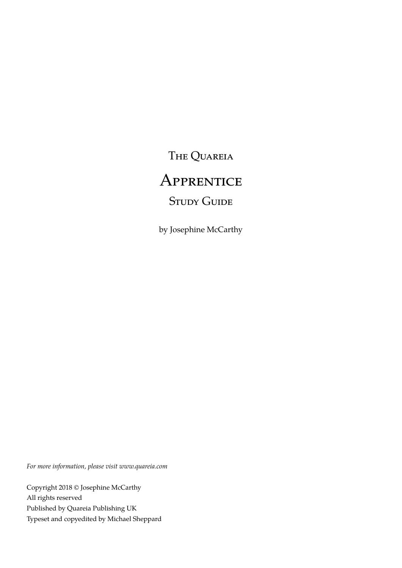The Quareia

# **APPRENTICE**

# **STUDY GUIDE**

by Josephine McCarthy

*For more information, please visit www.quareia.com*

Copyright 2018 © Josephine McCarthy All rights reserved Published by Quareia Publishing UK Typeset and copyedited by Michael Sheppard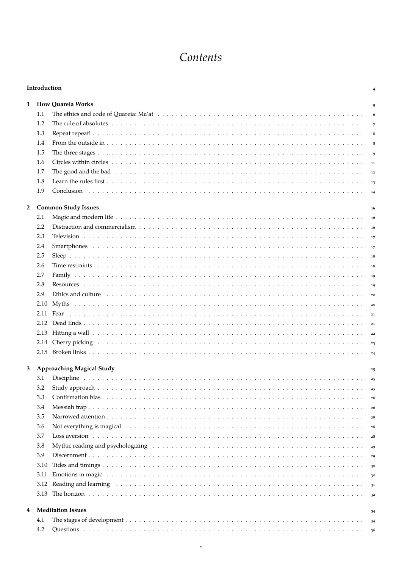# Contents

|                | Introduction<br>4 |                                                                                                                                                                                                                                |                |  |  |  |
|----------------|-------------------|--------------------------------------------------------------------------------------------------------------------------------------------------------------------------------------------------------------------------------|----------------|--|--|--|
| 1              |                   | <b>How Quareia Works</b>                                                                                                                                                                                                       | 5              |  |  |  |
|                | 1.1               |                                                                                                                                                                                                                                | 6              |  |  |  |
|                | 1.2               |                                                                                                                                                                                                                                | $\overline{7}$ |  |  |  |
|                | 1.3               |                                                                                                                                                                                                                                | 8              |  |  |  |
|                | 1.4               |                                                                                                                                                                                                                                | 8              |  |  |  |
|                | 1.5               |                                                                                                                                                                                                                                | $\mathbf{Q}$   |  |  |  |
|                | 1.6               |                                                                                                                                                                                                                                |                |  |  |  |
|                | 1.7               |                                                                                                                                                                                                                                |                |  |  |  |
|                | 1.8               |                                                                                                                                                                                                                                |                |  |  |  |
|                | 1.9               |                                                                                                                                                                                                                                |                |  |  |  |
|                |                   |                                                                                                                                                                                                                                |                |  |  |  |
| $\overline{2}$ |                   | <b>Common Study Issues</b>                                                                                                                                                                                                     | 16             |  |  |  |
|                | 2.1               |                                                                                                                                                                                                                                | 16             |  |  |  |
|                | 2.2               |                                                                                                                                                                                                                                |                |  |  |  |
|                | 2.3               |                                                                                                                                                                                                                                |                |  |  |  |
|                | 2.4               |                                                                                                                                                                                                                                | 17             |  |  |  |
|                | 2.5               |                                                                                                                                                                                                                                |                |  |  |  |
|                | 2.6               |                                                                                                                                                                                                                                |                |  |  |  |
|                | 2.7               |                                                                                                                                                                                                                                | 19             |  |  |  |
|                | 2.8               |                                                                                                                                                                                                                                |                |  |  |  |
|                | 2.9               | Ethics and culture enterpreteration of the contract of the contract of the contract of the contract of the contract of the contract of the contract of the contract of the contract of the contract of the contract of the con | 20             |  |  |  |
|                |                   |                                                                                                                                                                                                                                |                |  |  |  |
|                |                   |                                                                                                                                                                                                                                |                |  |  |  |
|                |                   |                                                                                                                                                                                                                                |                |  |  |  |
|                |                   |                                                                                                                                                                                                                                |                |  |  |  |
|                |                   |                                                                                                                                                                                                                                |                |  |  |  |
|                |                   |                                                                                                                                                                                                                                |                |  |  |  |
| 3              |                   | <b>Approaching Magical Study</b>                                                                                                                                                                                               | 25             |  |  |  |
|                | 3.1               |                                                                                                                                                                                                                                |                |  |  |  |
|                | 3.2               |                                                                                                                                                                                                                                | 25             |  |  |  |
|                | 3.3               |                                                                                                                                                                                                                                | 26             |  |  |  |
|                | 3.4               |                                                                                                                                                                                                                                |                |  |  |  |
|                | 3.5               |                                                                                                                                                                                                                                | 26             |  |  |  |
|                | 3.6               | Not everything is magical the contract of the contract of the contract of the contract of the contract of the contract of the contract of the contract of the contract of the contract of the contract of the contract of the  | 28             |  |  |  |
|                | 3.7               |                                                                                                                                                                                                                                | 28             |  |  |  |
|                |                   |                                                                                                                                                                                                                                | 28             |  |  |  |
|                | 3.8               | Mythic reading and psychologizing education of the state of the state of the state of the state of the state of the state of the state of the state of the state of the state of the state of the state of the state of the st | 29             |  |  |  |
|                | 3.9               |                                                                                                                                                                                                                                | 29             |  |  |  |
|                | 3.10              |                                                                                                                                                                                                                                | 30             |  |  |  |
|                | 3.11              | Emotions in magic enterpretent resources in the control of the control of the control of the control of the control of the control of the control of the control of the control of the control of the control of the control o | 30             |  |  |  |
|                |                   | 3.12 Reading and learning entertainment of the contract of the contract of the contract of the contract of the contract of the contract of the contract of the contract of the contract of the contract of the contract of the | 31             |  |  |  |
|                |                   |                                                                                                                                                                                                                                | 32             |  |  |  |
| 4              |                   | <b>Meditation Issues</b>                                                                                                                                                                                                       | 34             |  |  |  |
|                | 4.1               |                                                                                                                                                                                                                                | 34             |  |  |  |
|                | 4.2               |                                                                                                                                                                                                                                | 36             |  |  |  |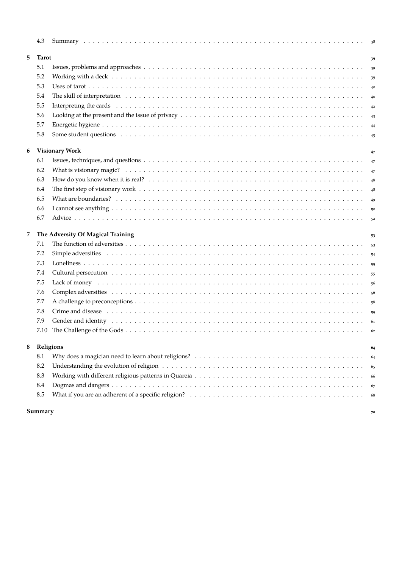|   | 4.3                                     |                                                                                                                                                                                                                                |    |  |  |  |
|---|-----------------------------------------|--------------------------------------------------------------------------------------------------------------------------------------------------------------------------------------------------------------------------------|----|--|--|--|
| 5 | <b>Tarot</b>                            | 39                                                                                                                                                                                                                             |    |  |  |  |
|   | 5.1                                     |                                                                                                                                                                                                                                | 39 |  |  |  |
|   | 5.2                                     |                                                                                                                                                                                                                                | 39 |  |  |  |
|   | 5.3                                     |                                                                                                                                                                                                                                | 40 |  |  |  |
|   | 5.4                                     |                                                                                                                                                                                                                                | 40 |  |  |  |
|   | 5.5                                     |                                                                                                                                                                                                                                |    |  |  |  |
|   | 5.6                                     |                                                                                                                                                                                                                                |    |  |  |  |
|   | 5.7                                     |                                                                                                                                                                                                                                |    |  |  |  |
|   | 5.8                                     |                                                                                                                                                                                                                                | 45 |  |  |  |
| 6 |                                         | <b>Visionary Work</b><br>47                                                                                                                                                                                                    |    |  |  |  |
|   | 6.1                                     |                                                                                                                                                                                                                                | 47 |  |  |  |
|   | 6.2                                     |                                                                                                                                                                                                                                |    |  |  |  |
|   | 6.3                                     |                                                                                                                                                                                                                                | 48 |  |  |  |
|   | 6.4                                     |                                                                                                                                                                                                                                | 48 |  |  |  |
|   | 6.5                                     |                                                                                                                                                                                                                                | 49 |  |  |  |
|   | 6.6                                     |                                                                                                                                                                                                                                |    |  |  |  |
|   | 6.7                                     |                                                                                                                                                                                                                                | 52 |  |  |  |
| 7 | The Adversity Of Magical Training<br>53 |                                                                                                                                                                                                                                |    |  |  |  |
|   | 7.1                                     |                                                                                                                                                                                                                                | 53 |  |  |  |
|   | 7.2                                     | Simple adversities (and according to the set of the set of the set of the set of the set of the set of the set of the set of the set of the set of the set of the set of the set of the set of the set of the set of the set o |    |  |  |  |
|   | 7.3                                     |                                                                                                                                                                                                                                | 55 |  |  |  |
|   | 7.4                                     |                                                                                                                                                                                                                                |    |  |  |  |
|   | 7.5                                     |                                                                                                                                                                                                                                | 56 |  |  |  |
|   | 7.6                                     |                                                                                                                                                                                                                                | 56 |  |  |  |
|   | 7.7                                     |                                                                                                                                                                                                                                | 58 |  |  |  |
|   | 7.8                                     |                                                                                                                                                                                                                                | 59 |  |  |  |
|   | 7.9                                     |                                                                                                                                                                                                                                | 61 |  |  |  |
|   | 7.10                                    |                                                                                                                                                                                                                                | 62 |  |  |  |
| 8 | Religions<br>64                         |                                                                                                                                                                                                                                |    |  |  |  |
|   | 8.1                                     |                                                                                                                                                                                                                                | 64 |  |  |  |
|   | 8.2                                     |                                                                                                                                                                                                                                | 65 |  |  |  |
|   | 8.3                                     |                                                                                                                                                                                                                                | 66 |  |  |  |
|   | 8.4                                     |                                                                                                                                                                                                                                | 67 |  |  |  |
|   | 8.5                                     |                                                                                                                                                                                                                                | 68 |  |  |  |
|   |                                         |                                                                                                                                                                                                                                |    |  |  |  |

#### **[Summary](#page-69-0) <sup>70</sup>**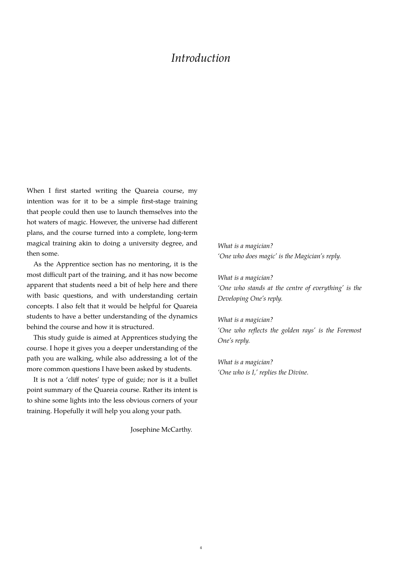# *Introduction*

<span id="page-3-0"></span>When I first started writing the Quareia course, my intention was for it to be a simple first-stage training that people could then use to launch themselves into the hot waters of magic. However, the universe had different plans, and the course turned into a complete, long-term magical training akin to doing a university degree, and then some.

As the Apprentice section has no mentoring, it is the most difficult part of the training, and it has now become apparent that students need a bit of help here and there with basic questions, and with understanding certain concepts. I also felt that it would be helpful for Quareia students to have a better understanding of the dynamics behind the course and how it is structured.

This study guide is aimed at Apprentices studying the course. I hope it gives you a deeper understanding of the path you are walking, while also addressing a lot of the more common questions I have been asked by students.

It is not a 'cliff notes' type of guide; nor is it a bullet point summary of the Quareia course. Rather its intent is to shine some lights into the less obvious corners of your training. Hopefully it will help you along your path.

Josephine McCarthy.

*What is a magician? 'One who does magic' is the Magician's reply.*

*What is a magician? 'One who stands at the centre of everything' is the Developing One's reply.*

*What is a magician? 'One who reflects the golden rays' is the Foremost One's reply.*

*What is a magician? 'One who is I,' replies the Divine.*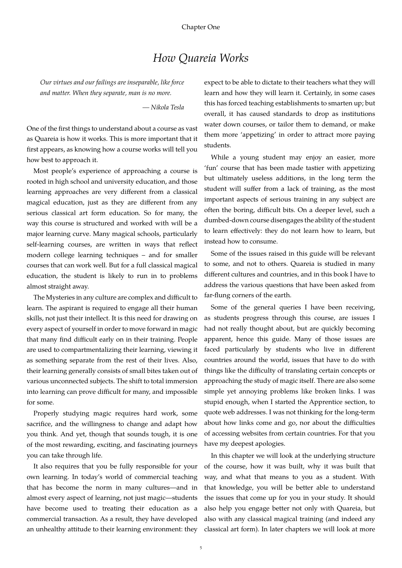# *How Quareia Works*

<span id="page-4-0"></span>*Our virtues and our failings are inseparable, like force and matter. When they separate, man is no more.*

*— Nikola Tesla*

One of the first things to understand about a course as vast as Quareia is how it works. This is more important that it first appears, as knowing how a course works will tell you how best to approach it.

Most people's experience of approaching a course is rooted in high school and university education, and those learning approaches are very different from a classical magical education, just as they are different from any serious classical art form education. So for many, the way this course is structured and worked with will be a major learning curve. Many magical schools, particularly self-learning courses, are written in ways that reflect modern college learning techniques – and for smaller courses that can work well. But for a full classical magical education, the student is likely to run in to problems almost straight away.

The Mysteries in any culture are complex and difficult to learn. The aspirant is required to engage all their human skills, not just their intellect. It is this need for drawing on every aspect of yourself in order to move forward in magic that many find difficult early on in their training. People are used to compartmentalizing their learning, viewing it as something separate from the rest of their lives. Also, their learning generally consists of small bites taken out of various unconnected subjects. The shift to total immersion into learning can prove difficult for many, and impossible for some.

Properly studying magic requires hard work, some sacrifice, and the willingness to change and adapt how you think. And yet, though that sounds tough, it is one of the most rewarding, exciting, and fascinating journeys you can take through life.

It also requires that you be fully responsible for your own learning. In today's world of commercial teaching that has become the norm in many cultures—and in almost every aspect of learning, not just magic—students have become used to treating their education as a commercial transaction. As a result, they have developed an unhealthy attitude to their learning environment: they expect to be able to dictate to their teachers what they will learn and how they will learn it. Certainly, in some cases this has forced teaching establishments to smarten up; but overall, it has caused standards to drop as institutions water down courses, or tailor them to demand, or make them more 'appetizing' in order to attract more paying students.

While a young student may enjoy an easier, more 'fun' course that has been made tastier with appetizing but ultimately useless additions, in the long term the student will suffer from a lack of training, as the most important aspects of serious training in any subject are often the boring, difficult bits. On a deeper level, such a dumbed-down course disengages the ability of the student to learn effectively: they do not learn how to learn, but instead how to consume.

Some of the issues raised in this guide will be relevant to some, and not to others. Quareia is studied in many different cultures and countries, and in this book I have to address the various questions that have been asked from far-flung corners of the earth.

Some of the general queries I have been receiving, as students progress through this course, are issues I had not really thought about, but are quickly becoming apparent, hence this guide. Many of those issues are faced particularly by students who live in different countries around the world, issues that have to do with things like the difficulty of translating certain concepts or approaching the study of magic itself. There are also some simple yet annoying problems like broken links. I was stupid enough, when I started the Apprentice section, to quote web addresses. I was not thinking for the long-term about how links come and go, nor about the difficulties of accessing websites from certain countries. For that you have my deepest apologies.

In this chapter we will look at the underlying structure of the course, how it was built, why it was built that way, and what that means to you as a student. With that knowledge, you will be better able to understand the issues that come up for you in your study. It should also help you engage better not only with Quareia, but also with any classical magical training (and indeed any classical art form). In later chapters we will look at more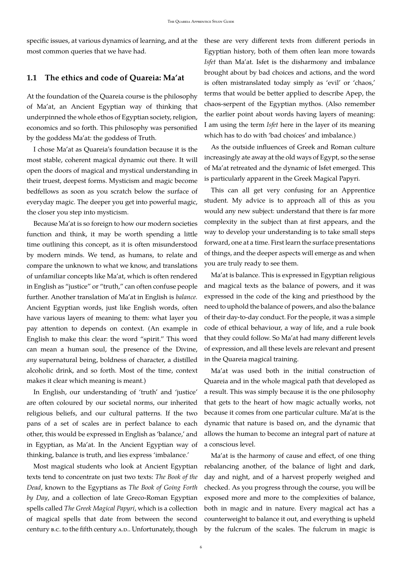specific issues, at various dynamics of learning, and at the these are very different texts from different periods in most common queries that we have had.

# <span id="page-5-0"></span>**1.1 The ethics and code of Quareia: Ma'at**

At the foundation of the Quareia course is the philosophy of Ma'at, an Ancient Egyptian way of thinking that underpinned the whole ethos of Egyptian society, religion, economics and so forth. This philosophy was personified by the goddess Ma'at: the goddess of Truth.

I chose Ma'at as Quareia's foundation because it is the most stable, coherent magical dynamic out there. It will open the doors of magical and mystical understanding in their truest, deepest forms. Mysticism and magic become bedfellows as soon as you scratch below the surface of everyday magic. The deeper you get into powerful magic, the closer you step into mysticism.

Because Ma'at is so foreign to how our modern societies function and think, it may be worth spending a little time outlining this concept, as it is often misunderstood by modern minds. We tend, as humans, to relate and compare the unknown to what we know, and translations of unfamiliar concepts like Ma'at, which is often rendered in English as "justice" or "truth," can often confuse people further. Another translation of Ma'at in English is *balance.* Ancient Egyptian words, just like English words, often have various layers of meaning to them: what layer you pay attention to depends on context. (An example in English to make this clear: the word "spirit." This word can mean a human soul, the presence of the Divine, *any* supernatural being, boldness of character, a distilled alcoholic drink, and so forth. Most of the time, context makes it clear which meaning is meant.)

In English, our understanding of 'truth' and 'justice' are often coloured by our societal norms, our inherited religious beliefs, and our cultural patterns. If the two pans of a set of scales are in perfect balance to each other, this would be expressed in English as 'balance,' and in Egyptian, as Ma'at. In the Ancient Egyptian way of thinking, balance is truth, and lies express 'imbalance.'

Most magical students who look at Ancient Egyptian texts tend to concentrate on just two texts: *The Book of the Dead*, known to the Egyptians as *The Book of Going Forth by Day*, and a collection of late Greco-Roman Egyptian spells called *The Greek Magical Papyri*, which is a collection of magical spells that date from between the second century B.C. to the fifth century A.D.. Unfortunately, though Egyptian history, both of them often lean more towards *Isfet* than Ma'at. Isfet is the disharmony and imbalance brought about by bad choices and actions, and the word is often mistranslated today simply as 'evil' or 'chaos,' terms that would be better applied to describe Apep, the chaos-serpent of the Egyptian mythos. (Also remember the earlier point about words having layers of meaning: I am using the term *Isfet* here in the layer of its meaning which has to do with 'bad choices' and imbalance.)

As the outside influences of Greek and Roman culture increasingly ate away at the old ways of Egypt, so the sense of Ma'at retreated and the dynamic of Isfet emerged. This is particularly apparent in the Greek Magical Papyri.

This can all get very confusing for an Apprentice student. My advice is to approach all of this as you would any new subject: understand that there is far more complexity in the subject than at first appears, and the way to develop your understanding is to take small steps forward, one at a time. First learn the surface presentations of things, and the deeper aspects will emerge as and when you are truly ready to see them.

Ma'at is balance. This is expressed in Egyptian religious and magical texts as the balance of powers, and it was expressed in the code of the king and priesthood by the need to uphold the balance of powers, and also the balance of their day-to-day conduct. For the people, it was a simple code of ethical behaviour, a way of life, and a rule book that they could follow. So Ma'at had many different levels of expression, and all these levels are relevant and present in the Quareia magical training.

Ma'at was used both in the initial construction of Quareia and in the whole magical path that developed as a result. This was simply because it is the one philosophy that gets to the heart of how magic actually works, not because it comes from one particular culture. Ma'at is the dynamic that nature is based on, and the dynamic that allows the human to become an integral part of nature at a conscious level.

Ma'at is the harmony of cause and effect, of one thing rebalancing another, of the balance of light and dark, day and night, and of a harvest properly weighed and checked. As you progress through the course, you will be exposed more and more to the complexities of balance, both in magic and in nature. Every magical act has a counterweight to balance it out, and everything is upheld by the fulcrum of the scales. The fulcrum in magic is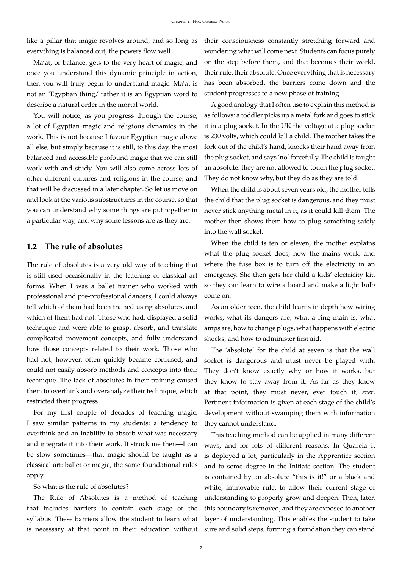like a pillar that magic revolves around, and so long as everything is balanced out, the powers flow well.

Ma'at, or balance, gets to the very heart of magic, and once you understand this dynamic principle in action, then you will truly begin to understand magic. Ma'at is not an 'Egyptian thing,' rather it is an Egyptian word to describe a natural order in the mortal world.

You will notice, as you progress through the course, a lot of Egyptian magic and religious dynamics in the work. This is not because I favour Egyptian magic above all else, but simply because it is still, to this day, the most balanced and accessible profound magic that we can still work with and study. You will also come across lots of other different cultures and religions in the course, and that will be discussed in a later chapter. So let us move on and look at the various substructures in the course, so that you can understand why some things are put together in a particular way, and why some lessons are as they are.

#### <span id="page-6-0"></span>**1.2 The rule of absolutes**

The rule of absolutes is a very old way of teaching that is still used occasionally in the teaching of classical art forms. When I was a ballet trainer who worked with professional and pre-professional dancers, I could always tell which of them had been trained using absolutes, and which of them had not. Those who had, displayed a solid technique and were able to grasp, absorb, and translate complicated movement concepts, and fully understand how those concepts related to their work. Those who had not, however, often quickly became confused, and could not easily absorb methods and concepts into their technique. The lack of absolutes in their training caused them to overthink and overanalyze their technique, which restricted their progress.

For my first couple of decades of teaching magic, I saw similar patterns in my students: a tendency to overthink and an inability to absorb what was necessary and integrate it into their work. It struck me then—I can be slow sometimes—that magic should be taught as a classical art: ballet or magic, the same foundational rules apply.

#### So what is the rule of absolutes?

The Rule of Absolutes is a method of teaching that includes barriers to contain each stage of the syllabus. These barriers allow the student to learn what is necessary at that point in their education without

their consciousness constantly stretching forward and wondering what will come next. Students can focus purely on the step before them, and that becomes their world, their rule, their absolute. Once everything that is necessary has been absorbed, the barriers come down and the student progresses to a new phase of training.

A good analogy that I often use to explain this method is as follows: a toddler picks up a metal fork and goes to stick it in a plug socket. In the UK the voltage at a plug socket is 230 volts, which could kill a child. The mother takes the fork out of the child's hand, knocks their hand away from the plug socket, and says 'no' forcefully. The child is taught an absolute: they are not allowed to touch the plug socket. They do not know why, but they do as they are told.

When the child is about seven years old, the mother tells the child that the plug socket is dangerous, and they must never stick anything metal in it, as it could kill them. The mother then shows them how to plug something safely into the wall socket.

When the child is ten or eleven, the mother explains what the plug socket does, how the mains work, and where the fuse box is to turn off the electricity in an emergency. She then gets her child a kids' electricity kit, so they can learn to wire a board and make a light bulb come on.

As an older teen, the child learns in depth how wiring works, what its dangers are, what a ring main is, what amps are, how to change plugs, what happens with electric shocks, and how to administer first aid.

The 'absolute' for the child at seven is that the wall socket is dangerous and must never be played with. They don't know exactly why or how it works, but they know to stay away from it. As far as they know at that point, they must never, ever touch it, *ever*. Pertinent information is given at each stage of the child's development without swamping them with information they cannot understand.

This teaching method can be applied in many different ways, and for lots of different reasons. In Quareia it is deployed a lot, particularly in the Apprentice section and to some degree in the Initiate section. The student is contained by an absolute "this is it!" or a black and white, immovable rule, to allow their current stage of understanding to properly grow and deepen. Then, later, this boundary is removed, and they are exposed to another layer of understanding. This enables the student to take sure and solid steps, forming a foundation they can stand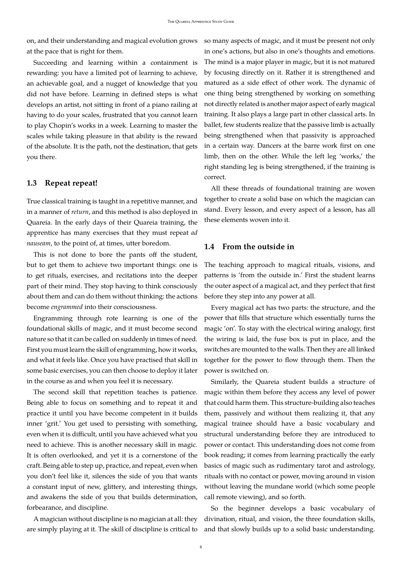on, and their understanding and magical evolution grows at the pace that is right for them.

Succeeding and learning within a containment is rewarding: you have a limited pot of learning to achieve, an achievable goal, and a nugget of knowledge that you did not have before. Learning in defined steps is what develops an artist, not sitting in front of a piano railing at having to do your scales, frustrated that you cannot learn to play Chopin's works in a week. Learning to master the scales while taking pleasure in that ability is the reward of the absolute. It is the path, not the destination, that gets you there.

#### <span id="page-7-0"></span>**1.3 Repeat repeat!**

True classical training is taught in a repetitive manner, and in a manner of *return*, and this method is also deployed in Quareia. In the early days of their Quareia training, the apprentice has many exercises that they must repeat *ad nauseam*, to the point of, at times, utter boredom.

This is not done to bore the pants off the student, but to get them to achieve two important things: one is to get rituals, exercises, and recitations into the deeper part of their mind. They stop having to think consciously about them and can do them without thinking: the actions become *engrammed* into their consciousness.

Engramming through rote learning is one of the foundational skills of magic, and it must become second nature so that it can be called on suddenly in times of need. First you must learn the skill of engramming, how it works, and what it feels like. Once you have practised that skill in some basic exercises, you can then choose to deploy it later in the course as and when you feel it is necessary.

The second skill that repetition teaches is patience. Being able to focus on something and to repeat it and practice it until you have become competent in it builds inner 'grit.' You get used to persisting with something, even when it is difficult, until you have achieved what you need to achieve. This is another necessary skill in magic. It is often overlooked, and yet it is a cornerstone of the craft. Being able to step up, practice, and repeat, even when you don't feel like it, silences the side of you that wants a constant input of new, glittery, and interesting things, and awakens the side of you that builds determination, forbearance, and discipline.

are simply playing at it. The skill of discipline is critical to and that slowly builds up to a solid basic understanding.

so many aspects of magic, and it must be present not only in one's actions, but also in one's thoughts and emotions. The mind is a major player in magic, but it is not matured by focusing directly on it. Rather it is strengthened and matured as a side effect of other work. The dynamic of one thing being strengthened by working on something not directly related is another major aspect of early magical training. It also plays a large part in other classical arts. In ballet, few students realize that the passive limb is actually being strengthened when that passivity is approached in a certain way. Dancers at the barre work first on one limb, then on the other. While the left leg 'works,' the right standing leg is being strengthened, if the training is correct.

All these threads of foundational training are woven together to create a solid base on which the magician can stand. Every lesson, and every aspect of a lesson, has all these elements woven into it.

#### <span id="page-7-1"></span>**1.4 From the outside in**

The teaching approach to magical rituals, visions, and patterns is 'from the outside in.' First the student learns the outer aspect of a magical act, and they perfect that first before they step into any power at all.

Every magical act has two parts: the structure, and the power that fills that structure which essentially turns the magic 'on'. To stay with the electrical wiring analogy, first the wiring is laid, the fuse box is put in place, and the switches are mounted to the walls. Then they are all linked together for the power to flow through them. Then the power is switched on.

Similarly, the Quareia student builds a structure of magic within them before they access any level of power that could harm them. This structure-building also teaches them, passively and without them realizing it, that any magical trainee should have a basic vocabulary and structural understanding before they are introduced to power or contact. This understanding does not come from book reading; it comes from learning practically the early basics of magic such as rudimentary tarot and astrology, rituals with no contact or power, moving around in vision without leaving the mundane world (which some people call remote viewing), and so forth.

A magician without discipline is no magician at all: they divination, ritual, and vision, the three foundation skills, So the beginner develops a basic vocabulary of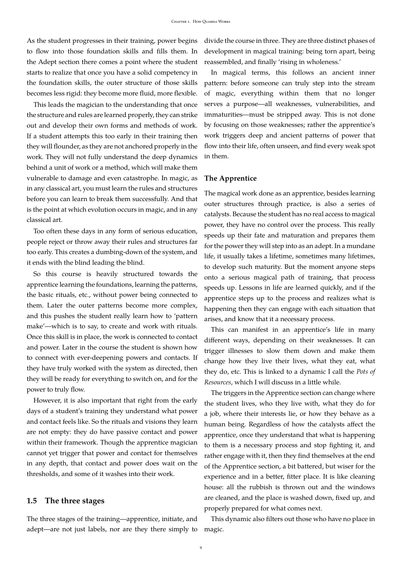As the student progresses in their training, power begins to flow into those foundation skills and fills them. In the Adept section there comes a point where the student starts to realize that once you have a solid competency in the foundation skills, the outer structure of those skills becomes less rigid: they become more fluid, more flexible.

This leads the magician to the understanding that once the structure and rules are learned properly, they can strike out and develop their own forms and methods of work. If a student attempts this too early in their training then they will flounder, as they are not anchored properly in the work. They will not fully understand the deep dynamics behind a unit of work or a method, which will make them vulnerable to damage and even catastrophe. In magic, as in any classical art, you must learn the rules and structures before you can learn to break them successfully. And that is the point at which evolution occurs in magic, and in any classical art.

Too often these days in any form of serious education, people reject or throw away their rules and structures far too early. This creates a dumbing-down of the system, and it ends with the blind leading the blind.

So this course is heavily structured towards the apprentice learning the foundations, learning the patterns, the basic rituals, etc., without power being connected to them. Later the outer patterns become more complex, and this pushes the student really learn how to 'pattern make'—which is to say, to create and work with rituals. Once this skill is in place, the work is connected to contact and power. Later in the course the student is shown how to connect with ever-deepening powers and contacts. If they have truly worked with the system as directed, then they will be ready for everything to switch on, and for the power to truly flow.

However, it is also important that right from the early days of a student's training they understand what power and contact feels like. So the rituals and visions they learn are not empty: they do have passive contact and power within their framework. Though the apprentice magician cannot yet trigger that power and contact for themselves in any depth, that contact and power does wait on the thresholds, and some of it washes into their work.

#### <span id="page-8-0"></span>**1.5 The three stages**

The three stages of the training—apprentice, initiate, and adept—are not just labels, nor are they there simply to magic.

divide the course in three. They are three distinct phases of development in magical training: being torn apart, being reassembled, and finally 'rising in wholeness.'

In magical terms, this follows an ancient inner pattern: before someone can truly step into the stream of magic, everything within them that no longer serves a purpose—all weaknesses, vulnerabilities, and immaturities—must be stripped away. This is not done by focusing on those weaknesses; rather the apprentice's work triggers deep and ancient patterns of power that flow into their life, often unseen, and find every weak spot in them.

#### **The Apprentice**

The magical work done as an apprentice, besides learning outer structures through practice, is also a series of catalysts. Because the student has no real access to magical power, they have no control over the process. This really speeds up their fate and maturation and prepares them for the power they will step into as an adept. In a mundane life, it usually takes a lifetime, sometimes many lifetimes, to develop such maturity. But the moment anyone steps onto a serious magical path of training, that process speeds up. Lessons in life are learned quickly, and if the apprentice steps up to the process and realizes what is happening then they can engage with each situation that arises, and know that it a necessary process.

This can manifest in an apprentice's life in many different ways, depending on their weaknesses. It can trigger illnesses to slow them down and make them change how they live their lives, what they eat, what they do, etc. This is linked to a dynamic I call the *Pots of Resources*, which I will discuss in a little while.

The triggers in the Apprentice section can change where the student lives, who they live with, what they do for a job, where their interests lie, or how they behave as a human being. Regardless of how the catalysts affect the apprentice, once they understand that what is happening to them is a necessary process and stop fighting it, and rather engage with it, then they find themselves at the end of the Apprentice section, a bit battered, but wiser for the experience and in a better, fitter place. It is like cleaning house: all the rubbish is thrown out and the windows are cleaned, and the place is washed down, fixed up, and properly prepared for what comes next.

This dynamic also filters out those who have no place in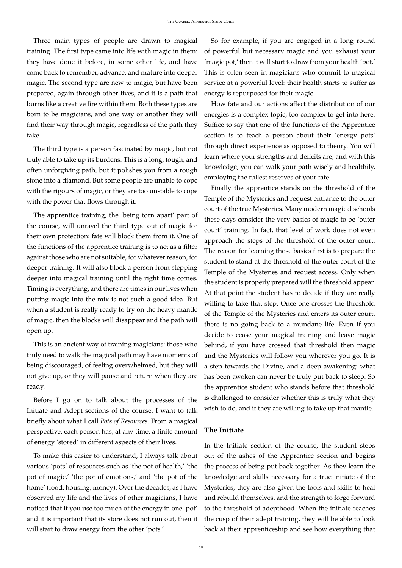Three main types of people are drawn to magical training. The first type came into life with magic in them: they have done it before, in some other life, and have come back to remember, advance, and mature into deeper magic. The second type are new to magic, but have been prepared, again through other lives, and it is a path that burns like a creative fire within them. Both these types are born to be magicians, and one way or another they will find their way through magic, regardless of the path they take.

The third type is a person fascinated by magic, but not truly able to take up its burdens. This is a long, tough, and often unforgiving path, but it polishes you from a rough stone into a diamond. But some people are unable to cope with the rigours of magic, or they are too unstable to cope with the power that flows through it.

The apprentice training, the 'being torn apart' part of the course, will unravel the third type out of magic for their own protection: fate will block them from it. One of the functions of the apprentice training is to act as a filter against those who are not suitable, for whatever reason, for deeper training. It will also block a person from stepping deeper into magical training until the right time comes. Timing is everything, and there are times in our lives when putting magic into the mix is not such a good idea. But when a student is really ready to try on the heavy mantle of magic, then the blocks will disappear and the path will open up.

This is an ancient way of training magicians: those who truly need to walk the magical path may have moments of being discouraged, of feeling overwhelmed, but they will not give up, or they will pause and return when they are ready.

Before I go on to talk about the processes of the Initiate and Adept sections of the course, I want to talk briefly about what I call *Pots of Resources*. From a magical perspective, each person has, at any time, a finite amount of energy 'stored' in different aspects of their lives.

To make this easier to understand, I always talk about various 'pots' of resources such as 'the pot of health,' 'the pot of magic,' 'the pot of emotions,' and 'the pot of the home' (food, housing, money). Over the decades, as I have observed my life and the lives of other magicians, I have noticed that if you use too much of the energy in one 'pot' and it is important that its store does not run out, then it will start to draw energy from the other 'pots.'

So for example, if you are engaged in a long round of powerful but necessary magic and you exhaust your 'magic pot,' then it will start to draw from your health 'pot.' This is often seen in magicians who commit to magical service at a powerful level: their health starts to suffer as energy is repurposed for their magic.

How fate and our actions affect the distribution of our energies is a complex topic, too complex to get into here. Suffice to say that one of the functions of the Apprentice section is to teach a person about their 'energy pots' through direct experience as opposed to theory. You will learn where your strengths and deficits are, and with this knowledge, you can walk your path wisely and healthily, employing the fullest reserves of your fate.

Finally the apprentice stands on the threshold of the Temple of the Mysteries and request entrance to the outer court of the true Mysteries. Many modern magical schools these days consider the very basics of magic to be 'outer court' training. In fact, that level of work does not even approach the steps of the threshold of the outer court. The reason for learning those basics first is to prepare the student to stand at the threshold of the outer court of the Temple of the Mysteries and request access. Only when the student is properly prepared will the threshold appear. At that point the student has to decide if they are really willing to take that step. Once one crosses the threshold of the Temple of the Mysteries and enters its outer court, there is no going back to a mundane life. Even if you decide to cease your magical training and leave magic behind, if you have crossed that threshold then magic and the Mysteries will follow you wherever you go. It is a step towards the Divine, and a deep awakening: what has been awoken can never be truly put back to sleep. So the apprentice student who stands before that threshold is challenged to consider whether this is truly what they wish to do, and if they are willing to take up that mantle.

#### **The Initiate**

In the Initiate section of the course, the student steps out of the ashes of the Apprentice section and begins the process of being put back together. As they learn the knowledge and skills necessary for a true initiate of the Mysteries, they are also given the tools and skills to heal and rebuild themselves, and the strength to forge forward to the threshold of adepthood. When the initiate reaches the cusp of their adept training, they will be able to look back at their apprenticeship and see how everything that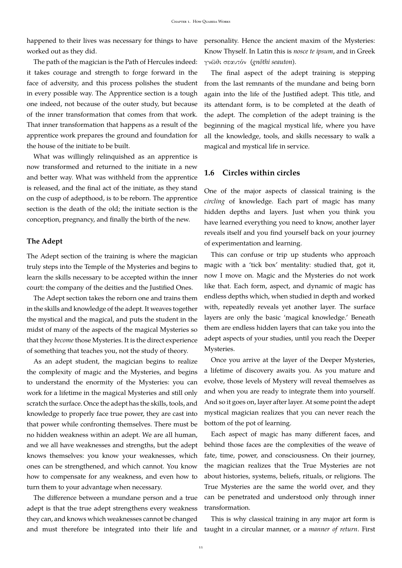happened to their lives was necessary for things to have personality. Hence the ancient maxim of the Mysteries: worked out as they did.

The path of the magician is the Path of Hercules indeed: it takes courage and strength to forge forward in the face of adversity, and this process polishes the student in every possible way. The Apprentice section is a tough one indeed, not because of the outer study, but because of the inner transformation that comes from that work. That inner transformation that happens as a result of the apprentice work prepares the ground and foundation for the house of the initiate to be built.

What was willingly relinquished as an apprentice is now transformed and returned to the initiate in a new and better way. What was withheld from the apprentice is released, and the final act of the initiate, as they stand on the cusp of adepthood, is to be reborn. The apprentice section is the death of the old; the initiate section is the conception, pregnancy, and finally the birth of the new.

#### **The Adept**

The Adept section of the training is where the magician truly steps into the Temple of the Mysteries and begins to learn the skills necessary to be accepted within the inner court: the company of the deities and the Justified Ones.

The Adept section takes the reborn one and trains them in the skills and knowledge of the adept. It weaves together the mystical and the magical, and puts the student in the midst of many of the aspects of the magical Mysteries so that they *become* those Mysteries. It is the direct experience of something that teaches you, not the study of theory.

As an adept student, the magician begins to realize the complexity of magic and the Mysteries, and begins to understand the enormity of the Mysteries: you can work for a lifetime in the magical Mysteries and still only scratch the surface. Once the adept has the skills, tools, and knowledge to properly face true power, they are cast into that power while confronting themselves. There must be no hidden weakness within an adept. We are all human, and we all have weaknesses and strengths, but the adept knows themselves: you know your weaknesses, which ones can be strengthened, and which cannot. You know how to compensate for any weakness, and even how to turn them to your advantage when necessary.

The difference between a mundane person and a true adept is that the true adept strengthens every weakness they can, and knows which weaknesses cannot be changed and must therefore be integrated into their life and Know Thyself. In Latin this is *nosce te ipsum*, and in Greek γνῶθι σεαυτόν (gnōthi seauton).

The final aspect of the adept training is stepping from the last remnants of the mundane and being born again into the life of the Justified adept. This title, and its attendant form, is to be completed at the death of the adept. The completion of the adept training is the beginning of the magical mystical life, where you have all the knowledge, tools, and skills necessary to walk a magical and mystical life in service.

### <span id="page-10-0"></span>**1.6 Circles within circles**

One of the major aspects of classical training is the *circling* of knowledge. Each part of magic has many hidden depths and layers. Just when you think you have learned everything you need to know, another layer reveals itself and you find yourself back on your journey of experimentation and learning.

This can confuse or trip up students who approach magic with a 'tick box' mentality: studied that, got it, now I move on. Magic and the Mysteries do not work like that. Each form, aspect, and dynamic of magic has endless depths which, when studied in depth and worked with, repeatedly reveals yet another layer. The surface layers are only the basic 'magical knowledge.' Beneath them are endless hidden layers that can take you into the adept aspects of your studies, until you reach the Deeper Mysteries.

Once you arrive at the layer of the Deeper Mysteries, a lifetime of discovery awaits you. As you mature and evolve, those levels of Mystery will reveal themselves as and when you are ready to integrate them into yourself. And so it goes on, layer after layer. At some point the adept mystical magician realizes that you can never reach the bottom of the pot of learning.

Each aspect of magic has many different faces, and behind those faces are the complexities of the weave of fate, time, power, and consciousness. On their journey, the magician realizes that the True Mysteries are not about histories, systems, beliefs, rituals, or religions. The True Mysteries are the same the world over, and they can be penetrated and understood only through inner transformation.

This is why classical training in any major art form is taught in a circular manner, or a *manner of return*. First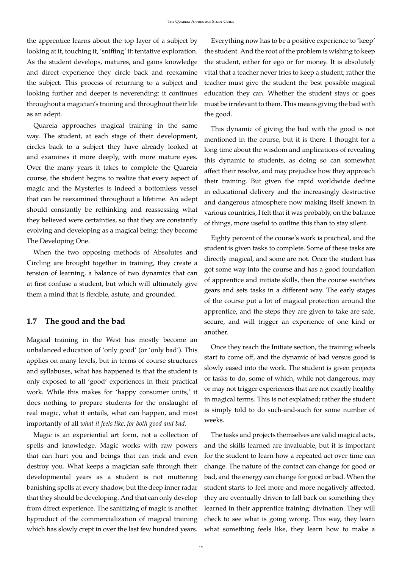the apprentice learns about the top layer of a subject by looking at it, touching it, 'sniffing' it: tentative exploration. As the student develops, matures, and gains knowledge and direct experience they circle back and reexamine the subject. This process of returning to a subject and looking further and deeper is neverending: it continues throughout a magician's training and throughout their life as an adept.

Quareia approaches magical training in the same way. The student, at each stage of their development, circles back to a subject they have already looked at and examines it more deeply, with more mature eyes. Over the many years it takes to complete the Quareia course, the student begins to realize that every aspect of magic and the Mysteries is indeed a bottomless vessel that can be reexamined throughout a lifetime. An adept should constantly be rethinking and reassessing what they believed were certainties, so that they are constantly evolving and developing as a magical being: they become The Developing One.

When the two opposing methods of Absolutes and Circling are brought together in training, they create a tension of learning, a balance of two dynamics that can at first confuse a student, but which will ultimately give them a mind that is flexible, astute, and grounded.

#### <span id="page-11-0"></span>**1.7 The good and the bad**

Magical training in the West has mostly become an unbalanced education of 'only good' (or 'only bad'). This applies on many levels, but in terms of course structures and syllabuses, what has happened is that the student is only exposed to all 'good' experiences in their practical work. While this makes for 'happy consumer units,' it does nothing to prepare students for the onslaught of real magic, what it entails, what can happen, and most importantly of all *what it feels like, for both good and bad*.

Magic is an experiential art form, not a collection of spells and knowledge. Magic works with raw powers that can hurt you and beings that can trick and even destroy you. What keeps a magician safe through their developmental years as a student is not muttering banishing spells at every shadow, but the deep inner radar that they should be developing. And that can only develop from direct experience. The sanitizing of magic is another byproduct of the commercialization of magical training which has slowly crept in over the last few hundred years.

Everything now has to be a positive experience to 'keep' the student. And the root of the problem is wishing to keep the student, either for ego or for money. It is absolutely vital that a teacher never tries to keep a student; rather the teacher must give the student the best possible magical education they can. Whether the student stays or goes must be irrelevant to them. This means giving the bad with the good.

This dynamic of giving the bad with the good is not mentioned in the course, but it is there. I thought for a long time about the wisdom and implications of revealing this dynamic to students, as doing so can somewhat affect their resolve, and may prejudice how they approach their training. But given the rapid worldwide decline in educational delivery and the increasingly destructive and dangerous atmosphere now making itself known in various countries, I felt that it was probably, on the balance of things, more useful to outline this than to stay silent.

Eighty percent of the course's work is practical, and the student is given tasks to complete. Some of these tasks are directly magical, and some are not. Once the student has got some way into the course and has a good foundation of apprentice and initiate skills, then the course switches gears and sets tasks in a different way. The early stages of the course put a lot of magical protection around the apprentice, and the steps they are given to take are safe, secure, and will trigger an experience of one kind or another.

Once they reach the Initiate section, the training wheels start to come off, and the dynamic of bad versus good is slowly eased into the work. The student is given projects or tasks to do, some of which, while not dangerous, may or may not trigger experiences that are not exactly healthy in magical terms. This is not explained; rather the student is simply told to do such-and-such for some number of weeks.

The tasks and projects themselves are valid magical acts, and the skills learned are invaluable, but it is important for the student to learn how a repeated act over time can change. The nature of the contact can change for good or bad, and the energy can change for good or bad. When the student starts to feel more and more negatively affected, they are eventually driven to fall back on something they learned in their apprentice training: divination. They will check to see what is going wrong. This way, they learn what something feels like, they learn how to make a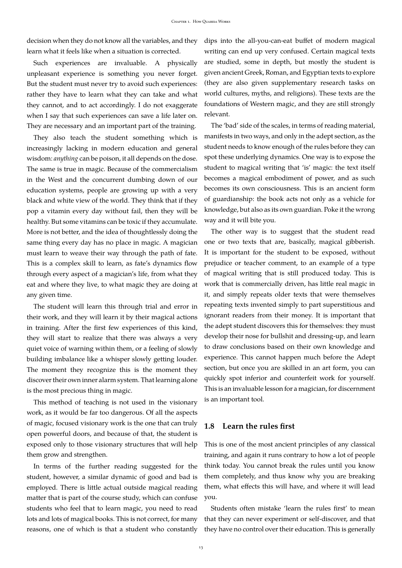decision when they do not know all the variables, and they learn what it feels like when a situation is corrected.

Such experiences are invaluable. A physically unpleasant experience is something you never forget. But the student must never try to avoid such experiences: rather they have to learn what they can take and what they cannot, and to act accordingly. I do not exaggerate when I say that such experiences can save a life later on. They are necessary and an important part of the training.

They also teach the student something which is increasingly lacking in modern education and general wisdom: *anything* can be poison, it all depends on the dose. The same is true in magic. Because of the commercialism in the West and the concurrent dumbing down of our education systems, people are growing up with a very black and white view of the world. They think that if they pop a vitamin every day without fail, then they will be healthy. But some vitamins can be toxic if they accumulate. More is not better, and the idea of thoughtlessly doing the same thing every day has no place in magic. A magician must learn to weave their way through the path of fate. This is a complex skill to learn, as fate's dynamics flow through every aspect of a magician's life, from what they eat and where they live, to what magic they are doing at any given time.

The student will learn this through trial and error in their work, and they will learn it by their magical actions in training. After the first few experiences of this kind, they will start to realize that there was always a very quiet voice of warning within them, or a feeling of slowly building imbalance like a whisper slowly getting louder. The moment they recognize this is the moment they discover their own inner alarm system. That learning alone is the most precious thing in magic.

This method of teaching is not used in the visionary work, as it would be far too dangerous. Of all the aspects of magic, focused visionary work is the one that can truly open powerful doors, and because of that, the student is exposed only to those visionary structures that will help them grow and strengthen.

In terms of the further reading suggested for the student, however, a similar dynamic of good and bad is employed. There is little actual outside magical reading matter that is part of the course study, which can confuse students who feel that to learn magic, you need to read lots and lots of magical books. This is not correct, for many reasons, one of which is that a student who constantly dips into the all-you-can-eat buffet of modern magical writing can end up very confused. Certain magical texts are studied, some in depth, but mostly the student is given ancient Greek, Roman, and Egyptian texts to explore (they are also given supplementary research tasks on world cultures, myths, and religions). These texts are the foundations of Western magic, and they are still strongly relevant.

The 'bad' side of the scales, in terms of reading material, manifests in two ways, and only in the adept section, as the student needs to know enough of the rules before they can spot these underlying dynamics. One way is to expose the student to magical writing that 'is' magic: the text itself becomes a magical embodiment of power, and as such becomes its own consciousness. This is an ancient form of guardianship: the book acts not only as a vehicle for knowledge, but also as its own guardian. Poke it the wrong way and it will bite you.

The other way is to suggest that the student read one or two texts that are, basically, magical gibberish. It is important for the student to be exposed, without prejudice or teacher comment, to an example of a type of magical writing that is still produced today. This is work that is commercially driven, has little real magic in it, and simply repeats older texts that were themselves repeating texts invented simply to part superstitious and ignorant readers from their money. It is important that the adept student discovers this for themselves: they must develop their nose for bullshit and dressing-up, and learn to draw conclusions based on their own knowledge and experience. This cannot happen much before the Adept section, but once you are skilled in an art form, you can quickly spot inferior and counterfeit work for yourself. This is an invaluable lesson for a magician, for discernment is an important tool.

#### <span id="page-12-0"></span>**1.8 Learn the rules first**

This is one of the most ancient principles of any classical training, and again it runs contrary to how a lot of people think today. You cannot break the rules until you know them completely, and thus know why you are breaking them, what effects this will have, and where it will lead you.

Students often mistake 'learn the rules first' to mean that they can never experiment or self-discover, and that they have no control over their education. This is generally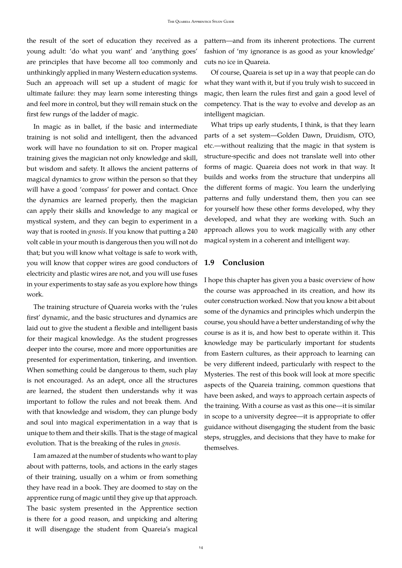the result of the sort of education they received as a young adult: 'do what you want' and 'anything goes' are principles that have become all too commonly and unthinkingly applied in many Western education systems. Such an approach will set up a student of magic for ultimate failure: they may learn some interesting things and feel more in control, but they will remain stuck on the first few rungs of the ladder of magic.

In magic as in ballet, if the basic and intermediate training is not solid and intelligent, then the advanced work will have no foundation to sit on. Proper magical training gives the magician not only knowledge and skill, but wisdom and safety. It allows the ancient patterns of magical dynamics to grow within the person so that they will have a good 'compass' for power and contact. Once the dynamics are learned properly, then the magician can apply their skills and knowledge to any magical or mystical system, and they can begin to experiment in a way that is rooted in *gnosis*. If you know that putting a 240 volt cable in your mouth is dangerous then you will not do that; but you will know what voltage is safe to work with, you will know that copper wires are good conductors of electricity and plastic wires are not, and you will use fuses in your experiments to stay safe as you explore how things work.

The training structure of Quareia works with the 'rules first' dynamic, and the basic structures and dynamics are laid out to give the student a flexible and intelligent basis for their magical knowledge. As the student progresses deeper into the course, more and more opportunities are presented for experimentation, tinkering, and invention. When something could be dangerous to them, such play is not encouraged. As an adept, once all the structures are learned, the student then understands why it was important to follow the rules and not break them. And with that knowledge and wisdom, they can plunge body and soul into magical experimentation in a way that is unique to them and their skills. That is the stage of magical evolution. That is the breaking of the rules in *gnosis*.

I am amazed at the number of students who want to play about with patterns, tools, and actions in the early stages of their training, usually on a whim or from something they have read in a book. They are doomed to stay on the apprentice rung of magic until they give up that approach. The basic system presented in the Apprentice section is there for a good reason, and unpicking and altering it will disengage the student from Quareia's magical pattern—and from its inherent protections. The current fashion of 'my ignorance is as good as your knowledge' cuts no ice in Quareia.

Of course, Quareia is set up in a way that people can do what they want with it, but if you truly wish to succeed in magic, then learn the rules first and gain a good level of competency. That is the way to evolve and develop as an intelligent magician.

What trips up early students, I think, is that they learn parts of a set system—Golden Dawn, Druidism, OTO, etc.—without realizing that the magic in that system is structure-specific and does not translate well into other forms of magic. Quareia does not work in that way. It builds and works from the structure that underpins all the different forms of magic. You learn the underlying patterns and fully understand them, then you can see for yourself how these other forms developed, why they developed, and what they are working with. Such an approach allows you to work magically with any other magical system in a coherent and intelligent way.

### <span id="page-13-0"></span>**1.9 Conclusion**

I hope this chapter has given you a basic overview of how the course was approached in its creation, and how its outer construction worked. Now that you know a bit about some of the dynamics and principles which underpin the course, you should have a better understanding of why the course is as it is, and how best to operate within it. This knowledge may be particularly important for students from Eastern cultures, as their approach to learning can be very different indeed, particularly with respect to the Mysteries. The rest of this book will look at more specific aspects of the Quareia training, common questions that have been asked, and ways to approach certain aspects of the training. With a course as vast as this one—it is similar in scope to a university degree—it is appropriate to offer guidance without disengaging the student from the basic steps, struggles, and decisions that they have to make for themselves.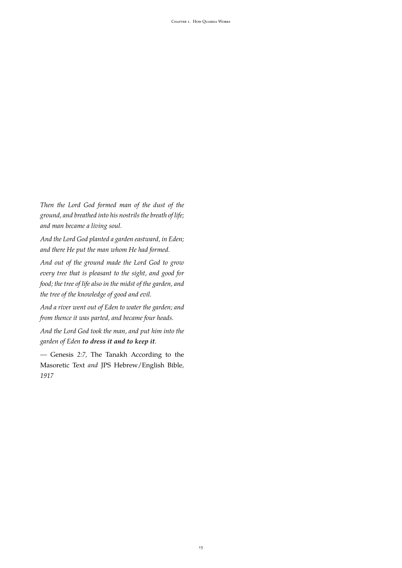*Then the Lord God formed man of the dust of the ground, and breathed into his nostrils the breath of life; and man became a living soul.*

*And the Lord God planted a garden eastward, in Eden; and there He put the man whom He had formed.*

*And out of the ground made the Lord God to grow every tree that is pleasant to the sight, and good for food; the tree of life also in the midst of the garden, and the tree of the knowledge of good and evil.*

*And a river went out of Eden to water the garden; and from thence it was parted, and became four heads.*

*And the Lord God took the man, and put him into the garden of Eden to dress it and to keep it.*

*—* Genesis *2:7,* The Tanakh According to the Masoretic Text *and* JPS Hebrew/English Bible*, 1917*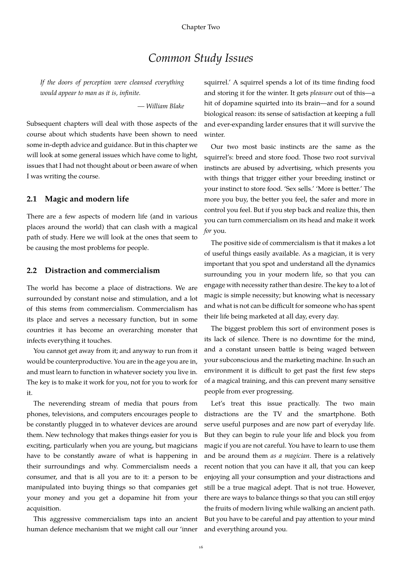# *Common Study Issues*

<span id="page-15-0"></span>*If the doors of perception were cleansed everything would appear to man as it is, infinite.*

*— William Blake*

Subsequent chapters will deal with those aspects of the course about which students have been shown to need some in-depth advice and guidance. But in this chapter we will look at some general issues which have come to light, issues that I had not thought about or been aware of when I was writing the course.

#### <span id="page-15-1"></span>**2.1 Magic and modern life**

There are a few aspects of modern life (and in various places around the world) that can clash with a magical path of study. Here we will look at the ones that seem to be causing the most problems for people.

#### <span id="page-15-2"></span>**2.2 Distraction and commercialism**

The world has become a place of distractions. We are surrounded by constant noise and stimulation, and a lot of this stems from commercialism. Commercialism has its place and serves a necessary function, but in some countries it has become an overarching monster that infects everything it touches.

You cannot get away from it; and anyway to run from it would be counterproductive. You are in the age you are in, and must learn to function in whatever society you live in. The key is to make it work for you, not for you to work for it.

The neverending stream of media that pours from phones, televisions, and computers encourages people to be constantly plugged in to whatever devices are around them. New technology that makes things easier for you is exciting, particularly when you are young, but magicians have to be constantly aware of what is happening in their surroundings and why. Commercialism needs a consumer, and that is all you are to it: a person to be manipulated into buying things so that companies get your money and you get a dopamine hit from your acquisition.

This aggressive commercialism taps into an ancient human defence mechanism that we might call our 'inner squirrel.' A squirrel spends a lot of its time finding food and storing it for the winter. It gets *pleasure* out of this—a hit of dopamine squirted into its brain—and for a sound biological reason: its sense of satisfaction at keeping a full and ever-expanding larder ensures that it will survive the winter.

Our two most basic instincts are the same as the squirrel's: breed and store food. Those two root survival instincts are abused by advertising, which presents you with things that trigger either your breeding instinct or your instinct to store food. 'Sex sells.' 'More is better.' The more you buy, the better you feel, the safer and more in control you feel. But if you step back and realize this, then you can turn commercialism on its head and make it work *for* you.

The positive side of commercialism is that it makes a lot of useful things easily available. As a magician, it is very important that you spot and understand all the dynamics surrounding you in your modern life, so that you can engage with necessity rather than desire. The key to a lot of magic is simple necessity; but knowing what is necessary and what is not can be difficult for someone who has spent their life being marketed at all day, every day.

The biggest problem this sort of environment poses is its lack of silence. There is no downtime for the mind, and a constant unseen battle is being waged between your subconscious and the marketing machine. In such an environment it is difficult to get past the first few steps of a magical training, and this can prevent many sensitive people from ever progressing.

Let's treat this issue practically. The two main distractions are the TV and the smartphone. Both serve useful purposes and are now part of everyday life. But they can begin to rule your life and block you from magic if you are not careful. You have to learn to use them and be around them *as a magician*. There is a relatively recent notion that you can have it all, that you can keep enjoying all your consumption and your distractions and still be a true magical adept. That is not true. However, there are ways to balance things so that you can still enjoy the fruits of modern living while walking an ancient path. But you have to be careful and pay attention to your mind and everything around you.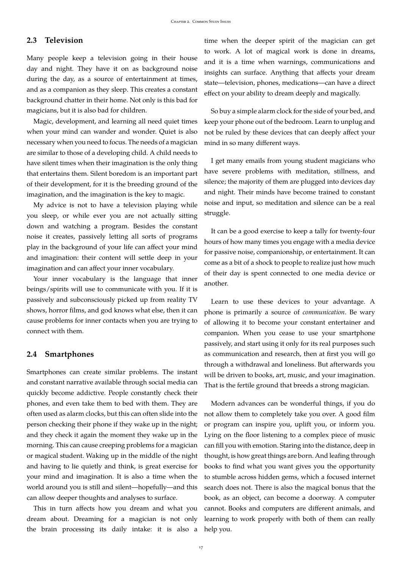### <span id="page-16-0"></span>**2.3 Television**

Many people keep a television going in their house day and night. They have it on as background noise during the day, as a source of entertainment at times, and as a companion as they sleep. This creates a constant background chatter in their home. Not only is this bad for magicians, but it is also bad for children.

Magic, development, and learning all need quiet times when your mind can wander and wonder. Quiet is also necessary when you need to focus. The needs of a magician are similar to those of a developing child. A child needs to have silent times when their imagination is the only thing that entertains them. Silent boredom is an important part of their development, for it is the breeding ground of the imagination, and the imagination is the key to magic.

My advice is not to have a television playing while you sleep, or while ever you are not actually sitting down and watching a program. Besides the constant noise it creates, passively letting all sorts of programs play in the background of your life can affect your mind and imagination: their content will settle deep in your imagination and can affect your inner vocabulary.

Your inner vocabulary is the language that inner beings/spirits will use to communicate with you. If it is passively and subconsciously picked up from reality TV shows, horror films, and god knows what else, then it can cause problems for inner contacts when you are trying to connect with them.

#### <span id="page-16-1"></span>**2.4 Smartphones**

Smartphones can create similar problems. The instant and constant narrative available through social media can quickly become addictive. People constantly check their phones, and even take them to bed with them. They are often used as alarm clocks, but this can often slide into the person checking their phone if they wake up in the night; and they check it again the moment they wake up in the morning. This can cause creeping problems for a magician or magical student. Waking up in the middle of the night and having to lie quietly and think, is great exercise for your mind and imagination. It is also a time when the world around you is still and silent—hopefully—and this can allow deeper thoughts and analyses to surface.

This in turn affects how you dream and what you dream about. Dreaming for a magician is not only the brain processing its daily intake: it is also a time when the deeper spirit of the magician can get to work. A lot of magical work is done in dreams, and it is a time when warnings, communications and insights can surface. Anything that affects your dream state—television, phones, medications—can have a direct effect on your ability to dream deeply and magically.

So buy a simple alarm clock for the side of your bed, and keep your phone out of the bedroom. Learn to unplug and not be ruled by these devices that can deeply affect your mind in so many different ways.

I get many emails from young student magicians who have severe problems with meditation, stillness, and silence; the majority of them are plugged into devices day and night. Their minds have become trained to constant noise and input, so meditation and silence can be a real struggle.

It can be a good exercise to keep a tally for twenty-four hours of how many times you engage with a media device for passive noise, companionship, or entertainment. It can come as a bit of a shock to people to realize just how much of their day is spent connected to one media device or another.

Learn to use these devices to your advantage. A phone is primarily a source of *communication*. Be wary of allowing it to become your constant entertainer and companion. When you cease to use your smartphone passively, and start using it only for its real purposes such as communication and research, then at first you will go through a withdrawal and loneliness. But afterwards you will be driven to books, art, music, and your imagination. That is the fertile ground that breeds a strong magician.

Modern advances can be wonderful things, if you do not allow them to completely take you over. A good film or program can inspire you, uplift you, or inform you. Lying on the floor listening to a complex piece of music can fill you with emotion. Staring into the distance, deep in thought, is how great things are born. And leafing through books to find what you want gives you the opportunity to stumble across hidden gems, which a focused internet search does not. There is also the magical bonus that the book, as an object, can become a doorway. A computer cannot. Books and computers are different animals, and learning to work properly with both of them can really help you.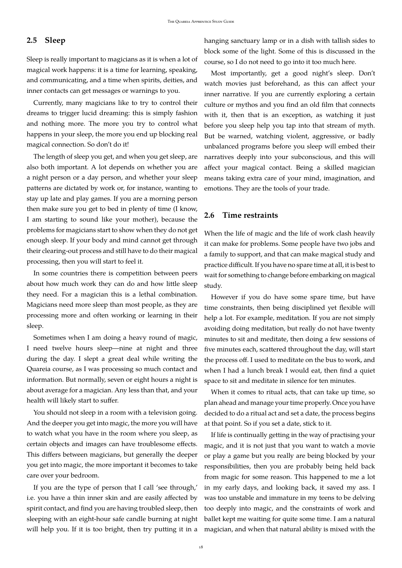## <span id="page-17-0"></span>**2.5 Sleep**

Sleep is really important to magicians as it is when a lot of magical work happens: it is a time for learning, speaking, and communicating, and a time when spirits, deities, and inner contacts can get messages or warnings to you.

Currently, many magicians like to try to control their dreams to trigger lucid dreaming: this is simply fashion and nothing more. The more you try to control what happens in your sleep, the more you end up blocking real magical connection. So don't do it!

The length of sleep you get, and when you get sleep, are also both important. A lot depends on whether you are a night person or a day person, and whether your sleep patterns are dictated by work or, for instance, wanting to stay up late and play games. If you are a morning person then make sure you get to bed in plenty of time (I know, I am starting to sound like your mother), because the problems for magicians start to show when they do not get enough sleep. If your body and mind cannot get through their clearing-out process and still have to do their magical processing, then you will start to feel it.

In some countries there is competition between peers about how much work they can do and how little sleep they need. For a magician this is a lethal combination. Magicians need more sleep than most people, as they are processing more and often working or learning in their sleep.

Sometimes when I am doing a heavy round of magic, I need twelve hours sleep—nine at night and three during the day. I slept a great deal while writing the Quareia course, as I was processing so much contact and information. But normally, seven or eight hours a night is about average for a magician. Any less than that, and your health will likely start to suffer.

You should not sleep in a room with a television going. And the deeper you get into magic, the more you will have to watch what you have in the room where you sleep, as certain objects and images can have troublesome effects. This differs between magicians, but generally the deeper you get into magic, the more important it becomes to take care over your bedroom.

If you are the type of person that I call 'see through,' i.e. you have a thin inner skin and are easily affected by spirit contact, and find you are having troubled sleep, then sleeping with an eight-hour safe candle burning at night will help you. If it is too bright, then try putting it in a hanging sanctuary lamp or in a dish with tallish sides to block some of the light. Some of this is discussed in the course, so I do not need to go into it too much here.

Most importantly, get a good night's sleep. Don't watch movies just beforehand, as this can affect your inner narrative. If you are currently exploring a certain culture or mythos and you find an old film that connects with it, then that is an exception, as watching it just before you sleep help you tap into that stream of myth. But be warned, watching violent, aggressive, or badly unbalanced programs before you sleep will embed their narratives deeply into your subconscious, and this will affect your magical contact. Being a skilled magician means taking extra care of your mind, imagination, and emotions. They are the tools of your trade.

#### <span id="page-17-1"></span>**2.6 Time restraints**

When the life of magic and the life of work clash heavily it can make for problems. Some people have two jobs and a family to support, and that can make magical study and practice difficult. If you have no spare time at all, it is best to wait for something to change before embarking on magical study.

However if you do have some spare time, but have time constraints, then being disciplined yet flexible will help a lot. For example, meditation. If you are not simply avoiding doing meditation, but really do not have twenty minutes to sit and meditate, then doing a few sessions of five minutes each, scattered throughout the day, will start the process off. I used to meditate on the bus to work, and when I had a lunch break I would eat, then find a quiet space to sit and meditate in silence for ten minutes.

When it comes to ritual acts, that can take up time, so plan ahead and manage your time properly. Once you have decided to do a ritual act and set a date, the process begins at that point. So if you set a date, stick to it.

If life is continually getting in the way of practising your magic, and it is not just that you want to watch a movie or play a game but you really are being blocked by your responsibilities, then you are probably being held back from magic for some reason. This happened to me a lot in my early days, and looking back, it saved my ass. I was too unstable and immature in my teens to be delving too deeply into magic, and the constraints of work and ballet kept me waiting for quite some time. I am a natural magician, and when that natural ability is mixed with the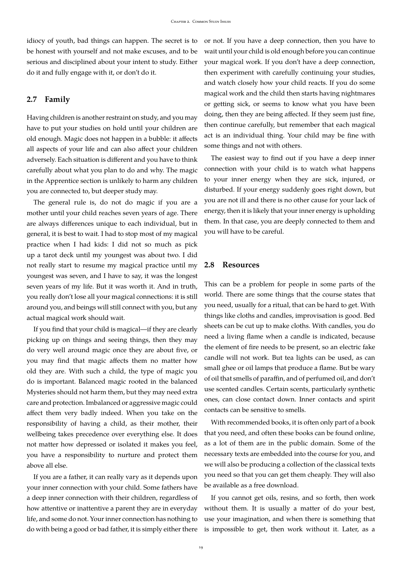idiocy of youth, bad things can happen. The secret is to be honest with yourself and not make excuses, and to be serious and disciplined about your intent to study. Either do it and fully engage with it, or don't do it.

#### <span id="page-18-0"></span>**2.7 Family**

Having children is another restraint on study, and you may have to put your studies on hold until your children are old enough. Magic does not happen in a bubble: it affects all aspects of your life and can also affect your children adversely. Each situation is different and you have to think carefully about what you plan to do and why. The magic in the Apprentice section is unlikely to harm any children you are connected to, but deeper study may.

The general rule is, do not do magic if you are a mother until your child reaches seven years of age. There are always differences unique to each individual, but in general, it is best to wait. I had to stop most of my magical practice when I had kids: I did not so much as pick up a tarot deck until my youngest was about two. I did not really start to resume my magical practice until my youngest was seven, and I have to say, it was the longest seven years of my life. But it was worth it. And in truth, you really don't lose all your magical connections: it is still around you, and beings will still connect with you, but any actual magical work should wait.

If you find that your child is magical—if they are clearly picking up on things and seeing things, then they may do very well around magic once they are about five, or you may find that magic affects them no matter how old they are. With such a child, the type of magic you do is important. Balanced magic rooted in the balanced Mysteries should not harm them, but they may need extra care and protection. Imbalanced or aggressive magic could affect them very badly indeed. When you take on the responsibility of having a child, as their mother, their wellbeing takes precedence over everything else. It does not matter how depressed or isolated it makes you feel, you have a responsibility to nurture and protect them above all else.

If you are a father, it can really vary as it depends upon your inner connection with your child. Some fathers have a deep inner connection with their children, regardless of how attentive or inattentive a parent they are in everyday life, and some do not. Your inner connection has nothing to do with being a good or bad father, it is simply either there or not. If you have a deep connection, then you have to wait until your child is old enough before you can continue your magical work. If you don't have a deep connection, then experiment with carefully continuing your studies, and watch closely how your child reacts. If you do some magical work and the child then starts having nightmares or getting sick, or seems to know what you have been doing, then they are being affected. If they seem just fine, then continue carefully, but remember that each magical act is an individual thing. Your child may be fine with some things and not with others.

The easiest way to find out if you have a deep inner connection with your child is to watch what happens to your inner energy when they are sick, injured, or disturbed. If your energy suddenly goes right down, but you are not ill and there is no other cause for your lack of energy, then it is likely that your inner energy is upholding them. In that case, you are deeply connected to them and you will have to be careful.

#### <span id="page-18-1"></span>**2.8 Resources**

This can be a problem for people in some parts of the world. There are some things that the course states that you need, usually for a ritual, that can be hard to get. With things like cloths and candles, improvisation is good. Bed sheets can be cut up to make cloths. With candles, you do need a living flame when a candle is indicated, because the element of fire needs to be present, so an electric fake candle will not work. But tea lights can be used, as can small ghee or oil lamps that produce a flame. But be wary of oil that smells of paraffin, and of perfumed oil, and don't use scented candles. Certain scents, particularly synthetic ones, can close contact down. Inner contacts and spirit contacts can be sensitive to smells.

With recommended books, it is often only part of a book that you need, and often these books can be found online, as a lot of them are in the public domain. Some of the necessary texts are embedded into the course for you, and we will also be producing a collection of the classical texts you need so that you can get them cheaply. They will also be available as a free download.

If you cannot get oils, resins, and so forth, then work without them. It is usually a matter of do your best, use your imagination, and when there is something that is impossible to get, then work without it. Later, as a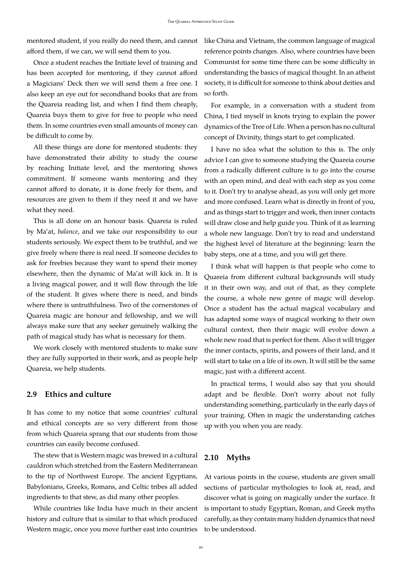mentored student, if you really do need them, and cannot like China and Vietnam, the common language of magical afford them, if we can, we will send them to you.

Once a student reaches the Initiate level of training and has been accepted for mentoring, if they cannot afford a Magicians' Deck then we will send them a free one. I also keep an eye out for secondhand books that are from the Quareia reading list, and when I find them cheaply, Quareia buys them to give for free to people who need them. In some countries even small amounts of money can be difficult to come by.

All these things are done for mentored students: they have demonstrated their ability to study the course by reaching Initiate level, and the mentoring shows commitment. If someone wants mentoring and they cannot afford to donate, it is done freely for them, and resources are given to them if they need it and we have what they need.

This is all done on an honour basis. Quareia is ruled by Ma'at, *balance*, and we take our responsibility to our students seriously. We expect them to be truthful, and we give freely where there is real need. If someone decides to ask for freebies because they want to spend their money elsewhere, then the dynamic of Ma'at will kick in. It is a living magical power, and it will flow through the life of the student. It gives where there is need, and binds where there is untruthfulness. Two of the cornerstones of Quareia magic are honour and fellowship, and we will always make sure that any seeker genuinely walking the path of magical study has what is necessary for them.

We work closely with mentored students to make sure they are fully supported in their work, and as people help Quareia, we help students.

### <span id="page-19-0"></span>**2.9 Ethics and culture**

It has come to my notice that some countries' cultural and ethical concepts are so very different from those from which Quareia sprang that our students from those countries can easily become confused.

The stew that is Western magic was brewed in a cultural cauldron which stretched from the Eastern Mediterranean to the tip of Northwest Europe. The ancient Egyptians, Babylonians, Greeks, Romans, and Celtic tribes all added ingredients to that stew, as did many other peoples.

While countries like India have much in their ancient history and culture that is similar to that which produced Western magic, once you move further east into countries reference points changes. Also, where countries have been Communist for some time there can be some difficulty in understanding the basics of magical thought. In an atheist society, it is difficult for someone to think about deities and so forth.

For example, in a conversation with a student from China, I tied myself in knots trying to explain the power dynamics of the Tree of Life. When a person has no cultural concept of Divinity, things start to get complicated.

I have no idea what the solution to this is. The only advice I can give to someone studying the Quareia course from a radically different culture is to go into the course with an open mind, and deal with each step as you come to it. Don't try to analyse ahead, as you will only get more and more confused. Learn what is directly in front of you, and as things start to trigger and work, then inner contacts will draw close and help guide you. Think of it as learning a whole new language. Don't try to read and understand the highest level of literature at the beginning: learn the baby steps, one at a time, and you will get there.

I think what will happen is that people who come to Quareia from different cultural backgrounds will study it in their own way, and out of that, as they complete the course, a whole new genre of magic will develop. Once a student has the actual magical vocabulary and has adapted some ways of magical working to their own cultural context, then their magic will evolve down a whole new road that is perfect for them. Also it will trigger the inner contacts, spirits, and powers of their land, and it will start to take on a life of its own. It will still be the same magic, just with a different accent.

In practical terms, I would also say that you should adapt and be flexible. Don't worry about not fully understanding something, particularly in the early days of your training. Often in magic the understanding catches up with you when you are ready.

### <span id="page-19-1"></span>**2.10 Myths**

At various points in the course, students are given small sections of particular mythologies to look at, read, and discover what is going on magically under the surface. It is important to study Egyptian, Roman, and Greek myths carefully, as they contain many hidden dynamics that need to be understood.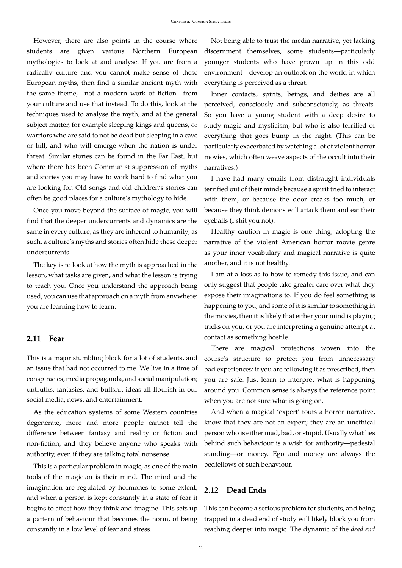However, there are also points in the course where students are given various Northern European mythologies to look at and analyse. If you are from a radically culture and you cannot make sense of these European myths, then find a similar ancient myth with the same theme,—not a modern work of fiction—from your culture and use that instead. To do this, look at the techniques used to analyse the myth, and at the general subject matter, for example sleeping kings and queens, or warriors who are said to not be dead but sleeping in a cave or hill, and who will emerge when the nation is under threat. Similar stories can be found in the Far East, but where there has been Communist suppression of myths and stories you may have to work hard to find what you are looking for. Old songs and old children's stories can often be good places for a culture's mythology to hide.

Once you move beyond the surface of magic, you will find that the deeper undercurrents and dynamics are the same in every culture, as they are inherent to humanity; as such, a culture's myths and stories often hide these deeper undercurrents.

The key is to look at how the myth is approached in the lesson, what tasks are given, and what the lesson is trying to teach you. Once you understand the approach being used, you can use that approach on a myth from anywhere: you are learning how to learn.

#### <span id="page-20-0"></span>**2.11 Fear**

This is a major stumbling block for a lot of students, and an issue that had not occurred to me. We live in a time of conspiracies, media propaganda, and social manipulation; untruths, fantasies, and bullshit ideas all flourish in our social media, news, and entertainment.

As the education systems of some Western countries degenerate, more and more people cannot tell the difference between fantasy and reality or fiction and non-fiction, and they believe anyone who speaks with authority, even if they are talking total nonsense.

This is a particular problem in magic, as one of the main tools of the magician is their mind. The mind and the imagination are regulated by hormones to some extent, and when a person is kept constantly in a state of fear it begins to affect how they think and imagine. This sets up a pattern of behaviour that becomes the norm, of being constantly in a low level of fear and stress.

Not being able to trust the media narrative, yet lacking discernment themselves, some students—particularly younger students who have grown up in this odd environment—develop an outlook on the world in which everything is perceived as a threat.

Inner contacts, spirits, beings, and deities are all perceived, consciously and subconsciously, as threats. So you have a young student with a deep desire to study magic and mysticism, but who is also terrified of everything that goes bump in the night. (This can be particularly exacerbated by watching a lot of violent horror movies, which often weave aspects of the occult into their narratives.)

I have had many emails from distraught individuals terrified out of their minds because a spirit tried to interact with them, or because the door creaks too much, or because they think demons will attack them and eat their eyeballs (I shit you not).

Healthy caution in magic is one thing; adopting the narrative of the violent American horror movie genre as your inner vocabulary and magical narrative is quite another, and it is not healthy.

I am at a loss as to how to remedy this issue, and can only suggest that people take greater care over what they expose their imaginations to. If you do feel something is happening to you, and some of it is similar to something in the movies, then it is likely that either your mind is playing tricks on you, or you are interpreting a genuine attempt at contact as something hostile.

There are magical protections woven into the course's structure to protect you from unnecessary bad experiences: if you are following it as prescribed, then you are safe. Just learn to interpret what is happening around you. Common sense is always the reference point when you are not sure what is going on.

And when a magical 'expert' touts a horror narrative, know that they are not an expert; they are an unethical person who is either mad, bad, or stupid. Usually what lies behind such behaviour is a wish for authority—pedestal standing—or money. Ego and money are always the bedfellows of such behaviour.

#### <span id="page-20-1"></span>**2.12 Dead Ends**

This can become a serious problem for students, and being trapped in a dead end of study will likely block you from reaching deeper into magic. The dynamic of the *dead end*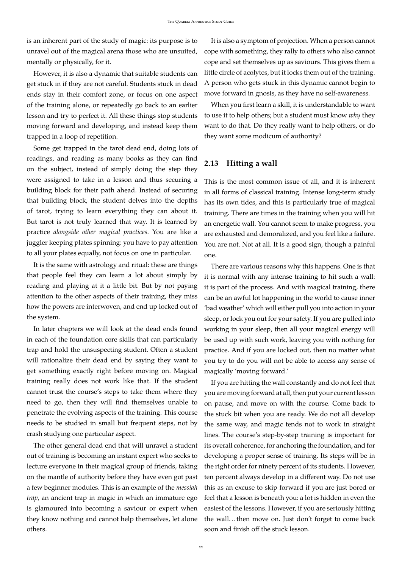is an inherent part of the study of magic: its purpose is to unravel out of the magical arena those who are unsuited, mentally or physically, for it.

However, it is also a dynamic that suitable students can get stuck in if they are not careful. Students stuck in dead ends stay in their comfort zone, or focus on one aspect of the training alone, or repeatedly go back to an earlier lesson and try to perfect it. All these things stop students moving forward and developing, and instead keep them trapped in a loop of repetition.

Some get trapped in the tarot dead end, doing lots of readings, and reading as many books as they can find on the subject, instead of simply doing the step they were assigned to take in a lesson and thus securing a building block for their path ahead. Instead of securing that building block, the student delves into the depths of tarot, trying to learn everything they can about it. But tarot is not truly learned that way. It is learned by practice *alongside other magical practices*. You are like a juggler keeping plates spinning: you have to pay attention to all your plates equally, not focus on one in particular.

It is the same with astrology and ritual: these are things that people feel they can learn a lot about simply by reading and playing at it a little bit. But by not paying attention to the other aspects of their training, they miss how the powers are interwoven, and end up locked out of the system.

In later chapters we will look at the dead ends found in each of the foundation core skills that can particularly trap and hold the unsuspecting student. Often a student will rationalize their dead end by saying they want to get something exactly right before moving on. Magical training really does not work like that. If the student cannot trust the course's steps to take them where they need to go, then they will find themselves unable to penetrate the evolving aspects of the training. This course needs to be studied in small but frequent steps, not by crash studying one particular aspect.

The other general dead end that will unravel a student out of training is becoming an instant expert who seeks to lecture everyone in their magical group of friends, taking on the mantle of authority before they have even got past a few beginner modules. This is an example of the *messiah trap*, an ancient trap in magic in which an immature ego is glamoured into becoming a saviour or expert when they know nothing and cannot help themselves, let alone others.

It is also a symptom of projection. When a person cannot cope with something, they rally to others who also cannot cope and set themselves up as saviours. This gives them a little circle of acolytes, but it locks them out of the training. A person who gets stuck in this dynamic cannot begin to move forward in gnosis, as they have no self-awareness.

When you first learn a skill, it is understandable to want to use it to help others; but a student must know *why* they want to do that. Do they really want to help others, or do they want some modicum of authority?

### <span id="page-21-0"></span>**2.13 Hitting a wall**

This is the most common issue of all, and it is inherent in all forms of classical training. Intense long-term study has its own tides, and this is particularly true of magical training. There are times in the training when you will hit an energetic wall. You cannot seem to make progress, you are exhausted and demoralized, and you feel like a failure. You are not. Not at all. It is a good sign, though a painful one.

There are various reasons why this happens. One is that it is normal with any intense training to hit such a wall: it is part of the process. And with magical training, there can be an awful lot happening in the world to cause inner 'bad weather' which will either pull you into action in your sleep, or lock you out for your safety. If you are pulled into working in your sleep, then all your magical energy will be used up with such work, leaving you with nothing for practice. And if you are locked out, then no matter what you try to do you will not be able to access any sense of magically 'moving forward.'

If you are hitting the wall constantly and do not feel that you are moving forward at all, then put your current lesson on pause, and move on with the course. Come back to the stuck bit when you are ready. We do not all develop the same way, and magic tends not to work in straight lines. The course's step-by-step training is important for its overall coherence, for anchoring the foundation, and for developing a proper sense of training. Its steps will be in the right order for ninety percent of its students. However, ten percent always develop in a different way. Do not use this as an excuse to skip forward if you are just bored or feel that a lesson is beneath you: a lot is hidden in even the easiest of the lessons. However, if you are seriously hitting the wall...then move on. Just don't forget to come back soon and finish off the stuck lesson.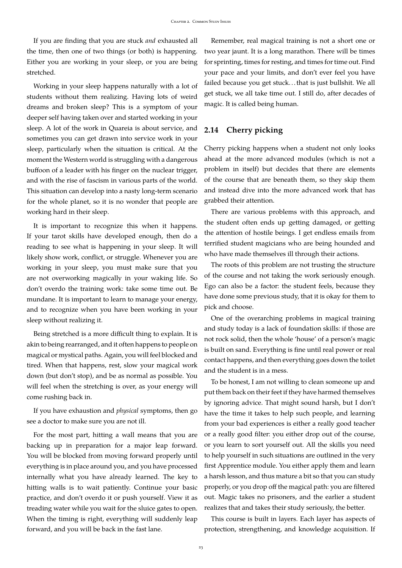If you are finding that you are stuck *and* exhausted all the time, then one of two things (or both) is happening. Either you are working in your sleep, or you are being stretched.

Working in your sleep happens naturally with a lot of students without them realizing. Having lots of weird dreams and broken sleep? This is a symptom of your deeper self having taken over and started working in your sleep. A lot of the work in Quareia is about service, and sometimes you can get drawn into service work in your sleep, particularly when the situation is critical. At the moment the Western world is struggling with a dangerous buffoon of a leader with his finger on the nuclear trigger, and with the rise of fascism in various parts of the world. This situation can develop into a nasty long-term scenario for the whole planet, so it is no wonder that people are working hard in their sleep.

It is important to recognize this when it happens. If your tarot skills have developed enough, then do a reading to see what is happening in your sleep. It will likely show work, conflict, or struggle. Whenever you are working in your sleep, you must make sure that you are not overworking magically in your waking life. So don't overdo the training work: take some time out. Be mundane. It is important to learn to manage your energy, and to recognize when you have been working in your sleep without realizing it.

Being stretched is a more difficult thing to explain. It is akin to being rearranged, and it often happens to people on magical or mystical paths. Again, you will feel blocked and tired. When that happens, rest, slow your magical work down (but don't stop), and be as normal as possible. You will feel when the stretching is over, as your energy will come rushing back in.

If you have exhaustion and *physical* symptoms, then go see a doctor to make sure you are not ill.

For the most part, hitting a wall means that you are backing up in preparation for a major leap forward. You will be blocked from moving forward properly until everything is in place around you, and you have processed internally what you have already learned. The key to hitting walls is to wait patiently. Continue your basic practice, and don't overdo it or push yourself. View it as treading water while you wait for the sluice gates to open. When the timing is right, everything will suddenly leap forward, and you will be back in the fast lane.

Remember, real magical training is not a short one or two year jaunt. It is a long marathon. There will be times for sprinting, times for resting, and times for time out. Find your pace and your limits, and don't ever feel you have failed because you get stuck...that is just bullshit. We all get stuck, we all take time out. I still do, after decades of magic. It is called being human.

## <span id="page-22-0"></span>**2.14 Cherry picking**

Cherry picking happens when a student not only looks ahead at the more advanced modules (which is not a problem in itself) but decides that there are elements of the course that are beneath them, so they skip them and instead dive into the more advanced work that has grabbed their attention.

There are various problems with this approach, and the student often ends up getting damaged, or getting the attention of hostile beings. I get endless emails from terrified student magicians who are being hounded and who have made themselves ill through their actions.

The roots of this problem are not trusting the structure of the course and not taking the work seriously enough. Ego can also be a factor: the student feels, because they have done some previous study, that it is okay for them to pick and choose.

One of the overarching problems in magical training and study today is a lack of foundation skills: if those are not rock solid, then the whole 'house' of a person's magic is built on sand. Everything is fine until real power or real contact happens, and then everything goes down the toilet and the student is in a mess.

To be honest, I am not willing to clean someone up and put them back on their feet if they have harmed themselves by ignoring advice. That might sound harsh, but I don't have the time it takes to help such people, and learning from your bad experiences is either a really good teacher or a really good filter: you either drop out of the course, or you learn to sort yourself out. All the skills you need to help yourself in such situations are outlined in the very first Apprentice module. You either apply them and learn a harsh lesson, and thus mature a bit so that you can study properly, or you drop off the magical path: you are filtered out. Magic takes no prisoners, and the earlier a student realizes that and takes their study seriously, the better.

This course is built in layers. Each layer has aspects of protection, strengthening, and knowledge acquisition. If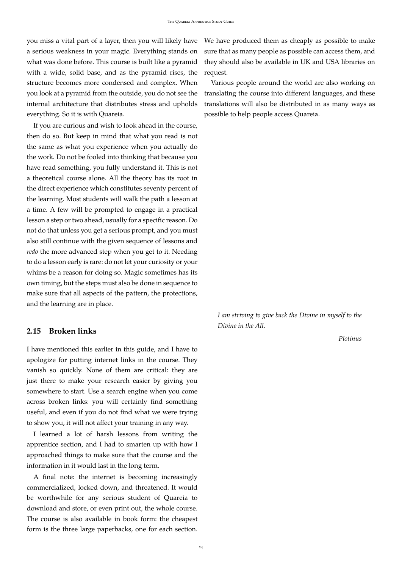you miss a vital part of a layer, then you will likely have a serious weakness in your magic. Everything stands on what was done before. This course is built like a pyramid with a wide, solid base, and as the pyramid rises, the structure becomes more condensed and complex. When you look at a pyramid from the outside, you do not see the internal architecture that distributes stress and upholds everything. So it is with Quareia.

If you are curious and wish to look ahead in the course, then do so. But keep in mind that what you read is not the same as what you experience when you actually do the work. Do not be fooled into thinking that because you have read something, you fully understand it. This is not a theoretical course alone. All the theory has its root in the direct experience which constitutes seventy percent of the learning. Most students will walk the path a lesson at a time. A few will be prompted to engage in a practical lesson a step or two ahead, usually for a specific reason. Do not do that unless you get a serious prompt, and you must also still continue with the given sequence of lessons and *redo* the more advanced step when you get to it. Needing to do a lesson early is rare: do not let your curiosity or your whims be a reason for doing so. Magic sometimes has its own timing, but the steps must also be done in sequence to make sure that all aspects of the pattern, the protections, and the learning are in place.

#### <span id="page-23-0"></span>**2.15 Broken links**

I have mentioned this earlier in this guide, and I have to apologize for putting internet links in the course. They vanish so quickly. None of them are critical: they are just there to make your research easier by giving you somewhere to start. Use a search engine when you come across broken links: you will certainly find something useful, and even if you do not find what we were trying to show you, it will not affect your training in any way.

I learned a lot of harsh lessons from writing the apprentice section, and I had to smarten up with how I approached things to make sure that the course and the information in it would last in the long term.

A final note: the internet is becoming increasingly commercialized, locked down, and threatened. It would be worthwhile for any serious student of Quareia to download and store, or even print out, the whole course. The course is also available in book form: the cheapest form is the three large paperbacks, one for each section. We have produced them as cheaply as possible to make sure that as many people as possible can access them, and they should also be available in UK and USA libraries on request.

Various people around the world are also working on translating the course into different languages, and these translations will also be distributed in as many ways as possible to help people access Quareia.

*I am striving to give back the Divine in myself to the Divine in the All.*

*— Plotinus*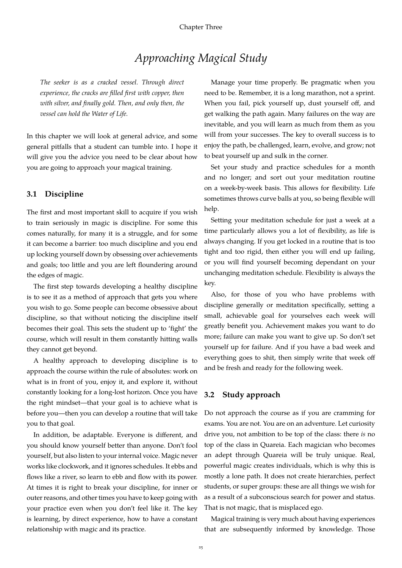# *Approaching Magical Study*

<span id="page-24-0"></span>*The seeker is as a cracked vessel. Through direct experience, the cracks are filled first with copper, then with silver, and finally gold. Then, and only then, the vessel can hold the Water of Life.*

In this chapter we will look at general advice, and some general pitfalls that a student can tumble into. I hope it will give you the advice you need to be clear about how you are going to approach your magical training.

#### <span id="page-24-1"></span>**3.1 Discipline**

The first and most important skill to acquire if you wish to train seriously in magic is discipline. For some this comes naturally, for many it is a struggle, and for some it can become a barrier: too much discipline and you end up locking yourself down by obsessing over achievements and goals; too little and you are left floundering around the edges of magic.

The first step towards developing a healthy discipline is to see it as a method of approach that gets you where you wish to go. Some people can become obsessive about discipline, so that without noticing the discipline itself becomes their goal. This sets the student up to 'fight' the course, which will result in them constantly hitting walls they cannot get beyond.

A healthy approach to developing discipline is to approach the course within the rule of absolutes: work on what is in front of you, enjoy it, and explore it, without constantly looking for a long-lost horizon. Once you have the right mindset—that your goal is to achieve what is before you—then you can develop a routine that will take you to that goal.

In addition, be adaptable. Everyone is different, and you should know yourself better than anyone. Don't fool yourself, but also listen to your internal voice. Magic never works like clockwork, and it ignores schedules. It ebbs and flows like a river, so learn to ebb and flow with its power. At times it is right to break your discipline, for inner or outer reasons, and other times you have to keep going with your practice even when you don't feel like it. The key is learning, by direct experience, how to have a constant relationship with magic and its practice.

Manage your time properly. Be pragmatic when you need to be. Remember, it is a long marathon, not a sprint. When you fail, pick yourself up, dust yourself off, and get walking the path again. Many failures on the way are inevitable, and you will learn as much from them as you will from your successes. The key to overall success is to enjoy the path, be challenged, learn, evolve, and grow; not to beat yourself up and sulk in the corner.

Set your study and practice schedules for a month and no longer; and sort out your meditation routine on a week-by-week basis. This allows for flexibility. Life sometimes throws curve balls at you, so being flexible will help.

Setting your meditation schedule for just a week at a time particularly allows you a lot of flexibility, as life is always changing. If you get locked in a routine that is too tight and too rigid, then either you will end up failing, or you will find yourself becoming dependant on your unchanging meditation schedule. Flexibility is always the key.

Also, for those of you who have problems with discipline generally or meditation specifically, setting a small, achievable goal for yourselves each week will greatly benefit you. Achievement makes you want to do more; failure can make you want to give up. So don't set yourself up for failure. And if you have a bad week and everything goes to shit, then simply write that week off and be fresh and ready for the following week.

## <span id="page-24-2"></span>**3.2 Study approach**

Do not approach the course as if you are cramming for exams. You are not. You are on an adventure. Let curiosity drive you, not ambition to be top of the class: there *is* no top of the class in Quareia. Each magician who becomes an adept through Quareia will be truly unique. Real, powerful magic creates individuals, which is why this is mostly a lone path. It does not create hierarchies, perfect students, or super groups: these are all things we wish for as a result of a subconscious search for power and status. That is not magic, that is misplaced ego.

Magical training is very much about having experiences that are subsequently informed by knowledge. Those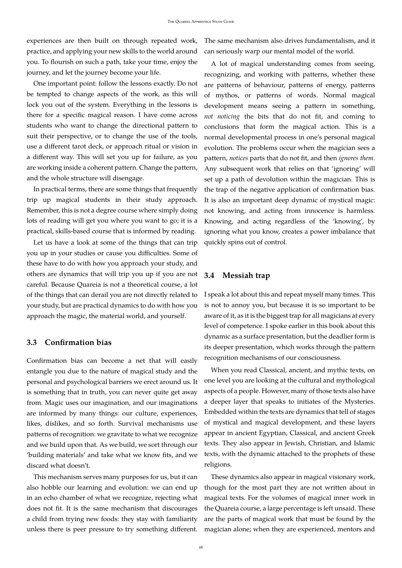experiences are then built on through repeated work, practice, and applying your new skills to the world around you. To flourish on such a path, take your time, enjoy the journey, and let the journey become your life.

One important point: follow the lessons exactly. Do not be tempted to change aspects of the work, as this will lock you out of the system. Everything in the lessons is there for a specific magical reason. I have come across students who want to change the directional pattern to suit their perspective, or to change the use of the tools, use a different tarot deck, or approach ritual or vision in a different way. This will set you up for failure, as you are working inside a coherent pattern. Change the pattern, and the whole structure will disengage.

In practical terms, there are some things that frequently trip up magical students in their study approach. Remember, this is not a degree course where simply doing lots of reading will get you where you want to go; it is a practical, skills-based course that is informed by reading.

Let us have a look at some of the things that can trip you up in your studies or cause you difficulties. Some of these have to do with how you approach your study, and others are dynamics that will trip you up if you are not careful. Because Quareia is not a theoretical course, a lot of the things that can derail you are not directly related to your study, but are practical dynamics to do with how you approach the magic, the material world, and yourself.

#### <span id="page-25-0"></span>**3.3 Confirmation bias**

Confirmation bias can become a net that will easily entangle you due to the nature of magical study and the personal and psychological barriers we erect around us. It is something that in truth, you can never quite get away from. Magic uses our imagination, and our imaginations are informed by many things: our culture, experiences, likes, dislikes, and so forth. Survival mechanisms use patterns of recognition: we gravitate to what we recognize and we build upon that. As we build, we sort through our 'building materials' and take what we know fits, and we discard what doesn't.

This mechanism serves many purposes for us, but it can also hobble our learning and evolution: we can end up in an echo chamber of what we recognize, rejecting what does not fit. It is the same mechanism that discourages a child from trying new foods: they stay with familiarity The same mechanism also drives fundamentalism, and it can seriously warp our mental model of the world.

A lot of magical understanding comes from seeing, recognizing, and working with patterns, whether these are patterns of behaviour, patterns of energy, patterns of mythos, or patterns of words. Normal magical development means seeing a pattern in something, *not noticing* the bits that do not fit, and coming to conclusions that form the magical action. This is a normal developmental process in one's personal magical evolution. The problems occur when the magician sees a pattern, *notices* parts that do not fit, and then *ignores them*. Any subsequent work that relies on that 'ignoring' will set up a path of devolution within the magician. This is the trap of the negative application of confirmation bias. It is also an important deep dynamic of mystical magic: not knowing, and acting from innocence is harmless. Knowing, and acting regardless of the 'knowing', by ignoring what you know, creates a power imbalance that quickly spins out of control.

### <span id="page-25-1"></span>**3.4 Messiah trap**

I speak a lot about this and repeat myself many times. This is not to annoy you, but because it is so important to be aware of it, as it is the biggest trap for all magicians at every level of competence. I spoke earlier in this book about this dynamic as a surface presentation, but the deadlier form is its deeper presentation, which works through the pattern recognition mechanisms of our consciousness.

When you read Classical, ancient, and mythic texts, on one level you are looking at the cultural and mythological aspects of a people. However, many of those texts also have a deeper layer that speaks to initiates of the Mysteries. Embedded within the texts are dynamics that tell of stages of mystical and magical development, and these layers appear in ancient Egyptian, Classical, and ancient Greek texts. They also appear in Jewish, Christian, and Islamic texts, with the dynamic attached to the prophets of these religions.

unless there is peer pressure to try something different. magician alone; when they are experienced, mentors and These dynamics also appear in magical visionary work, though for the most part they are not written about in magical texts. For the volumes of magical inner work in the Quareia course, a large percentage is left unsaid. These are the parts of magical work that must be found by the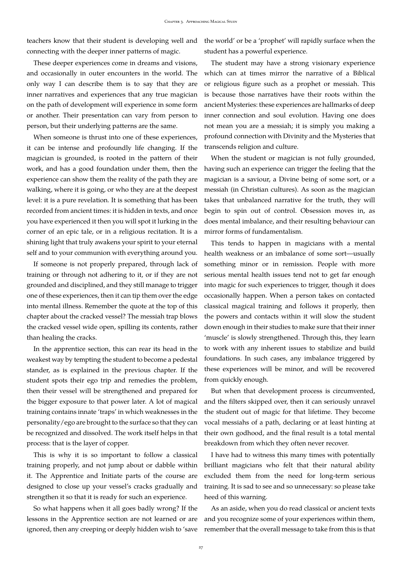teachers know that their student is developing well and the world' or be a 'prophet' will rapidly surface when the connecting with the deeper inner patterns of magic.

These deeper experiences come in dreams and visions, and occasionally in outer encounters in the world. The only way I can describe them is to say that they are inner narratives and experiences that any true magician on the path of development will experience in some form or another. Their presentation can vary from person to person, but their underlying patterns are the same.

When someone is thrust into one of these experiences, it can be intense and profoundly life changing. If the magician is grounded, is rooted in the pattern of their work, and has a good foundation under them, then the experience can show them the reality of the path they are walking, where it is going, or who they are at the deepest level: it is a pure revelation. It is something that has been recorded from ancient times: it is hidden in texts, and once you have experienced it then you will spot it lurking in the corner of an epic tale, or in a religious recitation. It is a shining light that truly awakens your spirit to your eternal self and to your communion with everything around you.

If someone is not properly prepared, through lack of training or through not adhering to it, or if they are not grounded and disciplined, and they still manage to trigger one of these experiences, then it can tip them over the edge into mental illness. Remember the quote at the top of this chapter about the cracked vessel? The messiah trap blows the cracked vessel wide open, spilling its contents, rather than healing the cracks.

In the apprentice section, this can rear its head in the weakest way by tempting the student to become a pedestal stander, as is explained in the previous chapter. If the student spots their ego trip and remedies the problem, then their vessel will be strengthened and prepared for the bigger exposure to that power later. A lot of magical training contains innate 'traps' in which weaknesses in the personality/ego are brought to the surface so that they can be recognized and dissolved. The work itself helps in that process: that is the layer of copper.

This is why it is so important to follow a classical training properly, and not jump about or dabble within it. The Apprentice and Initiate parts of the course are designed to close up your vessel's cracks gradually and strengthen it so that it is ready for such an experience.

So what happens when it all goes badly wrong? If the lessons in the Apprentice section are not learned or are ignored, then any creeping or deeply hidden wish to 'save student has a powerful experience.

The student may have a strong visionary experience which can at times mirror the narrative of a Biblical or religious figure such as a prophet or messiah. This is because those narratives have their roots within the ancient Mysteries: these experiences are hallmarks of deep inner connection and soul evolution. Having one does not mean you are a messiah; it is simply you making a profound connection with Divinity and the Mysteries that transcends religion and culture.

When the student or magician is not fully grounded, having such an experience can trigger the feeling that the magician is a saviour, a Divine being of some sort, or a messiah (in Christian cultures). As soon as the magician takes that unbalanced narrative for the truth, they will begin to spin out of control. Obsession moves in, as does mental imbalance, and their resulting behaviour can mirror forms of fundamentalism.

This tends to happen in magicians with a mental health weakness or an imbalance of some sort—usually something minor or in remission. People with more serious mental health issues tend not to get far enough into magic for such experiences to trigger, though it does occasionally happen. When a person takes on contacted classical magical training and follows it properly, then the powers and contacts within it will slow the student down enough in their studies to make sure that their inner 'muscle' is slowly strengthened. Through this, they learn to work with any inherent issues to stabilize and build foundations. In such cases, any imbalance triggered by these experiences will be minor, and will be recovered from quickly enough.

But when that development process is circumvented, and the filters skipped over, then it can seriously unravel the student out of magic for that lifetime. They become vocal messiahs of a path, declaring or at least hinting at their own godhood, and the final result is a total mental breakdown from which they often never recover.

I have had to witness this many times with potentially brilliant magicians who felt that their natural ability excluded them from the need for long-term serious training. It is sad to see and so unnecessary: so please take heed of this warning.

As an aside, when you do read classical or ancient texts and you recognize some of your experiences within them, remember that the overall message to take from this is that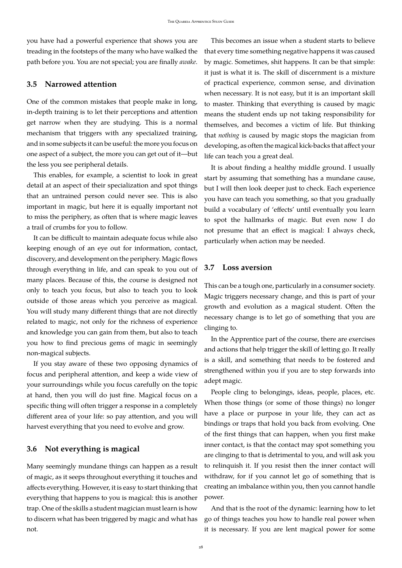you have had a powerful experience that shows you are treading in the footsteps of the many who have walked the path before you. You are not special; you are finally *awake*.

#### <span id="page-27-0"></span>**3.5 Narrowed attention**

One of the common mistakes that people make in long, in-depth training is to let their perceptions and attention get narrow when they are studying. This is a normal mechanism that triggers with any specialized training, and in some subjects it can be useful: the more you focus on one aspect of a subject, the more you can get out of it—but the less you see peripheral details.

This enables, for example, a scientist to look in great detail at an aspect of their specialization and spot things that an untrained person could never see. This is also important in magic, but here it is equally important not to miss the periphery, as often that is where magic leaves a trail of crumbs for you to follow.

It can be difficult to maintain adequate focus while also keeping enough of an eye out for information, contact, discovery, and development on the periphery. Magic flows through everything in life, and can speak to you out of many places. Because of this, the course is designed not only to teach you focus, but also to teach you to look outside of those areas which you perceive as magical. You will study many different things that are not directly related to magic, not only for the richness of experience and knowledge you can gain from them, but also to teach you how to find precious gems of magic in seemingly non-magical subjects.

If you stay aware of these two opposing dynamics of focus and peripheral attention, and keep a wide view of your surroundings while you focus carefully on the topic at hand, then you will do just fine. Magical focus on a specific thing will often trigger a response in a completely different area of your life: so pay attention, and you will harvest everything that you need to evolve and grow.

### <span id="page-27-1"></span>**3.6 Not everything is magical**

Many seemingly mundane things can happen as a result of magic, as it seeps throughout everything it touches and affects everything. However, it is easy to start thinking that everything that happens to you is magical: this is another trap. One of the skills a student magician must learn is how to discern what has been triggered by magic and what has not.

This becomes an issue when a student starts to believe that every time something negative happens it was caused by magic. Sometimes, shit happens. It can be that simple: it just is what it is. The skill of discernment is a mixture of practical experience, common sense, and divination when necessary. It is not easy, but it is an important skill to master. Thinking that everything is caused by magic means the student ends up not taking responsibility for themselves, and becomes a victim of life. But thinking that *nothing* is caused by magic stops the magician from developing, as often the magical kick-backs that affect your life can teach you a great deal.

It is about finding a healthy middle ground. I usually start by assuming that something has a mundane cause, but I will then look deeper just to check. Each experience you have can teach you something, so that you gradually build a vocabulary of 'effects' until eventually you learn to spot the hallmarks of magic. But even now I do not presume that an effect is magical: I always check, particularly when action may be needed.

#### <span id="page-27-2"></span>**3.7 Loss aversion**

This can be a tough one, particularly in a consumer society. Magic triggers necessary change, and this is part of your growth and evolution as a magical student. Often the necessary change is to let go of something that you are clinging to.

In the Apprentice part of the course, there are exercises and actions that help trigger the skill of letting go. It really is a skill, and something that needs to be fostered and strengthened within you if you are to step forwards into adept magic.

People cling to belongings, ideas, people, places, etc. When those things (or some of those things) no longer have a place or purpose in your life, they can act as bindings or traps that hold you back from evolving. One of the first things that can happen, when you first make inner contact, is that the contact may spot something you are clinging to that is detrimental to you, and will ask you to relinquish it. If you resist then the inner contact will withdraw, for if you cannot let go of something that is creating an imbalance within you, then you cannot handle power.

And that is the root of the dynamic: learning how to let go of things teaches you how to handle real power when it is necessary. If you are lent magical power for some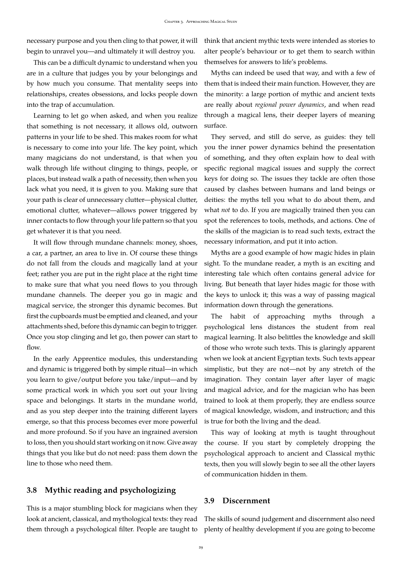necessary purpose and you then cling to that power, it will begin to unravel you—and ultimately it will destroy you.

This can be a difficult dynamic to understand when you are in a culture that judges you by your belongings and by how much you consume. That mentality seeps into relationships, creates obsessions, and locks people down into the trap of accumulation.

Learning to let go when asked, and when you realize that something is not necessary, it allows old, outworn patterns in your life to be shed. This makes room for what is necessary to come into your life. The key point, which many magicians do not understand, is that when you walk through life without clinging to things, people, or places, but instead walk a path of necessity, then when you lack what you need, it is given to you. Making sure that your path is clear of unnecessary clutter—physical clutter, emotional clutter, whatever—allows power triggered by inner contacts to flow through your life pattern so that you get whatever it is that you need.

It will flow through mundane channels: money, shoes, a car, a partner, an area to live in. Of course these things do not fall from the clouds and magically land at your feet; rather you are put in the right place at the right time to make sure that what you need flows to you through mundane channels. The deeper you go in magic and magical service, the stronger this dynamic becomes. But first the cupboards must be emptied and cleaned, and your attachments shed, before this dynamic can begin to trigger. Once you stop clinging and let go, then power can start to flow.

In the early Apprentice modules, this understanding and dynamic is triggered both by simple ritual—in which you learn to give/output before you take/input—and by some practical work in which you sort out your living space and belongings. It starts in the mundane world, and as you step deeper into the training different layers emerge, so that this process becomes ever more powerful and more profound. So if you have an ingrained aversion to loss, then you should start working on it now. Give away things that you like but do not need: pass them down the line to those who need them.

### <span id="page-28-0"></span>**3.8 Mythic reading and psychologizing**

This is a major stumbling block for magicians when they look at ancient, classical, and mythological texts: they read them through a psychological filter. People are taught to think that ancient mythic texts were intended as stories to alter people's behaviour or to get them to search within themselves for answers to life's problems.

Myths can indeed be used that way, and with a few of them that is indeed their main function. However, they are the minority: a large portion of mythic and ancient texts are really about *regional power dynamics*, and when read through a magical lens, their deeper layers of meaning surface.

They served, and still do serve, as guides: they tell you the inner power dynamics behind the presentation of something, and they often explain how to deal with specific regional magical issues and supply the correct keys for doing so. The issues they tackle are often those caused by clashes between humans and land beings or deities: the myths tell you what to do about them, and what *not* to do. If you are magically trained then you can spot the references to tools, methods, and actions. One of the skills of the magician is to read such texts, extract the necessary information, and put it into action.

Myths are a good example of how magic hides in plain sight. To the mundane reader, a myth is an exciting and interesting tale which often contains general advice for living. But beneath that layer hides magic for those with the keys to unlock it; this was a way of passing magical information down through the generations.

The habit of approaching myths through a psychological lens distances the student from real magical learning. It also belittles the knowledge and skill of those who wrote such texts. This is glaringly apparent when we look at ancient Egyptian texts. Such texts appear simplistic, but they are not—not by any stretch of the imagination. They contain layer after layer of magic and magical advice, and for the magician who has been trained to look at them properly, they are endless source of magical knowledge, wisdom, and instruction; and this is true for both the living and the dead.

This way of looking at myth is taught throughout the course. If you start by completely dropping the psychological approach to ancient and Classical mythic texts, then you will slowly begin to see all the other layers of communication hidden in them.

#### <span id="page-28-1"></span>**3.9 Discernment**

The skills of sound judgement and discernment also need plenty of healthy development if you are going to become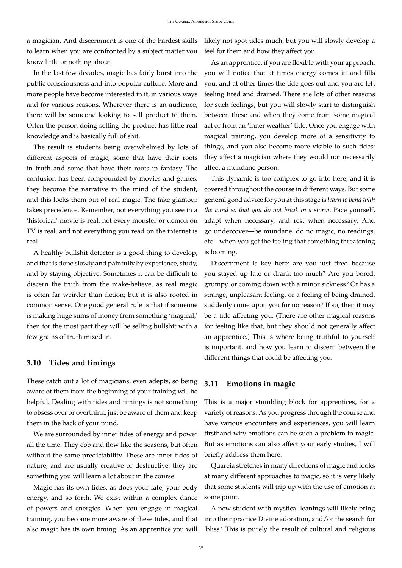a magician. And discernment is one of the hardest skills to learn when you are confronted by a subject matter you know little or nothing about.

In the last few decades, magic has fairly burst into the public consciousness and into popular culture. More and more people have become interested in it, in various ways and for various reasons. Wherever there is an audience, there will be someone looking to sell product to them. Often the person doing selling the product has little real knowledge and is basically full of shit.

The result is students being overwhelmed by lots of different aspects of magic, some that have their roots in truth and some that have their roots in fantasy. The confusion has been compounded by movies and games: they become the narrative in the mind of the student, and this locks them out of real magic. The fake glamour takes precedence. Remember, not everything you see in a 'historical' movie is real, not every monster or demon on TV is real, and not everything you read on the internet is real.

A healthy bullshit detector is a good thing to develop, and that is done slowly and painfully by experience, study, and by staying objective. Sometimes it can be difficult to discern the truth from the make-believe, as real magic is often far weirder than fiction; but it is also rooted in common sense. One good general rule is that if someone is making huge sums of money from something 'magical,' then for the most part they will be selling bullshit with a few grains of truth mixed in.

#### <span id="page-29-0"></span>**3.10 Tides and timings**

These catch out a lot of magicians, even adepts, so being aware of them from the beginning of your training will be helpful. Dealing with tides and timings is not something to obsess over or overthink; just be aware of them and keep them in the back of your mind.

We are surrounded by inner tides of energy and power all the time. They ebb and flow like the seasons, but often without the same predictability. These are inner tides of nature, and are usually creative or destructive: they are something you will learn a lot about in the course.

Magic has its own tides, as does your fate, your body energy, and so forth. We exist within a complex dance of powers and energies. When you engage in magical training, you become more aware of these tides, and that also magic has its own timing. As an apprentice you will likely not spot tides much, but you will slowly develop a feel for them and how they affect you.

As an apprentice, if you are flexible with your approach, you will notice that at times energy comes in and fills you, and at other times the tide goes out and you are left feeling tired and drained. There are lots of other reasons for such feelings, but you will slowly start to distinguish between these and when they come from some magical act or from an 'inner weather' tide. Once you engage with magical training, you develop more of a sensitivity to things, and you also become more visible to such tides: they affect a magician where they would not necessarily affect a mundane person.

This dynamic is too complex to go into here, and it is covered throughout the course in different ways. But some general good advice for you at this stage is *learn to bend with the wind so that you do not break in a storm*. Pace yourself, adapt when necessary, and rest when necessary. And go undercover—be mundane, do no magic, no readings, etc—when you get the feeling that something threatening is looming.

Discernment is key here: are you just tired because you stayed up late or drank too much? Are you bored, grumpy, or coming down with a minor sickness? Or has a strange, unpleasant feeling, or a feeling of being drained, suddenly come upon you for no reason? If so, then it may be a tide affecting you. (There are other magical reasons for feeling like that, but they should not generally affect an apprentice.) This is where being truthful to yourself is important, and how you learn to discern between the different things that could be affecting you.

#### <span id="page-29-1"></span>**3.11 Emotions in magic**

This is a major stumbling block for apprentices, for a variety of reasons. As you progress through the course and have various encounters and experiences, you will learn firsthand why emotions can be such a problem in magic. But as emotions can also affect your early studies, I will briefly address them here.

Quareia stretches in many directions of magic and looks at many different approaches to magic, so it is very likely that some students will trip up with the use of emotion at some point.

A new student with mystical leanings will likely bring into their practice Divine adoration, and/or the search for 'bliss.' This is purely the result of cultural and religious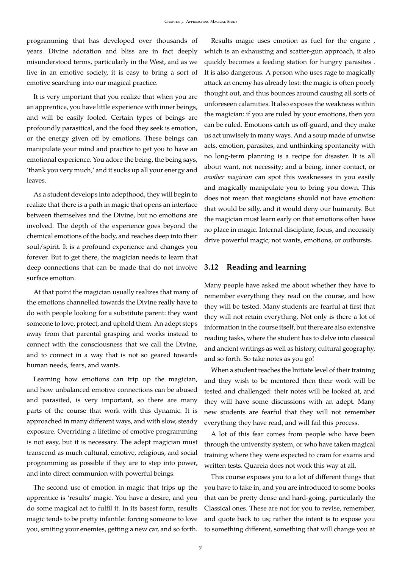programming that has developed over thousands of years. Divine adoration and bliss are in fact deeply misunderstood terms, particularly in the West, and as we live in an emotive society, it is easy to bring a sort of emotive searching into our magical practice.

It is very important that you realize that when you are an apprentice, you have little experience with inner beings, and will be easily fooled. Certain types of beings are profoundly parasitical, and the food they seek is emotion, or the energy given off by emotions. These beings can manipulate your mind and practice to get you to have an emotional experience. You adore the being, the being says, 'thank you very much,' and it sucks up all your energy and leaves.

As a student develops into adepthood, they will begin to realize that there is a path in magic that opens an interface between themselves and the Divine, but no emotions are involved. The depth of the experience goes beyond the chemical emotions of the body, and reaches deep into their soul/spirit. It is a profound experience and changes you forever. But to get there, the magician needs to learn that deep connections that can be made that do not involve surface emotion.

At that point the magician usually realizes that many of the emotions channelled towards the Divine really have to do with people looking for a substitute parent: they want someone to love, protect, and uphold them. An adept steps away from that parental grasping and works instead to connect with the consciousness that we call the Divine, and to connect in a way that is not so geared towards human needs, fears, and wants.

Learning how emotions can trip up the magician, and how unbalanced emotive connections can be abused and parasited, is very important, so there are many parts of the course that work with this dynamic. It is approached in many different ways, and with slow, steady exposure. Overriding a lifetime of emotive programming is not easy, but it is necessary. The adept magician must transcend as much cultural, emotive, religious, and social programming as possible if they are to step into power, and into direct communion with powerful beings.

The second use of emotion in magic that trips up the apprentice is 'results' magic. You have a desire, and you do some magical act to fulfil it. In its basest form, results magic tends to be pretty infantile: forcing someone to love you, smiting your enemies, getting a new car, and so forth.

Results magic uses emotion as fuel for the engine , which is an exhausting and scatter-gun approach, it also quickly becomes a feeding station for hungry parasites . It is also dangerous. A person who uses rage to magically attack an enemy has already lost: the magic is often poorly thought out, and thus bounces around causing all sorts of unforeseen calamities. It also exposes the weakness within the magician: if you are ruled by your emotions, then you can be ruled. Emotions catch us off-guard, and they make us act unwisely in many ways. And a soup made of unwise acts, emotion, parasites, and unthinking spontaneity with no long-term planning is a recipe for disaster. It is all about want, not necessity; and a being, inner contact, or *another magician* can spot this weaknesses in you easily and magically manipulate you to bring you down. This does not mean that magicians should not have emotion: that would be silly, and it would deny our humanity. But the magician must learn early on that emotions often have no place in magic. Internal discipline, focus, and necessity drive powerful magic; not wants, emotions, or outbursts.

#### <span id="page-30-0"></span>**3.12 Reading and learning**

Many people have asked me about whether they have to remember everything they read on the course, and how they will be tested. Many students are fearful at first that they will not retain everything. Not only is there a lot of information in the course itself, but there are also extensive reading tasks, where the student has to delve into classical and ancient writings as well as history, cultural geography, and so forth. So take notes as you go!

When a student reaches the Initiate level of their training and they wish to be mentored then their work will be tested and challenged: their notes will be looked at, and they will have some discussions with an adept. Many new students are fearful that they will not remember everything they have read, and will fail this process.

A lot of this fear comes from people who have been through the university system, or who have taken magical training where they were expected to cram for exams and written tests. Quareia does not work this way at all.

This course exposes you to a lot of different things that you have to take in, and you are introduced to some books that can be pretty dense and hard-going, particularly the Classical ones. These are not for you to revise, remember, and quote back to us; rather the intent is to expose you to something different, something that will change you at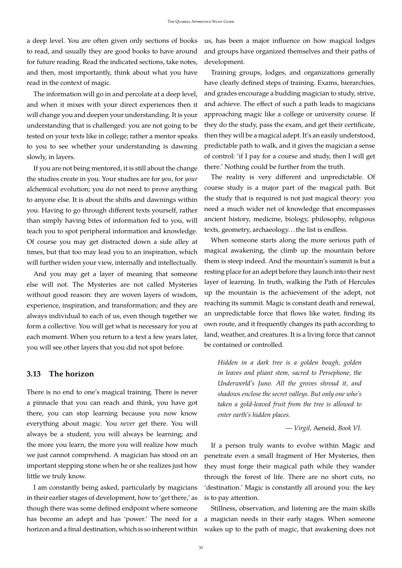a deep level. You are often given only sections of books to read, and usually they are good books to have around for future reading. Read the indicated sections, take notes, and then, most importantly, think about what you have read in the context of magic.

The information will go in and percolate at a deep level, and when it mixes with your direct experiences then it will change you and deepen your understanding. It is your understanding that is challenged: you are not going to be tested on your texts like in college; rather a mentor speaks to you to see whether your understanding is dawning slowly, in layers.

If you are not being mentored, it is still about the change the studies create in you. Your studies are for *you*, for *your* alchemical evolution; you do not need to prove anything to anyone else. It is about the shifts and dawnings within you. Having to go through different texts yourself, rather than simply having bites of information fed to you, will teach you to spot peripheral information and knowledge. Of course you may get distracted down a side alley at times, but that too may lead you to an inspiration, which will further widen your view, internally and intellectually.

And you may get a layer of meaning that someone else will not. The Mysteries are not called Mysteries without good reason: they are woven layers of wisdom, experience, inspiration, and transformation; and they are always individual to each of us, even though together we form a collective. You will get what is necessary for you at each moment. When you return to a text a few years later, you will see other layers that you did not spot before.

#### <span id="page-31-0"></span>**3.13 The horizon**

There is no end to one's magical training. There is never a pinnacle that you can reach and think, you have got there, you can stop learning because you now know everything about magic. You *never* get there. You will always be a student, you will always be learning; and the more you learn, the more you will realize how much we just cannot comprehend. A magician has stood on an important stepping stone when he or she realizes just how little we truly know.

I am constantly being asked, particularly by magicians in their earlier stages of development, how to 'get there,' as though there was some defined endpoint where someone has become an adept and has 'power.' The need for a horizon and a final destination, which is so inherent within us, has been a major influence on how magical lodges and groups have organized themselves and their paths of development.

Training groups, lodges, and organizations generally have clearly defined steps of training. Exams, hierarchies, and grades encourage a budding magician to study, strive, and achieve. The effect of such a path leads to magicians approaching magic like a college or university course. If they do the study, pass the exam, and get their certificate, then they will be a magical adept. It's an easily understood, predictable path to walk, and it gives the magician a sense of control: 'if I pay for a course and study, then I will get there.' Nothing could be further from the truth.

The reality is very different and unpredictable. Of course study is a major part of the magical path. But the study that is required is not just magical theory: you need a much wider net of knowledge that encompasses ancient history, medicine, biology, philosophy, religious texts, geometry, archaeology. . . the list is endless.

When someone starts along the more serious path of magical awakening, the climb up the mountain before them is steep indeed. And the mountain's summit is but a resting place for an adept before they launch into their next layer of learning. In truth, walking the Path of Hercules up the mountain is the achievement of the adept, not reaching its summit. Magic is constant death and renewal, an unpredictable force that flows like water, finding its own route, and it frequently changes its path according to land, weather, and creatures. It is a living force that cannot be contained or controlled.

*Hidden in a dark tree is a golden bough, golden in leaves and pliant stem, sacred to Persephone, the Underworld's Juno. All the groves shroud it, and shadows enclose the secret valleys. But only one who's taken a gold-leaved fruit from the tree is allowed to enter earth's hidden places.*

*— Virgil,* Aeneid*, Book VI.*

If a person truly wants to evolve within Magic and penetrate even a small fragment of Her Mysteries, then they must forge their magical path while they wander through the forest of life. There are no short cuts, no 'destination.' Magic is constantly all around you: the key is to pay attention.

Stillness, observation, and listening are the main skills a magician needs in their early stages. When someone wakes up to the path of magic, that awakening does not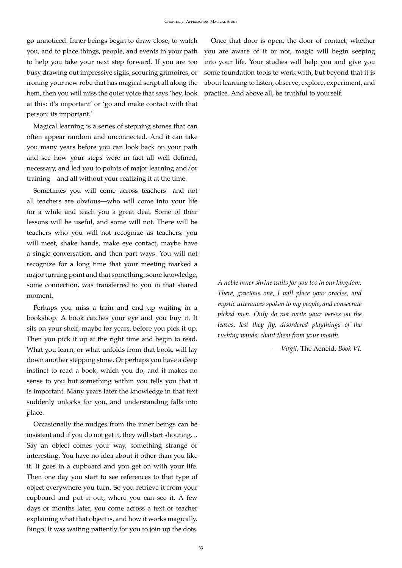go unnoticed. Inner beings begin to draw close, to watch you, and to place things, people, and events in your path to help you take your next step forward. If you are too busy drawing out impressive sigils, scouring grimoires, or ironing your new robe that has magical script all along the hem, then you will miss the quiet voice that says 'hey, look at this: it's important' or 'go and make contact with that person: its important.'

Magical learning is a series of stepping stones that can often appear random and unconnected. And it can take you many years before you can look back on your path and see how your steps were in fact all well defined, necessary, and led you to points of major learning and/or training—and all without your realizing it at the time.

Sometimes you will come across teachers—and not all teachers are obvious—who will come into your life for a while and teach you a great deal. Some of their lessons will be useful, and some will not. There will be teachers who you will not recognize as teachers: you will meet, shake hands, make eye contact, maybe have a single conversation, and then part ways. You will not recognize for a long time that your meeting marked a major turning point and that something, some knowledge, some connection, was transferred to you in that shared moment.

Perhaps you miss a train and end up waiting in a bookshop. A book catches your eye and you buy it. It sits on your shelf, maybe for years, before you pick it up. Then you pick it up at the right time and begin to read. What you learn, or what unfolds from that book, will lay down another stepping stone. Or perhaps you have a deep instinct to read a book, which you do, and it makes no sense to you but something within you tells you that it is important. Many years later the knowledge in that text suddenly unlocks for you, and understanding falls into place.

Occasionally the nudges from the inner beings can be insistent and if you do not get it, they will start shouting. . . Say an object comes your way, something strange or interesting. You have no idea about it other than you like it. It goes in a cupboard and you get on with your life. Then one day you start to see references to that type of object everywhere you turn. So you retrieve it from your cupboard and put it out, where you can see it. A few days or months later, you come across a text or teacher explaining what that object is, and how it works magically. Bingo! It was waiting patiently for you to join up the dots.

Once that door is open, the door of contact, whether you are aware of it or not, magic will begin seeping into your life. Your studies will help you and give you some foundation tools to work with, but beyond that it is about learning to listen, observe, explore, experiment, and practice. And above all, be truthful to yourself.

*A noble inner shrine waits for you too in our kingdom. There, gracious one, I will place your oracles, and mystic utterances spoken to my people, and consecrate picked men. Only do not write your verses on the leaves, lest they fly, disordered playthings of the rushing winds: chant them from your mouth.*

*— Virgil,* The Aeneid*, Book VI.*

33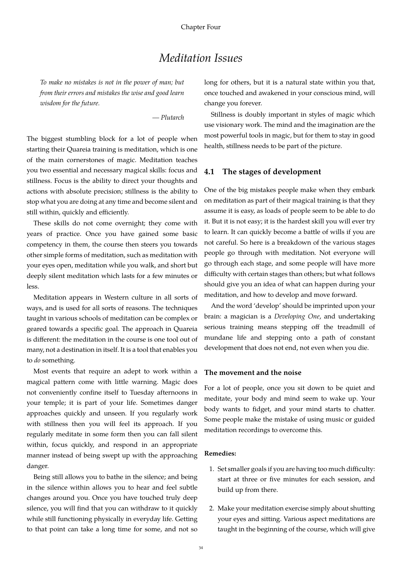# *Meditation Issues*

<span id="page-33-0"></span>*To make no mistakes is not in the power of man; but from their errors and mistakes the wise and good learn wisdom for the future.*

*— Plutarch*

The biggest stumbling block for a lot of people when starting their Quareia training is meditation, which is one of the main cornerstones of magic. Meditation teaches you two essential and necessary magical skills: focus and stillness. Focus is the ability to direct your thoughts and actions with absolute precision; stillness is the ability to stop what you are doing at any time and become silent and still within, quickly and efficiently.

These skills do not come overnight; they come with years of practice. Once you have gained some basic competency in them, the course then steers you towards other simple forms of meditation, such as meditation with your eyes open, meditation while you walk, and short but deeply silent meditation which lasts for a few minutes or less.

Meditation appears in Western culture in all sorts of ways, and is used for all sorts of reasons. The techniques taught in various schools of meditation can be complex or geared towards a specific goal. The approach in Quareia is different: the meditation in the course is one tool out of many, not a destination in itself. It is a tool that enables you to *do* something.

Most events that require an adept to work within a magical pattern come with little warning. Magic does not conveniently confine itself to Tuesday afternoons in your temple; it is part of your life. Sometimes danger approaches quickly and unseen. If you regularly work with stillness then you will feel its approach. If you regularly meditate in some form then you can fall silent within, focus quickly, and respond in an appropriate manner instead of being swept up with the approaching danger.

Being still allows you to bathe in the silence; and being in the silence within allows you to hear and feel subtle changes around you. Once you have touched truly deep silence, you will find that you can withdraw to it quickly while still functioning physically in everyday life. Getting to that point can take a long time for some, and not so long for others, but it is a natural state within you that, once touched and awakened in your conscious mind, will change you forever.

Stillness is doubly important in styles of magic which use visionary work. The mind and the imagination are the most powerful tools in magic, but for them to stay in good health, stillness needs to be part of the picture.

#### <span id="page-33-1"></span>**4.1 The stages of development**

One of the big mistakes people make when they embark on meditation as part of their magical training is that they assume it is easy, as loads of people seem to be able to do it. But it is not easy; it is the hardest skill you will ever try to learn. It can quickly become a battle of wills if you are not careful. So here is a breakdown of the various stages people go through with meditation. Not everyone will go through each stage, and some people will have more difficulty with certain stages than others; but what follows should give you an idea of what can happen during your meditation, and how to develop and move forward.

And the word 'develop' should be imprinted upon your brain: a magician is a *Developing One*, and undertaking serious training means stepping off the treadmill of mundane life and stepping onto a path of constant development that does not end, not even when you die.

#### **The movement and the noise**

For a lot of people, once you sit down to be quiet and meditate, your body and mind seem to wake up. Your body wants to fidget, and your mind starts to chatter. Some people make the mistake of using music or guided meditation recordings to overcome this.

#### **Remedies:**

- 1. Set smaller goals if you are having too much difficulty: start at three or five minutes for each session, and build up from there.
- 2. Make your meditation exercise simply about shutting your eyes and sitting. Various aspect meditations are taught in the beginning of the course, which will give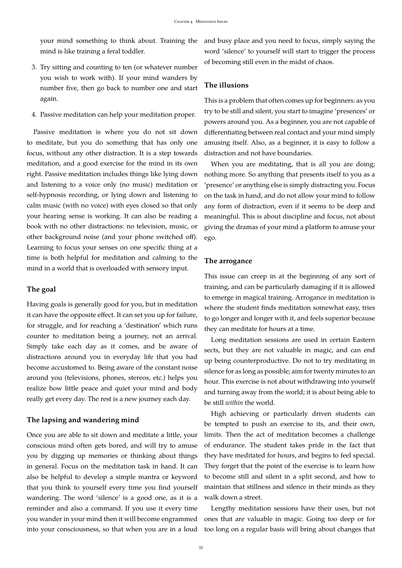mind is like training a feral toddler.

- 3. Try sitting and counting to ten (or whatever number you wish to work with). If your mind wanders by number five, then go back to number one and start again.
- 4. Passive meditation can help your meditation proper.

Passive meditation is where you do not sit down to meditate, but you do something that has only one focus, without any other distraction. It is a step towards meditation, and a good exercise for the mind in its own right. Passive meditation includes things like lying down and listening to a voice only (no music) meditation or self-hypnosis recording, or lying down and listening to calm music (with no voice) with eyes closed so that only your hearing sense is working. It can also be reading a book with no other distractions: no television, music, or other background noise (and your phone switched off). Learning to focus your senses on one specific thing at a time is both helpful for meditation and calming to the mind in a world that is overloaded with sensory input.

#### **The goal**

Having goals is generally good for you, but in meditation it can have the opposite effect. It can set you up for failure, for struggle, and for reaching a 'destination' which runs counter to meditation being a journey, not an arrival. Simply take each day as it comes, and be aware of distractions around you in everyday life that you had become accustomed to. Being aware of the constant noise around you (televisions, phones, stereos, etc.) helps you realize how little peace and quiet your mind and body really get every day. The rest is a new journey each day.

#### **The lapsing and wandering mind**

Once you are able to sit down and meditate a little, your conscious mind often gets bored, and will try to amuse you by digging up memories or thinking about things in general. Focus on the meditation task in hand. It can also be helpful to develop a simple mantra or keyword that you think to yourself every time you find yourself wandering. The word 'silence' is a good one, as it is a reminder and also a command. If you use it every time you wander in your mind then it will become engrammed into your consciousness, so that when you are in a loud

your mind something to think about. Training the and busy place and you need to focus, simply saying the word 'silence' to yourself will start to trigger the process of becoming still even in the midst of chaos.

#### **The illusions**

This is a problem that often comes up for beginners: as you try to be still and silent, you start to imagine 'presences' or powers around you. As a beginner, you are not capable of differentiating between real contact and your mind simply amusing itself. Also, as a beginner, it is easy to follow a distraction and not have boundaries.

When you are meditating, that is all you are doing; nothing more. So anything that presents itself to you as a 'presence' or anything else is simply distracting you. Focus on the task in hand, and do not allow your mind to follow any form of distraction, even if it seems to be deep and meaningful. This is about discipline and focus, not about giving the dramas of your mind a platform to amuse your ego.

#### **The arrogance**

This issue can creep in at the beginning of any sort of training, and can be particularly damaging if it is allowed to emerge in magical training. Arrogance in meditation is where the student finds meditation somewhat easy, tries to go longer and longer with it, and feels superior because they can meditate for hours at a time.

Long meditation sessions are used in certain Eastern sects, but they are not valuable in magic, and can end up being counterproductive. Do not to try meditating in silence for as long as possible; aim for twenty minutes to an hour. This exercise is not about withdrawing into yourself and turning away from the world; it is about being able to be still *within* the world.

High achieving or particularly driven students can be tempted to push an exercise to its, and their own, limits. Then the act of meditation becomes a challenge of endurance. The student takes pride in the fact that they have meditated for hours, and begins to feel special. They forget that the point of the exercise is to learn how to become still and silent in a split second, and how to maintain that stillness and silence in their minds as they walk down a street.

Lengthy meditation sessions have their uses, but not ones that are valuable in magic. Going too deep or for too long on a regular basis will bring about changes that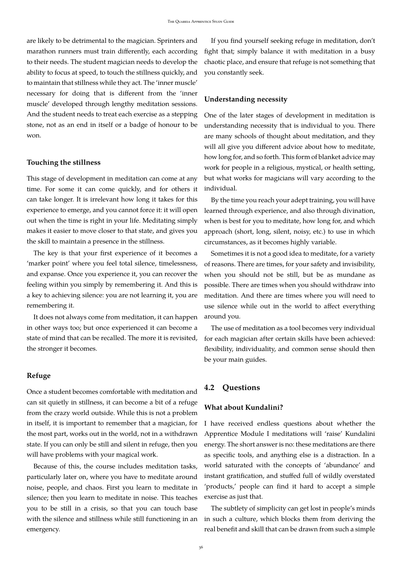are likely to be detrimental to the magician. Sprinters and marathon runners must train differently, each according to their needs. The student magician needs to develop the ability to focus at speed, to touch the stillness quickly, and to maintain that stillness while they act. The 'inner muscle' necessary for doing that is different from the 'inner muscle' developed through lengthy meditation sessions. And the student needs to treat each exercise as a stepping stone, not as an end in itself or a badge of honour to be won.

#### **Touching the stillness**

This stage of development in meditation can come at any time. For some it can come quickly, and for others it can take longer. It is irrelevant how long it takes for this experience to emerge, and you cannot force it: it will open out when the time is right in your life. Meditating simply makes it easier to move closer to that state, and gives you the skill to maintain a presence in the stillness.

The key is that your first experience of it becomes a 'marker point' where you feel total silence, timelessness, and expanse. Once you experience it, you can recover the feeling within you simply by remembering it. And this is a key to achieving silence: you are not learning it, you are remembering it.

It does not always come from meditation, it can happen in other ways too; but once experienced it can become a state of mind that can be recalled. The more it is revisited, the stronger it becomes.

#### **Refuge**

Once a student becomes comfortable with meditation and can sit quietly in stillness, it can become a bit of a refuge from the crazy world outside. While this is not a problem in itself, it is important to remember that a magician, for the most part, works out in the world, not in a withdrawn state. If you can only be still and silent in refuge, then you will have problems with your magical work.

Because of this, the course includes meditation tasks, particularly later on, where you have to meditate around noise, people, and chaos. First you learn to meditate in silence; then you learn to meditate in noise. This teaches you to be still in a crisis, so that you can touch base with the silence and stillness while still functioning in an emergency.

If you find yourself seeking refuge in meditation, don't fight that; simply balance it with meditation in a busy chaotic place, and ensure that refuge is not something that you constantly seek.

#### **Understanding necessity**

One of the later stages of development in meditation is understanding necessity that is individual to you. There are many schools of thought about meditation, and they will all give you different advice about how to meditate, how long for, and so forth. This form of blanket advice may work for people in a religious, mystical, or health setting, but what works for magicians will vary according to the individual.

By the time you reach your adept training, you will have learned through experience, and also through divination, when is best for you to meditate, how long for, and which approach (short, long, silent, noisy, etc.) to use in which circumstances, as it becomes highly variable.

Sometimes it is not a good idea to meditate, for a variety of reasons. There are times, for your safety and invisibility, when you should not be still, but be as mundane as possible. There are times when you should withdraw into meditation. And there are times where you will need to use silence while out in the world to affect everything around you.

The use of meditation as a tool becomes very individual for each magician after certain skills have been achieved: flexibility, individuality, and common sense should then be your main guides.

#### <span id="page-35-0"></span>**4.2 Questions**

#### **What about Kundalini?**

I have received endless questions about whether the Apprentice Module I meditations will 'raise' Kundalini energy. The short answer is no: these meditations are there as specific tools, and anything else is a distraction. In a world saturated with the concepts of 'abundance' and instant gratification, and stuffed full of wildly overstated 'products,' people can find it hard to accept a simple exercise as just that.

The subtlety of simplicity can get lost in people's minds in such a culture, which blocks them from deriving the real benefit and skill that can be drawn from such a simple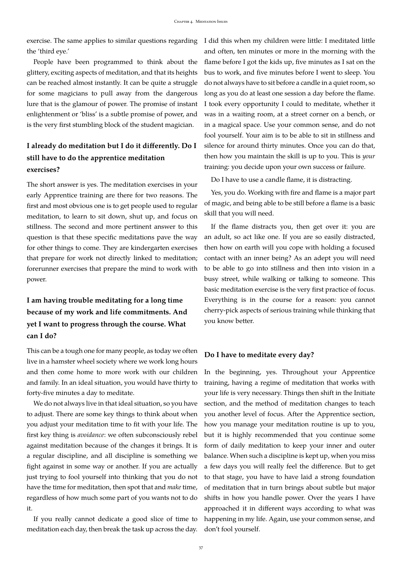exercise. The same applies to similar questions regarding I did this when my children were little: I meditated little the 'third eye.'

People have been programmed to think about the glittery, exciting aspects of meditation, and that its heights can be reached almost instantly. It can be quite a struggle for some magicians to pull away from the dangerous lure that is the glamour of power. The promise of instant enlightenment or 'bliss' is a subtle promise of power, and is the very first stumbling block of the student magician.

# **I already do meditation but I do it differently. Do I still have to do the apprentice meditation exercises?**

The short answer is yes. The meditation exercises in your early Apprentice training are there for two reasons. The first and most obvious one is to get people used to regular meditation, to learn to sit down, shut up, and focus on stillness. The second and more pertinent answer to this question is that these specific meditations pave the way for other things to come. They are kindergarten exercises that prepare for work not directly linked to meditation; forerunner exercises that prepare the mind to work with power.

# **I am having trouble meditating for a long time because of my work and life commitments. And yet I want to progress through the course. What can I do?**

This can be a tough one for many people, as today we often live in a hamster wheel society where we work long hours and then come home to more work with our children and family. In an ideal situation, you would have thirty to forty-five minutes a day to meditate.

We do not always live in that ideal situation, so you have to adjust. There are some key things to think about when you adjust your meditation time to fit with your life. The first key thing is *avoidance*: we often subconsciously rebel against meditation because of the changes it brings. It is a regular discipline, and all discipline is something we fight against in some way or another. If you are actually just trying to fool yourself into thinking that you do not have the time for meditation, then spot that and *make* time, regardless of how much some part of you wants not to do it.

If you really cannot dedicate a good slice of time to meditation each day, then break the task up across the day. don't fool yourself.

and often, ten minutes or more in the morning with the flame before I got the kids up, five minutes as I sat on the bus to work, and five minutes before I went to sleep. You do not always have to sit before a candle in a quiet room, so long as you do at least one session a day before the flame. I took every opportunity I could to meditate, whether it was in a waiting room, at a street corner on a bench, or in a magical space. Use your common sense, and do not fool yourself. Your aim is to be able to sit in stillness and silence for around thirty minutes. Once you can do that, then how you maintain the skill is up to you. This is *your* training: you decide upon your own success or failure.

Do I have to use a candle flame, it is distracting.

Yes, you do. Working with fire and flame is a major part of magic, and being able to be still before a flame is a basic skill that you will need.

If the flame distracts you, then get over it: you are an adult, so act like one. If you are so easily distracted, then how on earth will you cope with holding a focused contact with an inner being? As an adept you will need to be able to go into stillness and then into vision in a busy street, while walking or talking to someone. This basic meditation exercise is the very first practice of focus. Everything is in the course for a reason: you cannot cherry-pick aspects of serious training while thinking that you know better.

#### **Do I have to meditate every day?**

In the beginning, yes. Throughout your Apprentice training, having a regime of meditation that works with your life is very necessary. Things then shift in the Initiate section, and the method of meditation changes to teach you another level of focus. After the Apprentice section, how you manage your meditation routine is up to you, but it is highly recommended that you continue some form of daily meditation to keep your inner and outer balance. When such a discipline is kept up, when you miss a few days you will really feel the difference. But to get to that stage, you have to have laid a strong foundation of meditation that in turn brings about subtle but major shifts in how you handle power. Over the years I have approached it in different ways according to what was happening in my life. Again, use your common sense, and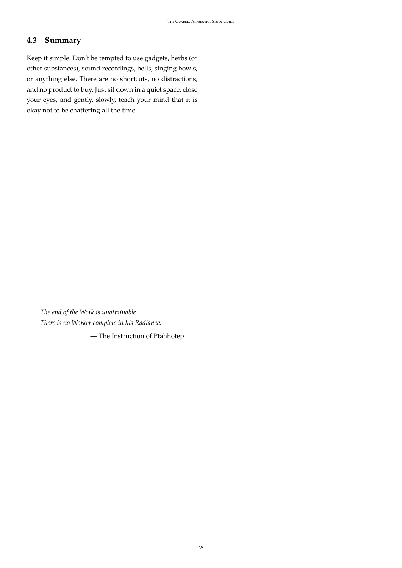# <span id="page-37-0"></span>**4.3 Summary**

Keep it simple. Don't be tempted to use gadgets, herbs (or other substances), sound recordings, bells, singing bowls, or anything else. There are no shortcuts, no distractions, and no product to buy. Just sit down in a quiet space, close your eyes, and gently, slowly, teach your mind that it is okay not to be chattering all the time.

*The end of the Work is unattainable. There is no Worker complete in his Radiance.*

*—* The Instruction of Ptahhotep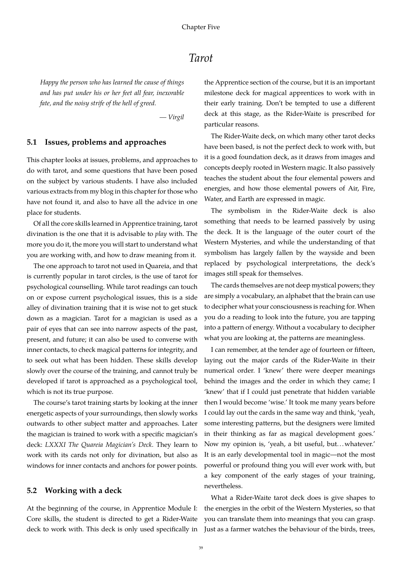# *Tarot*

<span id="page-38-0"></span>*Happy the person who has learned the cause of things and has put under his or her feet all fear, inexorable fate, and the noisy strife of the hell of greed.*

*— Virgil*

#### <span id="page-38-1"></span>**5.1 Issues, problems and approaches**

This chapter looks at issues, problems, and approaches to do with tarot, and some questions that have been posed on the subject by various students. I have also included various extracts from my blog in this chapter for those who have not found it, and also to have all the advice in one place for students.

Of all the core skills learned in Apprentice training, tarot divination is the one that it is advisable to *play* with. The more you do it, the more you will start to understand what you are working with, and how to draw meaning from it.

The one approach to tarot not used in Quareia, and that is currently popular in tarot circles, is the use of tarot for psychological counselling. While tarot readings can touch on or expose current psychological issues, this is a side alley of divination training that it is wise not to get stuck down as a magician. Tarot for a magician is used as a pair of eyes that can see into narrow aspects of the past, present, and future; it can also be used to converse with inner contacts, to check magical patterns for integrity, and to seek out what has been hidden. These skills develop slowly over the course of the training, and cannot truly be developed if tarot is approached as a psychological tool, which is not its true purpose.

The course's tarot training starts by looking at the inner energetic aspects of your surroundings, then slowly works outwards to other subject matter and approaches. Later the magician is trained to work with a specific magician's deck: *LXXXI The Quareia Magician's Deck*. They learn to work with its cards not only for divination, but also as windows for inner contacts and anchors for power points.

### <span id="page-38-2"></span>**5.2 Working with a deck**

At the beginning of the course, in Apprentice Module I: Core skills, the student is directed to get a Rider-Waite deck to work with. This deck is only used specifically in the Apprentice section of the course, but it is an important milestone deck for magical apprentices to work with in their early training. Don't be tempted to use a different deck at this stage, as the Rider-Waite is prescribed for particular reasons.

The Rider-Waite deck, on which many other tarot decks have been based, is not the perfect deck to work with, but it is a good foundation deck, as it draws from images and concepts deeply rooted in Western magic. It also passively teaches the student about the four elemental powers and energies, and how those elemental powers of Air, Fire, Water, and Earth are expressed in magic.

The symbolism in the Rider-Waite deck is also something that needs to be learned passively by using the deck. It is the language of the outer court of the Western Mysteries, and while the understanding of that symbolism has largely fallen by the wayside and been replaced by psychological interpretations, the deck's images still speak for themselves.

The cards themselves are not deep mystical powers; they are simply a vocabulary, an alphabet that the brain can use to decipher what your consciousness is reaching for. When you do a reading to look into the future, you are tapping into a pattern of energy. Without a vocabulary to decipher what you are looking at, the patterns are meaningless.

I can remember, at the tender age of fourteen or fifteen, laying out the major cards of the Rider-Waite in their numerical order. I 'knew' there were deeper meanings behind the images and the order in which they came; I 'knew' that if I could just penetrate that hidden variable then I would become 'wise.' It took me many years before I could lay out the cards in the same way and think, 'yeah, some interesting patterns, but the designers were limited in their thinking as far as magical development goes.' Now my opinion is, 'yeah, a bit useful, but...whatever.' It is an early developmental tool in magic—not the most powerful or profound thing you will ever work with, but a key component of the early stages of your training, nevertheless.

What a Rider-Waite tarot deck does is give shapes to the energies in the orbit of the Western Mysteries, so that you can translate them into meanings that you can grasp. Just as a farmer watches the behaviour of the birds, trees,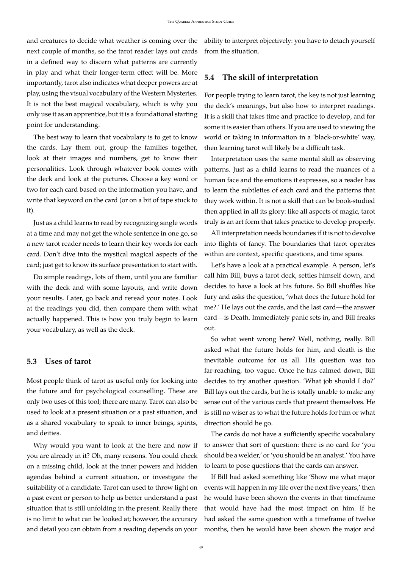and creatures to decide what weather is coming over the next couple of months, so the tarot reader lays out cards in a defined way to discern what patterns are currently in play and what their longer-term effect will be. More importantly, tarot also indicates what deeper powers are at play, using the visual vocabulary of the Western Mysteries. It is not the best magical vocabulary, which is why you only use it as an apprentice, but it is a foundational starting point for understanding.

The best way to learn that vocabulary is to get to know the cards. Lay them out, group the families together, look at their images and numbers, get to know their personalities. Look through whatever book comes with the deck and look at the pictures. Choose a key word or two for each card based on the information you have, and write that keyword on the card (or on a bit of tape stuck to it).

Just as a child learns to read by recognizing single words at a time and may not get the whole sentence in one go, so a new tarot reader needs to learn their key words for each card. Don't dive into the mystical magical aspects of the card; just get to know its surface presentation to start with.

Do simple readings, lots of them, until you are familiar with the deck and with some layouts, and write down your results. Later, go back and reread your notes. Look at the readings you did, then compare them with what actually happened. This is how you truly begin to learn your vocabulary, as well as the deck.

#### <span id="page-39-0"></span>**5.3 Uses of tarot**

Most people think of tarot as useful only for looking into the future and for psychological counselling. These are only two uses of this tool; there are many. Tarot can also be used to look at a present situation or a past situation, and as a shared vocabulary to speak to inner beings, spirits, and deities.

Why would you want to look at the here and now if you are already in it? Oh, many reasons. You could check on a missing child, look at the inner powers and hidden agendas behind a current situation, or investigate the suitability of a candidate. Tarot can used to throw light on a past event or person to help us better understand a past situation that is still unfolding in the present. Really there is no limit to what can be looked at; however, the accuracy and detail you can obtain from a reading depends on your ability to interpret objectively: you have to detach yourself from the situation.

#### <span id="page-39-1"></span>**5.4 The skill of interpretation**

For people trying to learn tarot, the key is not just learning the deck's meanings, but also how to interpret readings. It is a skill that takes time and practice to develop, and for some it is easier than others. If you are used to viewing the world or taking in information in a 'black-or-white' way, then learning tarot will likely be a difficult task.

Interpretation uses the same mental skill as observing patterns. Just as a child learns to read the nuances of a human face and the emotions it expresses, so a reader has to learn the subtleties of each card and the patterns that they work within. It is not a skill that can be book-studied then applied in all its glory: like all aspects of magic, tarot truly is an art form that takes practice to develop properly.

All interpretation needs boundaries if it is not to devolve into flights of fancy. The boundaries that tarot operates within are context, specific questions, and time spans.

Let's have a look at a practical example. A person, let's call him Bill, buys a tarot deck, settles himself down, and decides to have a look at his future. So Bill shuffles like fury and asks the question, 'what does the future hold for me?.' He lays out the cards, and the last card—the answer card—is Death. Immediately panic sets in, and Bill freaks out.

So what went wrong here? Well, nothing, really. Bill asked what the future holds for him, and death is the inevitable outcome for us all. His question was too far-reaching, too vague. Once he has calmed down, Bill decides to try another question. 'What job should I do?' Bill lays out the cards, but he is totally unable to make any sense out of the various cards that present themselves. He is still no wiser as to what the future holds for him or what direction should he go.

The cards do not have a sufficiently specific vocabulary to answer that sort of question: there is no card for 'you should be a welder,' or 'you should be an analyst.' You have to learn to pose questions that the cards can answer.

If Bill had asked something like 'Show me what major events will happen in my life over the next five years,' then he would have been shown the events in that timeframe that would have had the most impact on him. If he had asked the same question with a timeframe of twelve months, then he would have been shown the major and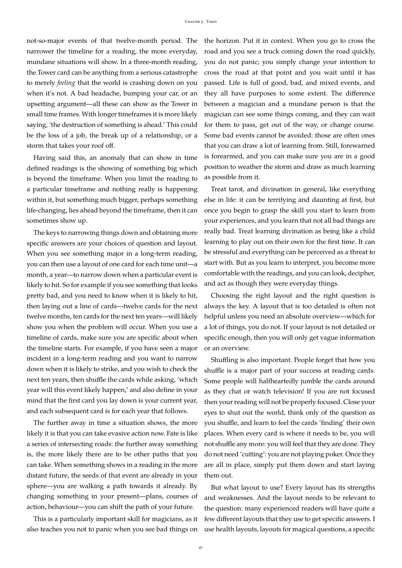not-so-major events of that twelve-month period. The narrower the timeline for a reading, the more everyday, mundane situations will show. In a three-month reading, the Tower card can be anything from a serious catastrophe to merely *feeling* that the world is crashing down on you when it's not. A bad headache, bumping your car, or an upsetting argument—all these can show as the Tower in small time frames. With longer timeframes it is more likely saying, 'the destruction of something is ahead.' This could be the loss of a job, the break up of a relationship, or a storm that takes your roof off.

Having said this, an anomaly that can show in time defined readings is the showing of something big which is beyond the timeframe. When you limit the reading to a particular timeframe and nothing really is happening within it, but something much bigger, perhaps something life-changing, lies ahead beyond the timeframe, then it can sometimes show up.

The keys to narrowing things down and obtaining more specific answers are your choices of question and layout. When you see something major in a long-term reading, you can then use a layout of one card for each time unit—a month, a year—to narrow down when a particular event is likely to hit. So for example if you see something that looks pretty bad, and you need to know when it is likely to hit, then laying out a line of cards—twelve cards for the next twelve months, ten cards for the next ten years—will likely show you when the problem will occur. When you use a timeline of cards, make sure you are specific about when the timeline starts. For example, if you have seen a major incident in a long-term reading and you want to narrow down when it is likely to strike, and you wish to check the next ten years, then shuffle the cards while asking, 'which year will this event likely happen,' and also define in your mind that the first card you lay down is your current year, and each subsequent card is for each year that follows.

The further away in time a situation shows, the more likely it is that you can take evasive action now. Fate is like a series of intersecting roads: the further away something is, the more likely there are to be other paths that you can take. When something shows in a reading in the more distant future, the seeds of that event are already in your sphere—you are walking a path towards it already. By changing something in your present—plans, courses of action, behaviour—you can shift the path of your future.

This is a particularly important skill for magicians, as it also teaches you not to panic when you see bad things on

the horizon. Put it in context. When you go to cross the road and you see a truck coming down the road quickly, you do not panic; you simply change your intention to cross the road at that point and you wait until it has passed. Life is full of good, bad, and mixed events, and they all have purposes to some extent. The difference between a magician and a mundane person is that the magician can see some things coming, and they can wait for them to pass, get out of the way, or change course. Some bad events cannot be avoided: those are often ones that you can draw a lot of learning from. Still, forewarned is forearmed, and you can make sure you are in a good position to weather the storm and draw as much learning as possible from it.

Treat tarot, and divination in general, like everything else in life: it can be terrifying and daunting at first, but once you begin to grasp the skill you start to learn from your experiences, and you learn that not all bad things are really bad. Treat learning divination as being like a child learning to play out on their own for the first time. It can be stressful and everything can be perceived as a threat to start with. But as you learn to interpret, you become more comfortable with the readings, and you can look, decipher, and act as though they were everyday things.

Choosing the right layout and the right question is always the key. A layout that is too detailed is often not helpful unless you need an absolute overview—which for a lot of things, you do not. If your layout is not detailed or specific enough, then you will only get vague information or an overview.

Shuffling is also important. People forget that how you shuffle is a major part of your success at reading cards. Some people will halfheartedly jumble the cards around as they chat or watch television! If you are not focused then your reading will not be properly focused. Close your eyes to shut out the world, think only of the question as you shuffle, and learn to feel the cards 'finding' their own places. When every card is where it needs to be, you will not shuffle any more: you will feel that they are done. They do not need 'cutting': you are not playing poker. Once they are all in place, simply put them down and start laying them out.

But what layout to use? Every layout has its strengths and weaknesses. And the layout needs to be relevant to the question: many experienced readers will have quite a few different layouts that they use to get specific answers. I use health layouts, layouts for magical questions, a specific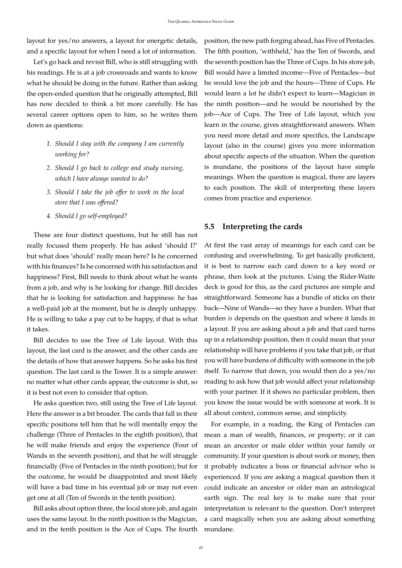layout for yes/no answers, a layout for energetic details, and a specific layout for when I need a lot of information.

Let's go back and revisit Bill, who is still struggling with his readings. He is at a job crossroads and wants to know what he should be doing in the future. Rather than asking the open-ended question that he originally attempted, Bill has now decided to think a bit more carefully. He has several career options open to him, so he writes them down as questions:

- *1. Should I stay with the company I am currently working for?*
- *2. Should I go back to college and study nursing, which I have always wanted to do?*
- *3. Should I take the job offer to work in the local store that I was offered?*
- *4. Should I go self-employed?*

These are four distinct questions, but he still has not really focused them properly. He has asked 'should I?' but what does 'should' really mean here? Is he concerned with his finances? Is he concerned with his satisfaction and happiness? First, Bill needs to think about what he wants from a job, and why is he looking for change. Bill decides that he is looking for satisfaction and happiness: he has a well-paid job at the moment, but he is deeply unhappy. He is willing to take a pay cut to be happy, if that is what it takes.

Bill decides to use the Tree of Life layout. With this layout, the last card is the answer, and the other cards are the details of how that answer happens. So he asks his first question. The last card is the Tower. It is a simple answer: no matter what other cards appear, the outcome is shit, so it is best not even to consider that option.

He asks question two, still using the Tree of Life layout. Here the answer is a bit broader. The cards that fall in their specific positions tell him that he will mentally enjoy the challenge (Three of Pentacles in the eighth position), that he will make friends and enjoy the experience (Four of Wands in the seventh position), and that he will struggle financially (Five of Pentacles in the ninth position); but for the outcome, he would be disappointed and most likely will have a bad time in his eventual job or may not even get one at all (Ten of Swords in the tenth position).

Bill asks about option three, the local store job, and again uses the same layout. In the ninth position is the Magician, and in the tenth position is the Ace of Cups. The fourth position, the new path forging ahead, has Five of Pentacles. The fifth position, 'withheld,' has the Ten of Swords, and the seventh position has the Three of Cups. In his store job, Bill would have a limited income—Five of Pentacles—but he would love the job and the hours—Three of Cups. He would learn a lot he didn't expect to learn—Magician in the ninth position—and he would be nourished by the job—Ace of Cups. The Tree of Life layout, which you learn in the course, gives straightforward answers. When you need more detail and more specifics, the Landscape layout (also in the course) gives you more information about specific aspects of the situation. When the question is mundane, the positions of the layout have simple meanings. When the question is magical, there are layers to each position. The skill of interpreting these layers comes from practice and experience.

#### <span id="page-41-0"></span>**5.5 Interpreting the cards**

At first the vast array of meanings for each card can be confusing and overwhelming. To get basically proficient, it is best to narrow each card down to a key word or phrase, then look at the pictures. Using the Rider-Waite deck is good for this, as the card pictures are simple and straightforward. Someone has a bundle of sticks on their back—Nine of Wands—so they have a burden. What that burden *is* depends on the question and where it lands in a layout. If you are asking about a job and that card turns up in a relationship position, then it could mean that your relationship will have problems if you take that job, or that you will have burdens of difficulty with someone in the job itself. To narrow that down, you would then do a yes/no reading to ask how that job would affect your relationship with your partner. If it shows no particular problem, then you know the issue would be with someone at work. It is all about context, common sense, and simplicity.

For example, in a reading, the King of Pentacles can mean a man of wealth, finances, or property; or it can mean an ancestor or male elder within your family or community. If your question is about work or money, then it probably indicates a boss or financial advisor who is experienced. If you are asking a magical question then it could indicate an ancestor or older man an astrological earth sign. The real key is to make sure that your interpretation is relevant to the question. Don't interpret a card magically when you are asking about something mundane.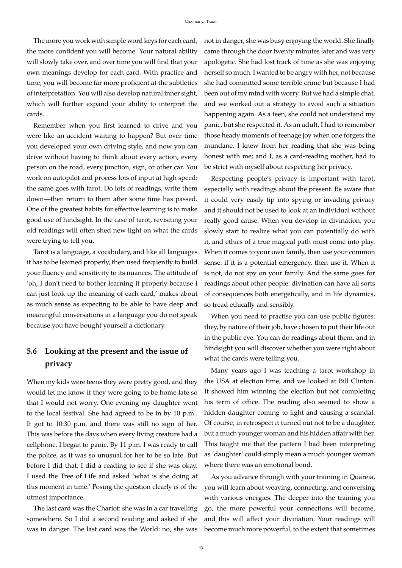The more you work with simple word keys for each card, the more confident you will become. Your natural ability will slowly take over, and over time you will find that your own meanings develop for each card. With practice and time, you will become far more proficient at the subtleties of interpretation. You will also develop natural inner sight, which will further expand your ability to interpret the cards.

Remember when you first learned to drive and you were like an accident waiting to happen? But over time you developed your own driving style, and now you can drive without having to think about every action, every person on the road, every junction, sign, or other car. You work on autopilot and process lots of input at high speed: the same goes with tarot. Do lots of readings, write them down—then return to them after some time has passed. One of the greatest habits for effective learning is to make good use of hindsight. In the case of tarot, revisiting your old readings will often shed new light on what the cards were trying to tell you.

Tarot is a language, a vocabulary, and like all languages it has to be learned properly, then used frequently to build your fluency and sensitivity to its nuances. The attitude of 'oh, I don't need to bother learning it properly because I can just look up the meaning of each card,' makes about as much sense as expecting to be able to have deep and meaningful conversations in a language you do not speak because you have bought yourself a dictionary.

# <span id="page-42-0"></span>**5.6 Looking at the present and the issue of privacy**

When my kids were teens they were pretty good, and they would let me know if they were going to be home late so that I would not worry. One evening my daughter went to the local festival. She had agreed to be in by 10 p.m.. It got to 10:30 p.m. and there was still no sign of her. This was before the days when every living creature had a cellphone. I began to panic. By 11 p.m. I was ready to call the police, as it was so unusual for her to be so late. But before I did that, I did a reading to see if she was okay. I used the Tree of Life and asked 'what is she doing at this moment in time.' Posing the question clearly is of the utmost importance.

The last card was the Chariot: she was in a car travelling somewhere. So I did a second reading and asked if she was in danger. The last card was the World: no, she was not in danger, she was busy enjoying the world. She finally came through the door twenty minutes later and was very apologetic. She had lost track of time as she was enjoying herself so much. I wanted to be angry with her, not because she had committed some terrible crime but because I had been out of my mind with worry. But we had a simple chat, and we worked out a strategy to avoid such a situation happening again. As a teen, she could not understand my panic, but she respected it. As an adult, I had to remember those heady moments of teenage joy when one forgets the mundane. I knew from her reading that she was being honest with me; and I, as a card-reading mother, had to be strict with myself about respecting her privacy.

Respecting people's privacy is important with tarot, especially with readings about the present. Be aware that it could very easily tip into spying or invading privacy and it should not be used to look at an individual without really good cause. When you develop in divination, you slowly start to realize what you can potentially do with it, and ethics of a true magical path must come into play. When it comes to your own family, then use your common sense: if it is a potential emergency, then use it. When it is not, do not spy on your family. And the same goes for readings about other people: divination can have all sorts of consequences both energetically, and in life dynamics, so tread ethically and sensibly.

When you need to practise you can use public figures: they, by nature of their job, have chosen to put their life out in the public eye. You can do readings about them, and in hindsight you will discover whether you were right about what the cards were telling you.

Many years ago I was teaching a tarot workshop in the USA at election time, and we looked at Bill Clinton. It showed him winning the election but not completing his term of office. The reading also seemed to show a hidden daughter coming to light and causing a scandal. Of course, in retrospect it turned out not to be a daughter, but a much younger woman and his hidden affair with her. This taught me that the pattern I had been interpreting as 'daughter' could simply mean a much younger woman where there was an emotional bond.

As you advance through with your training in Quareia, you will learn about weaving, connecting, and conversing with various energies. The deeper into the training you go, the more powerful your connections will become, and this will affect your divination. Your readings will become much more powerful, to the extent that sometimes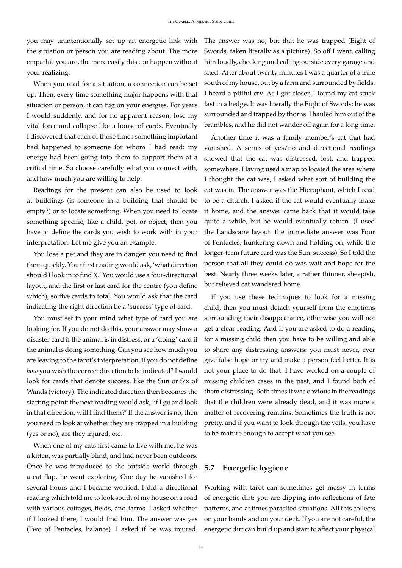you may unintentionally set up an energetic link with the situation or person you are reading about. The more empathic you are, the more easily this can happen without your realizing.

When you read for a situation, a connection can be set up. Then, every time something major happens with that situation or person, it can tug on your energies. For years I would suddenly, and for no apparent reason, lose my vital force and collapse like a house of cards. Eventually I discovered that each of those times something important had happened to someone for whom I had read: my energy had been going into them to support them at a critical time. So choose carefully what you connect with, and how much you are willing to help.

Readings for the present can also be used to look at buildings (is someone in a building that should be empty?) or to locate something. When you need to locate something specific, like a child, pet, or object, then you have to define the cards you wish to work with in your interpretation. Let me give you an example.

You lose a pet and they are in danger: you need to find them quickly. Your first reading would ask, 'what direction should I look in to find X.' You would use a four-directional layout, and the first or last card for the centre (you define which), so five cards in total. You would ask that the card indicating the right direction be a 'success' type of card.

You must set in your mind what type of card you are looking for. If you do not do this, your answer may show a disaster card if the animal is in distress, or a 'doing' card if the animal is doing something. Can you see how much you are leaving to the tarot's interpretation, if you do not define *how* you wish the correct direction to be indicated? I would look for cards that denote success, like the Sun or Six of Wands (victory). The indicated direction then becomes the starting point: the next reading would ask, 'if I go and look in that direction, will I find them?' If the answer is no, then you need to look at whether they are trapped in a building (yes or no), are they injured, etc.

When one of my cats first came to live with me, he was a kitten, was partially blind, and had never been outdoors. Once he was introduced to the outside world through a cat flap, he went exploring. One day he vanished for several hours and I became worried. I did a directional reading which told me to look south of my house on a road with various cottages, fields, and farms. I asked whether if I looked there, I would find him. The answer was yes (Two of Pentacles, balance). I asked if he was injured. The answer was no, but that he was trapped (Eight of Swords, taken literally as a picture). So off I went, calling him loudly, checking and calling outside every garage and shed. After about twenty minutes I was a quarter of a mile south of my house, out by a farm and surrounded by fields. I heard a pitiful cry. As I got closer, I found my cat stuck fast in a hedge. It was literally the Eight of Swords: he was surrounded and trapped by thorns. I hauled him out of the brambles, and he did not wander off again for a long time.

Another time it was a family member's cat that had vanished. A series of yes/no and directional readings showed that the cat was distressed, lost, and trapped somewhere. Having used a map to located the area where I thought the cat was, I asked what sort of building the cat was in. The answer was the Hierophant, which I read to be a church. I asked if the cat would eventually make it home, and the answer came back that it would take quite a while, but he would eventually return. (I used the Landscape layout: the immediate answer was Four of Pentacles, hunkering down and holding on, while the longer-term future card was the Sun: success). So I told the person that all they could do was wait and hope for the best. Nearly three weeks later, a rather thinner, sheepish, but relieved cat wandered home.

If you use these techniques to look for a missing child, then you must detach yourself from the emotions surrounding their disappearance, otherwise you will not get a clear reading. And if you are asked to do a reading for a missing child then you have to be willing and able to share any distressing answers: you must never, ever give false hope or try and make a person feel better. It is not your place to do that. I have worked on a couple of missing children cases in the past, and I found both of them distressing. Both times it was obvious in the readings that the children were already dead, and it was more a matter of recovering remains. Sometimes the truth is not pretty, and if you want to look through the veils, you have to be mature enough to accept what you see.

#### <span id="page-43-0"></span>**5.7 Energetic hygiene**

Working with tarot can sometimes get messy in terms of energetic dirt: you are dipping into reflections of fate patterns, and at times parasited situations. All this collects on your hands and on your deck. If you are not careful, the energetic dirt can build up and start to affect your physical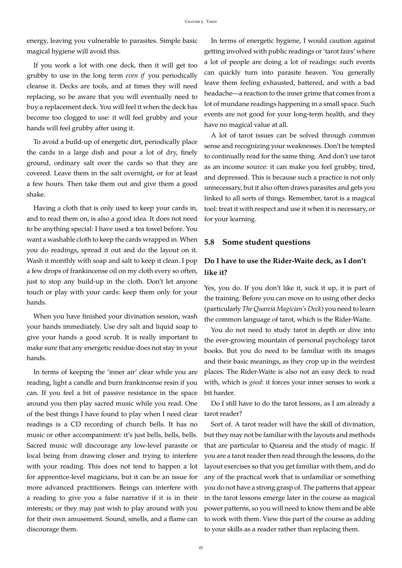energy, leaving you vulnerable to parasites. Simple basic magical hygiene will avoid this.

If you work a lot with one deck, then it will get too grubby to use in the long term *even if* you periodically cleanse it. Decks are tools, and at times they will need replacing, so be aware that you will eventually need to buy a replacement deck. You will feel it when the deck has become too clogged to use: it will feel grubby and your hands will feel grubby after using it.

To avoid a build-up of energetic dirt, periodically place the cards in a large dish and pour a lot of dry, finely ground, ordinary salt over the cards so that they are covered. Leave them in the salt overnight, or for at least a few hours. Then take them out and give them a good shake.

Having a cloth that is only used to keep your cards in, and to read them on, is also a good idea. It does not need to be anything special: I have used a tea towel before. You want a washable cloth to keep the cards wrapped in. When you do readings, spread it out and do the layout on it. Wash it monthly with soap and salt to keep it clean. I pop a few drops of frankincense oil on my cloth every so often, just to stop any build-up in the cloth. Don't let anyone touch or play with your cards: keep them only for your hands.

When you have finished your divination session, wash your hands immediately. Use dry salt and liquid soap to give your hands a good scrub. It is really important to make sure that any energetic residue does not stay in your hands.

In terms of keeping the 'inner air' clear while you are reading, light a candle and burn frankincense resin if you can. If you feel a bit of passive resistance in the space around you then play sacred music while you read. One of the best things I have found to play when I need clear readings is a CD recording of church bells. It has no music or other accompaniment: it's just bells, bells, bells. Sacred music will discourage any low-level parasite or local being from drawing closer and trying to interfere with your reading. This does not tend to happen a lot for apprentice-level magicians, but it can be an issue for more advanced practitioners. Beings can interfere with a reading to give you a false narrative if it is in their interests; or they may just wish to play around with you for their own amusement. Sound, smells, and a flame can discourage them.

In terms of energetic hygiene, I would caution against getting involved with public readings or 'tarot fairs' where a lot of people are doing a lot of readings: such events can quickly turn into parasite heaven. You generally leave them feeling exhausted, battered, and with a bad headache—a reaction to the inner grime that comes from a lot of mundane readings happening in a small space. Such events are not good for your long-term health, and they have no magical value at all.

A lot of tarot issues can be solved through common sense and recognizing your weaknesses. Don't be tempted to continually read for the same thing. And don't use tarot as an income source: it can make you feel grubby, tired, and depressed. This is because such a practice is not only unnecessary, but it also often draws parasites and gets you linked to all sorts of things. Remember, tarot is a magical tool: treat it with respect and use it when it is necessary, or for your learning.

#### <span id="page-44-0"></span>**5.8 Some student questions**

# **Do I have to use the Rider-Waite deck, as I don't like it?**

Yes, you do. If you don't like it, suck it up, it is part of the training. Before you can move on to using other decks (particularly *The Quareia Magician's Deck*) you need to learn the common language of tarot, which is the Rider-Waite.

You do not need to study tarot in depth or dive into the ever-growing mountain of personal psychology tarot books. But you do need to be familiar with its images and their basic meanings, as they crop up in the weirdest places. The Rider-Waite is also not an easy deck to read with, which is *good*: it forces your inner senses to work a bit harder.

Do I still have to do the tarot lessons, as I am already a tarot reader?

Sort of. A tarot reader will have the skill of divination, but they may not be familiar with the layouts and methods that are particular to Quareia and the study of magic. If you are a tarot reader then read through the lessons, do the layout exercises so that you get familiar with them, and do any of the practical work that is unfamiliar or something you do not have a strong grasp of. The patterns that appear in the tarot lessons emerge later in the course as magical power patterns, so you will need to know them and be able to work with them. View this part of the course as adding to your skills as a reader rather than replacing them.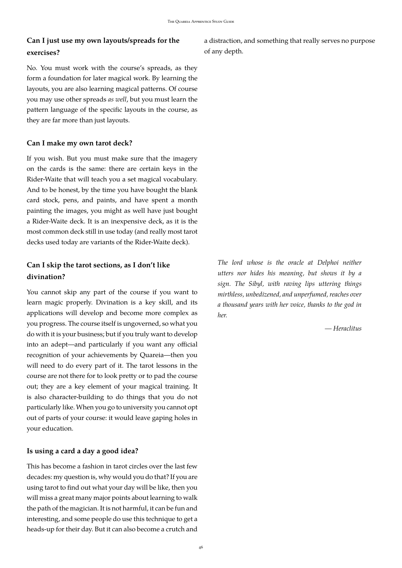# **Can I just use my own layouts/spreads for the exercises?**

No. You must work with the course's spreads, as they form a foundation for later magical work. By learning the layouts, you are also learning magical patterns. Of course you may use other spreads *as well*, but you must learn the pattern language of the specific layouts in the course, as they are far more than just layouts.

#### **Can I make my own tarot deck?**

If you wish. But you must make sure that the imagery on the cards is the same: there are certain keys in the Rider-Waite that will teach you a set magical vocabulary. And to be honest, by the time you have bought the blank card stock, pens, and paints, and have spent a month painting the images, you might as well have just bought a Rider-Waite deck. It is an inexpensive deck, as it is the most common deck still in use today (and really most tarot decks used today are variants of the Rider-Waite deck).

# **Can I skip the tarot sections, as I don't like divination?**

You cannot skip any part of the course if you want to learn magic properly. Divination is a key skill, and its applications will develop and become more complex as you progress. The course itself is ungoverned, so what you do with it is your business; but if you truly want to develop into an adept—and particularly if you want any official recognition of your achievements by Quareia—then you will need to do every part of it. The tarot lessons in the course are not there for to look pretty or to pad the course out; they are a key element of your magical training. It is also character-building to do things that you do not particularly like. When you go to university you cannot opt out of parts of your course: it would leave gaping holes in your education.

#### **Is using a card a day a good idea?**

This has become a fashion in tarot circles over the last few decades: my question is, why would you do that? If you are using tarot to find out what your day will be like, then you will miss a great many major points about learning to walk the path of the magician. It is not harmful, it can be fun and interesting, and some people do use this technique to get a heads-up for their day. But it can also become a crutch and a distraction, and something that really serves no purpose of any depth.

*The lord whose is the oracle at Delphoi neither utters nor hides his meaning, but shows it by a sign. The Sibyl, with raving lips uttering things mirthless, unbedizened, and unperfumed, reaches over a thousand years with her voice, thanks to the god in her.*

*— Heraclitus*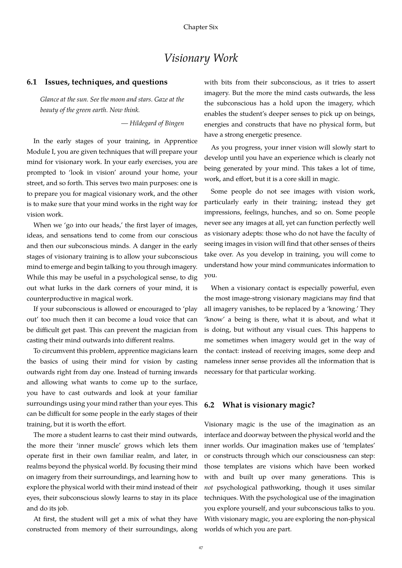# *Visionary Work*

#### <span id="page-46-0"></span>**6.1 Issues, techniques, and questions**

*Glance at the sun. See the moon and stars. Gaze at the beauty of the green earth. Now think.*

*— Hildegard of Bingen*

In the early stages of your training, in Apprentice Module I, you are given techniques that will prepare your mind for visionary work. In your early exercises, you are prompted to 'look in vision' around your home, your street, and so forth. This serves two main purposes: one is to prepare you for magical visionary work, and the other is to make sure that your mind works in the right way for vision work.

When we 'go into our heads,' the first layer of images, ideas, and sensations tend to come from our conscious and then our subconscious minds. A danger in the early stages of visionary training is to allow your subconscious mind to emerge and begin talking to you through imagery. While this may be useful in a psychological sense, to dig out what lurks in the dark corners of your mind, it is counterproductive in magical work.

If your subconscious is allowed or encouraged to 'play out' too much then it can become a loud voice that can be difficult get past. This can prevent the magician from casting their mind outwards into different realms.

To circumvent this problem, apprentice magicians learn the basics of using their mind for vision by casting outwards right from day one. Instead of turning inwards and allowing what wants to come up to the surface, you have to cast outwards and look at your familiar surroundings using your mind rather than your eyes. This can be difficult for some people in the early stages of their training, but it is worth the effort.

The more a student learns to cast their mind outwards, the more their 'inner muscle' grows which lets them operate first in their own familiar realm, and later, in realms beyond the physical world. By focusing their mind on imagery from their surroundings, and learning how to explore the physical world with their mind instead of their eyes, their subconscious slowly learns to stay in its place and do its job.

At first, the student will get a mix of what they have constructed from memory of their surroundings, along with bits from their subconscious, as it tries to assert imagery. But the more the mind casts outwards, the less the subconscious has a hold upon the imagery, which enables the student's deeper senses to pick up on beings, energies and constructs that have no physical form, but have a strong energetic presence.

As you progress, your inner vision will slowly start to develop until you have an experience which is clearly not being generated by your mind. This takes a lot of time, work, and effort, but it is a core skill in magic.

Some people do not see images with vision work, particularly early in their training; instead they get impressions, feelings, hunches, and so on. Some people never see any images at all, yet can function perfectly well as visionary adepts: those who do not have the faculty of seeing images in vision will find that other senses of theirs take over. As you develop in training, you will come to understand how your mind communicates information to you.

When a visionary contact is especially powerful, even the most image-strong visionary magicians may find that all imagery vanishes, to be replaced by a 'knowing.' They 'know' a being is there, what it is about, and what it is doing, but without any visual cues. This happens to me sometimes when imagery would get in the way of the contact: instead of receiving images, some deep and nameless inner sense provides all the information that is necessary for that particular working.

#### <span id="page-46-1"></span>**6.2 What is visionary magic?**

Visionary magic is the use of the imagination as an interface and doorway between the physical world and the inner worlds. Our imagination makes use of 'templates' or constructs through which our consciousness can step: those templates are visions which have been worked with and built up over many generations. This is *not* psychological pathworking, though it uses similar techniques. With the psychological use of the imagination you explore yourself, and your subconscious talks to you. With visionary magic, you are exploring the non-physical worlds of which you are part.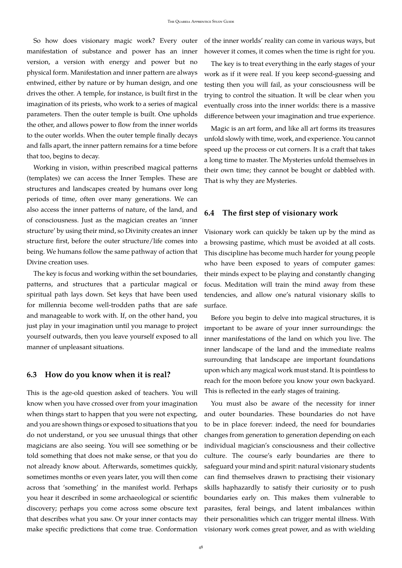So how does visionary magic work? Every outer manifestation of substance and power has an inner version, a version with energy and power but no physical form. Manifestation and inner pattern are always entwined, either by nature or by human design, and one drives the other. A temple, for instance, is built first in the imagination of its priests, who work to a series of magical parameters. Then the outer temple is built. One upholds the other, and allows power to flow from the inner worlds to the outer worlds. When the outer temple finally decays and falls apart, the inner pattern remains for a time before that too, begins to decay.

Working in vision, within prescribed magical patterns (templates) we can access the Inner Temples. These are structures and landscapes created by humans over long periods of time, often over many generations. We can also access the inner patterns of nature, of the land, and of consciousness. Just as the magician creates an 'inner structure' by using their mind, so Divinity creates an inner structure first, before the outer structure/life comes into being. We humans follow the same pathway of action that Divine creation uses.

The key is focus and working within the set boundaries, patterns, and structures that a particular magical or spiritual path lays down. Set keys that have been used for millennia become well-trodden paths that are safe and manageable to work with. If, on the other hand, you just play in your imagination until you manage to project yourself outwards, then you leave yourself exposed to all manner of unpleasant situations.

#### <span id="page-47-0"></span>**6.3 How do you know when it is real?**

This is the age-old question asked of teachers. You will know when you have crossed over from your imagination when things start to happen that you were not expecting, and you are shown things or exposed to situations that you do not understand, or you see unusual things that other magicians are also seeing. You will see something or be told something that does not make sense, or that you do not already know about. Afterwards, sometimes quickly, sometimes months or even years later, you will then come across that 'something' in the manifest world. Perhaps you hear it described in some archaeological or scientific discovery; perhaps you come across some obscure text that describes what you saw. Or your inner contacts may make specific predictions that come true. Conformation of the inner worlds' reality can come in various ways, but however it comes, it comes when the time is right for you.

The key is to treat everything in the early stages of your work as if it were real. If you keep second-guessing and testing then you will fail, as your consciousness will be trying to control the situation. It will be clear when you eventually cross into the inner worlds: there is a massive difference between your imagination and true experience.

Magic is an art form, and like all art forms its treasures unfold slowly with time, work, and experience. You cannot speed up the process or cut corners. It is a craft that takes a long time to master. The Mysteries unfold themselves in their own time; they cannot be bought or dabbled with. That is why they are Mysteries.

#### <span id="page-47-1"></span>**6.4 The first step of visionary work**

Visionary work can quickly be taken up by the mind as a browsing pastime, which must be avoided at all costs. This discipline has become much harder for young people who have been exposed to years of computer games: their minds expect to be playing and constantly changing focus. Meditation will train the mind away from these tendencies, and allow one's natural visionary skills to surface.

Before you begin to delve into magical structures, it is important to be aware of your inner surroundings: the inner manifestations of the land on which you live. The inner landscape of the land and the immediate realms surrounding that landscape are important foundations upon which any magical work must stand. It is pointless to reach for the moon before you know your own backyard. This is reflected in the early stages of training.

You must also be aware of the necessity for inner and outer boundaries. These boundaries do not have to be in place forever: indeed, the need for boundaries changes from generation to generation depending on each individual magician's consciousness and their collective culture. The course's early boundaries are there to safeguard your mind and spirit: natural visionary students can find themselves drawn to practising their visionary skills haphazardly to satisfy their curiosity or to push boundaries early on. This makes them vulnerable to parasites, feral beings, and latent imbalances within their personalities which can trigger mental illness. With visionary work comes great power, and as with wielding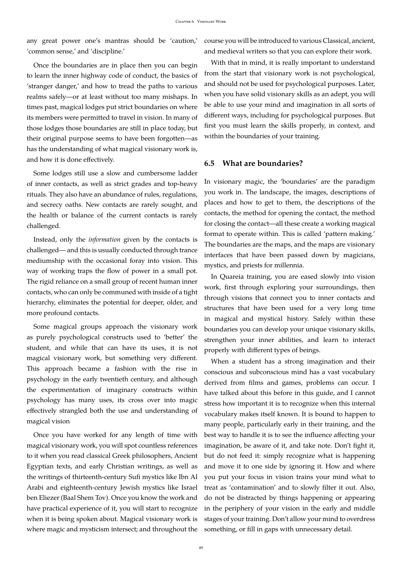any great power one's mantras should be 'caution,' 'common sense,' and 'discipline.'

Once the boundaries are in place then you can begin to learn the inner highway code of conduct, the basics of 'stranger danger,' and how to tread the paths to various realms safely—or at least without too many mishaps. In times past, magical lodges put strict boundaries on where its members were permitted to travel in vision. In many of those lodges those boundaries are still in place today, but their original purpose seems to have been forgotten—as has the understanding of what magical visionary work is, and how it is done effectively.

Some lodges still use a slow and cumbersome ladder of inner contacts, as well as strict grades and top-heavy rituals. They also have an abundance of rules, regulations, and secrecy oaths. New contacts are rarely sought, and the health or balance of the current contacts is rarely challenged.

Instead, only the *information* given by the contacts is challenged— and this is usually conducted through trance mediumship with the occasional foray into vision. This way of working traps the flow of power in a small pot. The rigid reliance on a small group of recent human inner contacts, who can only be communed with inside of a tight hierarchy, eliminates the potential for deeper, older, and more profound contacts.

Some magical groups approach the visionary work as purely psychological constructs used to 'better' the student, and while that can have its uses, it is not magical visionary work, but something very different. This approach became a fashion with the rise in psychology in the early twentieth century, and although the experimentation of imaginary constructs within psychology has many uses, its cross over into magic effectively strangled both the use and understanding of magical vision

Once you have worked for any length of time with magical visionary work, you will spot countless references to it when you read classical Greek philosophers, Ancient Egyptian texts, and early Christian writings, as well as the writings of thirteenth-century Sufi mystics like Ibn Al Arabi and eighteenth-century Jewish mystics like Israel ben Eliezer (Baal Shem Tov). Once you know the work and have practical experience of it, you will start to recognize when it is being spoken about. Magical visionary work is where magic and mysticism intersect; and throughout the course you will be introduced to various Classical, ancient, and medieval writers so that you can explore their work.

With that in mind, it is really important to understand from the start that visionary work is not psychological, and should not be used for psychological purposes. Later, when you have solid visionary skills as an adept, you will be able to use your mind and imagination in all sorts of different ways, including for psychological purposes. But first you must learn the skills properly, in context, and within the boundaries of your training.

#### <span id="page-48-0"></span>**6.5 What are boundaries?**

In visionary magic, the 'boundaries' are the paradigm you work in. The landscape, the images, descriptions of places and how to get to them, the descriptions of the contacts, the method for opening the contact, the method for closing the contact—all these create a working magical format to operate within. This is called 'pattern making.' The boundaries are the maps, and the maps are visionary interfaces that have been passed down by magicians, mystics, and priests for millennia.

In Quareia training, you are eased slowly into vision work, first through exploring your surroundings, then through visions that connect you to inner contacts and structures that have been used for a very long time in magical and mystical history. Safely within these boundaries you can develop your unique visionary skills, strengthen your inner abilities, and learn to interact properly with different types of beings.

When a student has a strong imagination and their conscious and subconscious mind has a vast vocabulary derived from films and games, problems can occur. I have talked about this before in this guide, and I cannot stress how important it is to recognize when this internal vocabulary makes itself known. It is bound to happen to many people, particularly early in their training, and the best way to handle it is to see the influence affecting your imagination, be aware of it, and take note. Don't fight it, but do not feed it: simply recognize what is happening and move it to one side by ignoring it. How and where you put your focus in vision trains your mind what to treat as 'contamination' and to slowly filter it out. Also, do not be distracted by things happening or appearing in the periphery of your vision in the early and middle stages of your training. Don't allow your mind to overdress something, or fill in gaps with unnecessary detail.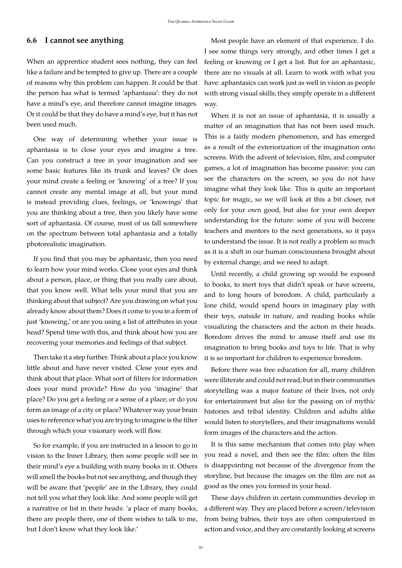#### <span id="page-49-0"></span>**6.6 I cannot see anything**

When an apprentice student sees nothing, they can feel like a failure and be tempted to give up. There are a couple of reasons why this problem can happen. It could be that the person has what is termed 'aphantasia': they do not have a mind's eye, and therefore cannot imagine images. Or it could be that they do have a mind's eye, but it has not been used much.

One way of determining whether your issue is aphantasia is to close your eyes and imagine a tree. Can you construct a tree in your imagination and see some basic features like its trunk and leaves? Or does your mind create a feeling or 'knowing' of a tree? If you cannot create any mental image at all, but your mind is instead providing clues, feelings, or 'knowings' that you are thinking about a tree, then you likely have some sort of aphantasia. Of course, most of us fall somewhere on the spectrum between total aphantasia and a totally photorealistic imagination.

If you find that you may be aphantasic, then you need to learn how your mind works. Close your eyes and think about a person, place, or thing that you really care about, that you know well. What tells your mind that you are thinking about that subject? Are you drawing on what you already know about them? Does it come to you in a form of just 'knowing,' or are you using a list of attributes in your head? Spend time with this, and think about how you are recovering your memories and feelings of that subject.

Then take it a step further. Think about a place you know little about and have never visited. Close your eyes and think about that place. What sort of filters for information does your mind provide? How do you 'imagine' that place? Do you get a feeling or a sense of a place; or do you form an image of a city or place? Whatever way your brain uses to reference what you are trying to imagine is the filter through which your visionary work will flow.

So for example, if you are instructed in a lesson to go in vision to the Inner Library, then some people will see in their mind's eye a building with many books in it. Others will smell the books but not see anything, and though they will be aware that 'people' are in the Library, they could not tell you what they look like. And some people will get a narrative or list in their heads: 'a place of many books, there are people there, one of them wishes to talk to me, but I don't know what they look like.'

Most people have an element of that experience. I do. I see some things very strongly, and other times I get a feeling or knowing or I get a list. But for an aphantasic, there are no visuals at all. Learn to work with what you have: aphantasics can work just as well in vision as people with strong visual skills; they simply operate in a different way.

When it is not an issue of aphantasia, it is usually a matter of an imagination that has not been used much. This is a fairly modern phenomenon, and has emerged as a result of the exteriorization of the imagination onto screens. With the advent of television, film, and computer games, a lot of imagination has become passive: you can see the characters on the screen, so you do not have imagine what they look like. This is quite an important topic for magic, so we will look at this a bit closer, not only for your own good, but also for your own deeper understanding for the future: some of you will become teachers and mentors to the next generations, so it pays to understand the issue. It is not really a problem so much as it is a shift in our human consciousness brought about by external change, and we need to adapt.

Until recently, a child growing up would be exposed to books, to inert toys that didn't speak or have screens, and to long hours of boredom. A child, particularly a lone child, would spend hours in imaginary play with their toys, outside in nature, and reading books while visualizing the characters and the action in their heads. Boredom drives the mind to amuse itself and use its imagination to bring books and toys to life. That is why it is so important for children to experience boredom.

Before there was free education for all, many children were illiterate and could not read; but in their communities storytelling was a major feature of their lives, not only for entertainment but also for the passing on of mythic histories and tribal identity. Children and adults alike would listen to storytellers, and their imaginations would form images of the characters and the action.

It is this same mechanism that comes into play when you read a novel, and then see the film: often the film is disappointing not because of the divergence from the storyline, but because the images on the film are not as good as the ones you formed in your head.

These days children in certain communities develop in a different way. They are placed before a screen/television from being babies, their toys are often computerized in action and voice, and they are constantly looking at screens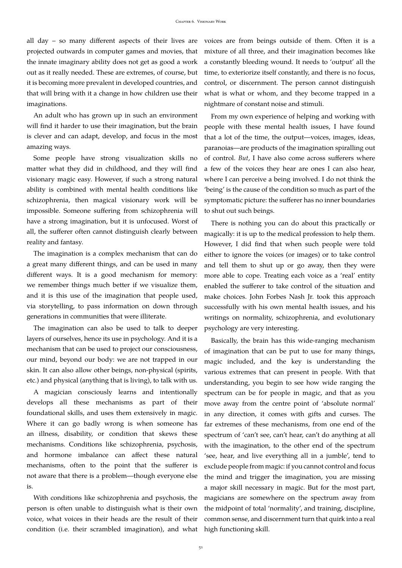all day – so many different aspects of their lives are projected outwards in computer games and movies, that the innate imaginary ability does not get as good a work out as it really needed. These are extremes, of course, but it is becoming more prevalent in developed countries, and that will bring with it a change in how children use their imaginations.

An adult who has grown up in such an environment will find it harder to use their imagination, but the brain is clever and can adapt, develop, and focus in the most amazing ways.

Some people have strong visualization skills no matter what they did in childhood, and they will find visionary magic easy. However, if such a strong natural ability is combined with mental health conditions like schizophrenia, then magical visionary work will be impossible. Someone suffering from schizophrenia will have a strong imagination, but it is unfocused. Worst of all, the sufferer often cannot distinguish clearly between reality and fantasy.

The imagination is a complex mechanism that can do a great many different things, and can be used in many different ways. It is a good mechanism for memory: we remember things much better if we visualize them, and it is this use of the imagination that people used, via storytelling, to pass information on down through generations in communities that were illiterate.

The imagination can also be used to talk to deeper layers of ourselves, hence its use in psychology. And it is a mechanism that can be used to project our consciousness, our mind, beyond our body: we are not trapped in our skin. It can also allow other beings, non-physical (spirits, etc.) and physical (anything that is living), to talk with us.

A magician consciously learns and intentionally develops all these mechanisms as part of their foundational skills, and uses them extensively in magic. Where it can go badly wrong is when someone has an illness, disability, or condition that skews these mechanisms. Conditions like schizophrenia, psychosis, and hormone imbalance can affect these natural mechanisms, often to the point that the sufferer is not aware that there is a problem—though everyone else is.

With conditions like schizophrenia and psychosis, the person is often unable to distinguish what is their own voice, what voices in their heads are the result of their condition (i.e. their scrambled imagination), and what voices are from beings outside of them. Often it is a mixture of all three, and their imagination becomes like a constantly bleeding wound. It needs to 'output' all the time, to exteriorize itself constantly, and there is no focus, control, or discernment. The person cannot distinguish what is what or whom, and they become trapped in a nightmare of constant noise and stimuli.

From my own experience of helping and working with people with these mental health issues, I have found that a lot of the time, the output—voices, images, ideas, paranoias—are products of the imagination spiralling out of control. *But*, I have also come across sufferers where a few of the voices they hear are ones I can also hear, where I can perceive a being involved. I do not think the 'being' is the cause of the condition so much as part of the symptomatic picture: the sufferer has no inner boundaries to shut out such beings.

There is nothing you can do about this practically or magically: it is up to the medical profession to help them. However, I did find that when such people were told either to ignore the voices (or images) or to take control and tell them to shut up or go away, then they were more able to cope. Treating each voice as a 'real' entity enabled the sufferer to take control of the situation and make choices. John Forbes Nash Jr. took this approach successfully with his own mental health issues, and his writings on normality, schizophrenia, and evolutionary psychology are very interesting.

Basically, the brain has this wide-ranging mechanism of imagination that can be put to use for many things, magic included, and the key is understanding the various extremes that can present in people. With that understanding, you begin to see how wide ranging the spectrum can be for people in magic, and that as you move away from the centre point of 'absolute normal' in any direction, it comes with gifts and curses. The far extremes of these mechanisms, from one end of the spectrum of 'can't see, can't hear, can't do anything at all with the imagination, to the other end of the spectrum 'see, hear, and live everything all in a jumble', tend to exclude people from magic: if you cannot control and focus the mind and trigger the imagination, you are missing a major skill necessary in magic. But for the most part, magicians are somewhere on the spectrum away from the midpoint of total 'normality', and training, discipline, common sense, and discernment turn that quirk into a real high functioning skill.

51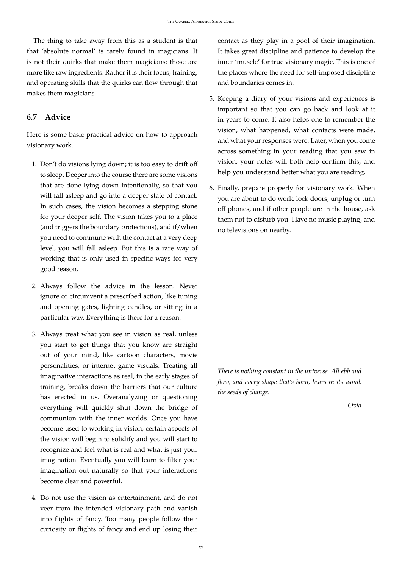The thing to take away from this as a student is that that 'absolute normal' is rarely found in magicians. It is not their quirks that make them magicians: those are more like raw ingredients. Rather it is their focus, training, and operating skills that the quirks can flow through that makes them magicians.

# <span id="page-51-0"></span>**6.7 Advice**

Here is some basic practical advice on how to approach visionary work.

- 1. Don't do visions lying down; it is too easy to drift off to sleep. Deeper into the course there are some visions that are done lying down intentionally, so that you will fall asleep and go into a deeper state of contact. In such cases, the vision becomes a stepping stone for your deeper self. The vision takes you to a place (and triggers the boundary protections), and if/when you need to commune with the contact at a very deep level, you will fall asleep. But this is a rare way of working that is only used in specific ways for very good reason.
- 2. Always follow the advice in the lesson. Never ignore or circumvent a prescribed action, like tuning and opening gates, lighting candles, or sitting in a particular way. Everything is there for a reason.
- 3. Always treat what you see in vision as real, unless you start to get things that you know are straight out of your mind, like cartoon characters, movie personalities, or internet game visuals. Treating all imaginative interactions as real, in the early stages of training, breaks down the barriers that our culture has erected in us. Overanalyzing or questioning everything will quickly shut down the bridge of communion with the inner worlds. Once you have become used to working in vision, certain aspects of the vision will begin to solidify and you will start to recognize and feel what is real and what is just your imagination. Eventually you will learn to filter your imagination out naturally so that your interactions become clear and powerful.
- 4. Do not use the vision as entertainment, and do not veer from the intended visionary path and vanish into flights of fancy. Too many people follow their curiosity or flights of fancy and end up losing their

contact as they play in a pool of their imagination. It takes great discipline and patience to develop the inner 'muscle' for true visionary magic. This is one of the places where the need for self-imposed discipline and boundaries comes in.

- 5. Keeping a diary of your visions and experiences is important so that you can go back and look at it in years to come. It also helps one to remember the vision, what happened, what contacts were made, and what your responses were. Later, when you come across something in your reading that you saw in vision, your notes will both help confirm this, and help you understand better what you are reading.
- 6. Finally, prepare properly for visionary work. When you are about to do work, lock doors, unplug or turn off phones, and if other people are in the house, ask them not to disturb you. Have no music playing, and no televisions on nearby.

*There is nothing constant in the universe. All ebb and flow, and every shape that's born, bears in its womb the seeds of change.*

*— Ovid*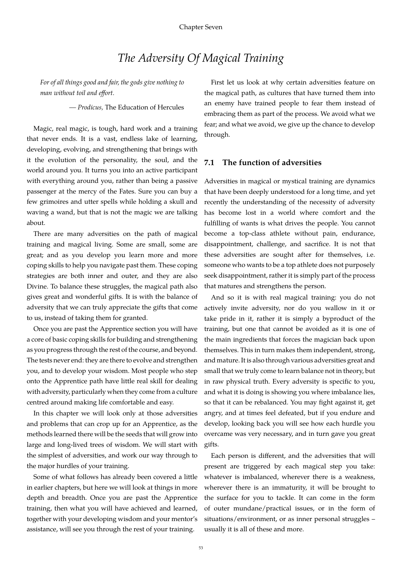# *The Adversity Of Magical Training*

<span id="page-52-0"></span>*For of all things good and fair, the gods give nothing to man without toil and effort.*

*— Prodicus,* The Education of Hercules

Magic, real magic, is tough, hard work and a training that never ends. It is a vast, endless lake of learning, developing, evolving, and strengthening that brings with it the evolution of the personality, the soul, and the world around you. It turns you into an active participant with everything around you, rather than being a passive passenger at the mercy of the Fates. Sure you can buy a few grimoires and utter spells while holding a skull and waving a wand, but that is not the magic we are talking about.

There are many adversities on the path of magical training and magical living. Some are small, some are great; and as you develop you learn more and more coping skills to help you navigate past them. These coping strategies are both inner and outer, and they are also Divine. To balance these struggles, the magical path also gives great and wonderful gifts. It is with the balance of adversity that we can truly appreciate the gifts that come to us, instead of taking them for granted.

Once you are past the Apprentice section you will have a core of basic coping skills for building and strengthening as you progress through the rest of the course, and beyond. The tests never end: they are there to evolve and strengthen you, and to develop your wisdom. Most people who step onto the Apprentice path have little real skill for dealing with adversity, particularly when they come from a culture centred around making life comfortable and easy.

In this chapter we will look only at those adversities and problems that can crop up for an Apprentice, as the methods learned there will be the seeds that will grow into large and long-lived trees of wisdom. We will start with the simplest of adversities, and work our way through to the major hurdles of your training.

Some of what follows has already been covered a little in earlier chapters, but here we will look at things in more depth and breadth. Once you are past the Apprentice training, then what you will have achieved and learned, together with your developing wisdom and your mentor's assistance, will see you through the rest of your training.

First let us look at why certain adversities feature on the magical path, as cultures that have turned them into an enemy have trained people to fear them instead of embracing them as part of the process. We avoid what we fear; and what we avoid, we give up the chance to develop through.

## <span id="page-52-1"></span>**7.1 The function of adversities**

Adversities in magical or mystical training are dynamics that have been deeply understood for a long time, and yet recently the understanding of the necessity of adversity has become lost in a world where comfort and the fulfilling of wants is what drives the people. You cannot become a top-class athlete without pain, endurance, disappointment, challenge, and sacrifice. It is not that these adversities are sought after for themselves, i.e. someone who wants to be a top athlete does not purposely seek disappointment, rather it is simply part of the process that matures and strengthens the person.

And so it is with real magical training: you do not actively invite adversity, nor do you wallow in it or take pride in it, rather it is simply a byproduct of the training, but one that cannot be avoided as it is one of the main ingredients that forces the magician back upon themselves. This in turn makes them independent, strong, and mature. It is also through various adversities great and small that we truly come to learn balance not in theory, but in raw physical truth. Every adversity is specific to you, and what it is doing is showing you where imbalance lies, so that it can be rebalanced. You may fight against it, get angry, and at times feel defeated, but if you endure and develop, looking back you will see how each hurdle you overcame was very necessary, and in turn gave you great gifts.

Each person is different, and the adversities that will present are triggered by each magical step you take: whatever is imbalanced, wherever there is a weakness, wherever there is an immaturity, it will be brought to the surface for you to tackle. It can come in the form of outer mundane/practical issues, or in the form of situations/environment, or as inner personal struggles – usually it is all of these and more.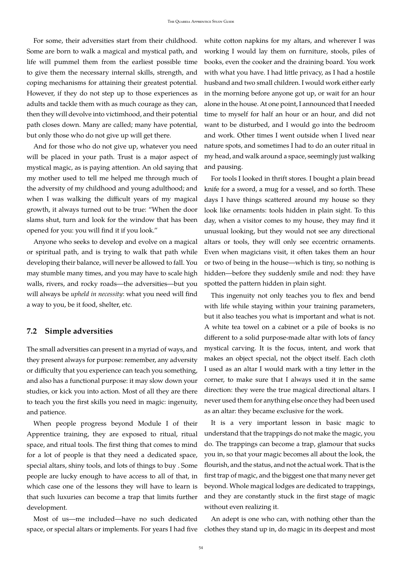For some, their adversities start from their childhood. Some are born to walk a magical and mystical path, and life will pummel them from the earliest possible time to give them the necessary internal skills, strength, and coping mechanisms for attaining their greatest potential. However, if they do not step up to those experiences as adults and tackle them with as much courage as they can, then they will devolve into victimhood, and their potential path closes down. Many are called; many have potential, but only those who do not give up will get there.

And for those who do not give up, whatever you need will be placed in your path. Trust is a major aspect of mystical magic, as is paying attention. An old saying that my mother used to tell me helped me through much of the adversity of my childhood and young adulthood; and when I was walking the difficult years of my magical growth, it always turned out to be true: "When the door slams shut, turn and look for the window that has been opened for you: you will find it if you look."

Anyone who seeks to develop and evolve on a magical or spiritual path, and is trying to walk that path while developing their balance, will never be allowed to fall. You may stumble many times, and you may have to scale high walls, rivers, and rocky roads—the adversities—but you will always be *upheld in necessity*: what you need will find a way to you, be it food, shelter, etc.

#### <span id="page-53-0"></span>**7.2 Simple adversities**

The small adversities can present in a myriad of ways, and they present always for purpose: remember, any adversity or difficulty that you experience can teach you something, and also has a functional purpose: it may slow down your studies, or kick you into action. Most of all they are there to teach you the first skills you need in magic: ingenuity, and patience.

When people progress beyond Module I of their Apprentice training, they are exposed to ritual, ritual space, and ritual tools. The first thing that comes to mind for a lot of people is that they need a dedicated space, special altars, shiny tools, and lots of things to buy . Some people are lucky enough to have access to all of that, in which case one of the lessons they will have to learn is that such luxuries can become a trap that limits further development.

Most of us—me included—have no such dedicated

white cotton napkins for my altars, and wherever I was working I would lay them on furniture, stools, piles of books, even the cooker and the draining board. You work with what you have. I had little privacy, as I had a hostile husband and two small children. I would work either early in the morning before anyone got up, or wait for an hour alone in the house. At one point, I announced that I needed time to myself for half an hour or an hour, and did not want to be disturbed, and I would go into the bedroom and work. Other times I went outside when I lived near nature spots, and sometimes I had to do an outer ritual in my head, and walk around a space, seemingly just walking and pausing.

For tools I looked in thrift stores. I bought a plain bread knife for a sword, a mug for a vessel, and so forth. These days I have things scattered around my house so they look like ornaments: tools hidden in plain sight. To this day, when a visitor comes to my house, they may find it unusual looking, but they would not see any directional altars or tools, they will only see eccentric ornaments. Even when magicians visit, it often takes them an hour or two of being in the house—which is tiny, so nothing is hidden—before they suddenly smile and nod: they have spotted the pattern hidden in plain sight.

This ingenuity not only teaches you to flex and bend with life while staying within your training parameters, but it also teaches you what is important and what is not. A white tea towel on a cabinet or a pile of books is no different to a solid purpose-made altar with lots of fancy mystical carving. It is the focus, intent, and work that makes an object special, not the object itself. Each cloth I used as an altar I would mark with a tiny letter in the corner, to make sure that I always used it in the same direction: they were the true magical directional altars. I never used them for anything else once they had been used as an altar: they became exclusive for the work.

It is a very important lesson in basic magic to understand that the trappings do not make the magic, you do. The trappings can become a trap, glamour that sucks you in, so that your magic becomes all about the look, the flourish, and the status, and not the actual work. That is the first trap of magic, and the biggest one that many never get beyond. Whole magical lodges are dedicated to trappings, and they are constantly stuck in the first stage of magic without even realizing it.

space, or special altars or implements. For years I had five clothes they stand up in, do magic in its deepest and most An adept is one who can, with nothing other than the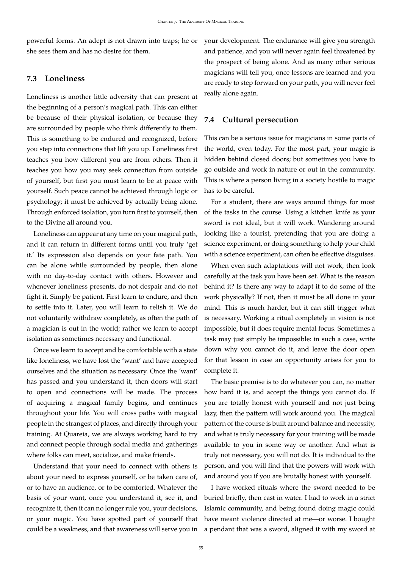powerful forms. An adept is not drawn into traps; he or she sees them and has no desire for them.

### <span id="page-54-0"></span>**7.3 Loneliness**

Loneliness is another little adversity that can present at the beginning of a person's magical path. This can either be because of their physical isolation, or because they are surrounded by people who think differently to them. This is something to be endured and recognized, before you step into connections that lift you up. Loneliness first teaches you how different you are from others. Then it teaches you how you may seek connection from outside of yourself, but first you must learn to be at peace with yourself. Such peace cannot be achieved through logic or psychology; it must be achieved by actually being alone. Through enforced isolation, you turn first to yourself, then to the Divine all around you.

Loneliness can appear at any time on your magical path, and it can return in different forms until you truly 'get it.' Its expression also depends on your fate path. You can be alone while surrounded by people, then alone with no day-to-day contact with others. However and whenever loneliness presents, do not despair and do not fight it. Simply be patient. First learn to endure, and then to settle into it. Later, you will learn to relish it. We do not voluntarily withdraw completely, as often the path of a magician is out in the world; rather we learn to accept isolation as sometimes necessary and functional.

Once we learn to accept and be comfortable with a state like loneliness, we have lost the 'want' and have accepted ourselves and the situation as necessary. Once the 'want' has passed and you understand it, then doors will start to open and connections will be made. The process of acquiring a magical family begins, and continues throughout your life. You will cross paths with magical people in the strangest of places, and directly through your training. At Quareia, we are always working hard to try and connect people through social media and gatherings where folks can meet, socialize, and make friends.

Understand that your need to connect with others is about your need to express yourself, or be taken care of, or to have an audience, or to be comforted. Whatever the basis of your want, once you understand it, see it, and recognize it, then it can no longer rule you, your decisions, or your magic. You have spotted part of yourself that could be a weakness, and that awareness will serve you in

your development. The endurance will give you strength and patience, and you will never again feel threatened by the prospect of being alone. And as many other serious magicians will tell you, once lessons are learned and you are ready to step forward on your path, you will never feel really alone again.

# <span id="page-54-1"></span>**7.4 Cultural persecution**

This can be a serious issue for magicians in some parts of the world, even today. For the most part, your magic is hidden behind closed doors; but sometimes you have to go outside and work in nature or out in the community. This is where a person living in a society hostile to magic has to be careful.

For a student, there are ways around things for most of the tasks in the course. Using a kitchen knife as your sword is not ideal, but it will work. Wandering around looking like a tourist, pretending that you are doing a science experiment, or doing something to help your child with a science experiment, can often be effective disguises.

When even such adaptations will not work, then look carefully at the task you have been set. What is the reason behind it? Is there any way to adapt it to do some of the work physically? If not, then it must be all done in your mind. This is much harder, but it can still trigger what is necessary. Working a ritual completely in vision is not impossible, but it does require mental focus. Sometimes a task may just simply be impossible: in such a case, write down why you cannot do it, and leave the door open for that lesson in case an opportunity arises for you to complete it.

The basic premise is to do whatever you can, no matter how hard it is, and accept the things you cannot do. If you are totally honest with yourself and not just being lazy, then the pattern will work around you. The magical pattern of the course is built around balance and necessity, and what is truly necessary for your training will be made available to you in some way or another. And what is truly not necessary, you will not do. It is individual to the person, and you will find that the powers will work with and around you if you are brutally honest with yourself.

I have worked rituals where the sword needed to be buried briefly, then cast in water. I had to work in a strict Islamic community, and being found doing magic could have meant violence directed at me—or worse. I bought a pendant that was a sword, aligned it with my sword at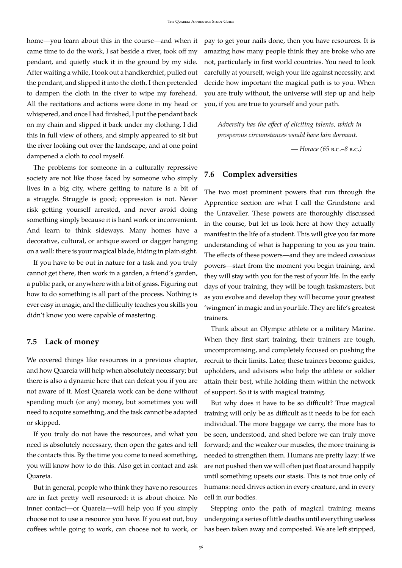home—you learn about this in the course—and when it came time to do the work, I sat beside a river, took off my pendant, and quietly stuck it in the ground by my side. After waiting a while, I took out a handkerchief, pulled out the pendant, and slipped it into the cloth. I then pretended to dampen the cloth in the river to wipe my forehead. All the recitations and actions were done in my head or whispered, and once I had finished, I put the pendant back on my chain and slipped it back under my clothing. I did this in full view of others, and simply appeared to sit but the river looking out over the landscape, and at one point dampened a cloth to cool myself.

The problems for someone in a culturally repressive society are not like those faced by someone who simply lives in a big city, where getting to nature is a bit of a struggle. Struggle is good; oppression is not. Never risk getting yourself arrested, and never avoid doing something simply because it is hard work or inconvenient. And learn to think sideways. Many homes have a decorative, cultural, or antique sword or dagger hanging on a wall: there is your magical blade, hiding in plain sight.

If you have to be out in nature for a task and you truly cannot get there, then work in a garden, a friend's garden, a public park, or anywhere with a bit of grass. Figuring out how to do something is all part of the process. Nothing is ever easy in magic, and the difficulty teaches you skills you didn't know you were capable of mastering.

#### <span id="page-55-0"></span>**7.5 Lack of money**

We covered things like resources in a previous chapter, and how Quareia will help when absolutely necessary; but there is also a dynamic here that can defeat you if you are not aware of it. Most Quareia work can be done without spending much (or any) money, but sometimes you will need to acquire something, and the task cannot be adapted or skipped.

If you truly do not have the resources, and what you need is absolutely necessary, then open the gates and tell the contacts this. By the time you come to need something, you will know how to do this. Also get in contact and ask Quareia.

But in general, people who think they have no resources are in fact pretty well resourced: it is about choice. No inner contact—or Quareia—will help you if you simply choose not to use a resource you have. If you eat out, buy coffees while going to work, can choose not to work, or pay to get your nails done, then you have resources. It is amazing how many people think they are broke who are not, particularly in first world countries. You need to look carefully at yourself, weigh your life against necessity, and decide how important the magical path is to you. When you are truly without, the universe will step up and help you, if you are true to yourself and your path.

*Adversity has the effect of eliciting talents, which in prosperous circumstances would have lain dormant.*

*— Horace (65* b.c.*–8* b.c.*)*

## <span id="page-55-1"></span>**7.6 Complex adversities**

The two most prominent powers that run through the Apprentice section are what I call the Grindstone and the Unraveller. These powers are thoroughly discussed in the course, but let us look here at how they actually manifest in the life of a student. This will give you far more understanding of what is happening to you as you train. The effects of these powers—and they are indeed *conscious* powers—start from the moment you begin training, and they will stay with you for the rest of your life. In the early days of your training, they will be tough taskmasters, but as you evolve and develop they will become your greatest 'wingmen' in magic and in your life. They are life's greatest trainers.

Think about an Olympic athlete or a military Marine. When they first start training, their trainers are tough, uncompromising, and completely focused on pushing the recruit to their limits. Later, these trainers become guides, upholders, and advisors who help the athlete or soldier attain their best, while holding them within the network of support. So it is with magical training.

But why does it have to be so difficult? True magical training will only be as difficult as it needs to be for each individual. The more baggage we carry, the more has to be seen, understood, and shed before we can truly move forward; and the weaker our muscles, the more training is needed to strengthen them. Humans are pretty lazy: if we are not pushed then we will often just float around happily until something upsets our stasis. This is not true only of humans: need drives action in every creature, and in every cell in our bodies.

Stepping onto the path of magical training means undergoing a series of little deaths until everything useless has been taken away and composted. We are left stripped,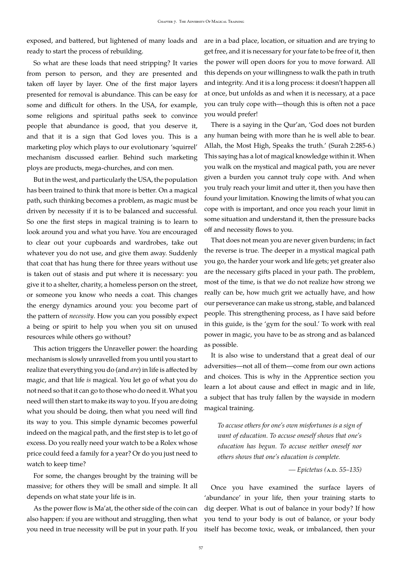exposed, and battered, but lightened of many loads and are in a bad place, location, or situation and are trying to ready to start the process of rebuilding.

So what are these loads that need stripping? It varies from person to person, and they are presented and taken off layer by layer. One of the first major layers presented for removal is abundance. This can be easy for some and difficult for others. In the USA, for example, some religions and spiritual paths seek to convince people that abundance is good, that you deserve it, and that it is a sign that God loves you. This is a marketing ploy which plays to our evolutionary 'squirrel' mechanism discussed earlier. Behind such marketing ploys are products, mega-churches, and con men.

But in the west, and particularly the USA, the population has been trained to think that more is better. On a magical path, such thinking becomes a problem, as magic must be driven by necessity if it is to be balanced and successful. So one the first steps in magical training is to learn to look around you and what you have. You are encouraged to clear out your cupboards and wardrobes, take out whatever you do not use, and give them away. Suddenly that coat that has hung there for three years without use is taken out of stasis and put where it is necessary: you give it to a shelter, charity, a homeless person on the street, or someone you know who needs a coat. This changes the energy dynamics around you: you become part of the pattern of *necessity*. How you can you possibly expect a being or spirit to help you when you sit on unused resources while others go without?

This action triggers the Unraveller power: the hoarding mechanism is slowly unravelled from you until you start to realize that everything you do (and *are*) in life is affected by magic, and that life *is* magical. You let go of what you do not need so that it can go to those who do need it. What you need will then start to make its way to you. If you are doing what you should be doing, then what you need will find its way to you. This simple dynamic becomes powerful indeed on the magical path, and the first step is to let go of excess. Do you really need your watch to be a Rolex whose price could feed a family for a year? Or do you just need to watch to keep time?

For some, the changes brought by the training will be massive; for others they will be small and simple. It all depends on what state your life is in.

As the power flow is Ma'at, the other side of the coin can also happen: if you are without and struggling, then what you need in true necessity will be put in your path. If you

get free, and it is necessary for your fate to be free of it, then the power will open doors for you to move forward. All this depends on your willingness to walk the path in truth and integrity. And it is a long process: it doesn't happen all at once, but unfolds as and when it is necessary, at a pace you can truly cope with—though this is often not a pace you would prefer!

There is a saying in the Qur'an, 'God does not burden any human being with more than he is well able to bear. Allah, the Most High, Speaks the truth.' (Surah 2:285-6.) This saying has a lot of magical knowledge within it. When you walk on the mystical and magical path, you are never given a burden you cannot truly cope with. And when you truly reach your limit and utter it, then you have then found your limitation. Knowing the limits of what you can cope with is important, and once you reach your limit in some situation and understand it, then the pressure backs off and necessity flows to you.

That does not mean you are never given burdens; in fact the reverse is true. The deeper in a mystical magical path you go, the harder your work and life gets; yet greater also are the necessary gifts placed in your path. The problem, most of the time, is that we do not realize how strong we really can be, how much grit we actually have, and how our perseverance can make us strong, stable, and balanced people. This strengthening process, as I have said before in this guide, is the 'gym for the soul.' To work with real power in magic, you have to be as strong and as balanced as possible.

It is also wise to understand that a great deal of our adversities—not all of them—come from our own actions and choices. This is why in the Apprentice section you learn a lot about cause and effect in magic and in life, a subject that has truly fallen by the wayside in modern magical training.

*To accuse others for one's own misfortunes is a sign of want of education. To accuse oneself shows that one's education has begun. To accuse neither oneself nor others shows that one's education is complete.*

*— Epictetus (*a.d. *55–135)*

Once you have examined the surface layers of 'abundance' in your life, then your training starts to dig deeper. What is out of balance in your body? If how you tend to your body is out of balance, or your body itself has become toxic, weak, or imbalanced, then your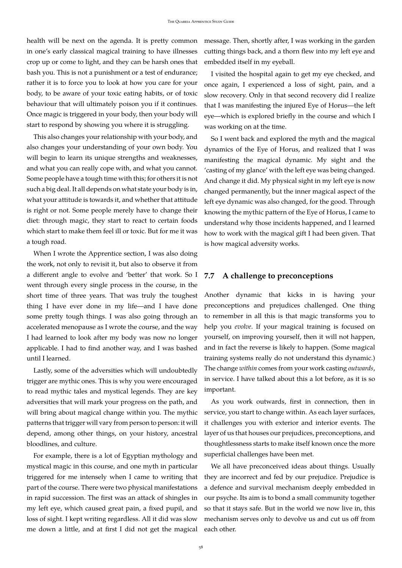health will be next on the agenda. It is pretty common in one's early classical magical training to have illnesses crop up or come to light, and they can be harsh ones that bash you. This is not a punishment or a test of endurance; rather it is to force you to look at how you care for your body, to be aware of your toxic eating habits, or of toxic behaviour that will ultimately poison you if it continues. Once magic is triggered in your body, then your body will start to respond by showing you where it is struggling.

This also changes your relationship with your body, and also changes your understanding of your own body. You will begin to learn its unique strengths and weaknesses, and what you can really cope with, and what you cannot. Some people have a tough time with this; for others it is not such a big deal. It all depends on what state your body is in, what your attitude is towards it, and whether that attitude is right or not. Some people merely have to change their diet: through magic, they start to react to certain foods which start to make them feel ill or toxic. But for me it was a tough road.

When I wrote the Apprentice section, I was also doing the work, not only to revisit it, but also to observe it from a different angle to evolve and 'better' that work. So I went through every single process in the course, in the short time of three years. That was truly the toughest thing I have ever done in my life—and I have done some pretty tough things. I was also going through an accelerated menopause as I wrote the course, and the way I had learned to look after my body was now no longer applicable. I had to find another way, and I was bashed until I learned.

Lastly, some of the adversities which will undoubtedly trigger are mythic ones. This is why you were encouraged to read mythic tales and mystical legends. They are key adversities that will mark your progress on the path, and will bring about magical change within you. The mythic patterns that trigger will vary from person to person: it will depend, among other things, on your history, ancestral bloodlines, and culture.

For example, there is a lot of Egyptian mythology and mystical magic in this course, and one myth in particular triggered for me intensely when I came to writing that part of the course. There were two physical manifestations in rapid succession. The first was an attack of shingles in my left eye, which caused great pain, a fixed pupil, and loss of sight. I kept writing regardless. All it did was slow me down a little, and at first I did not get the magical message. Then, shortly after, I was working in the garden cutting things back, and a thorn flew into my left eye and embedded itself in my eyeball.

I visited the hospital again to get my eye checked, and once again, I experienced a loss of sight, pain, and a slow recovery. Only in that second recovery did I realize that I was manifesting the injured Eye of Horus—the left eye—which is explored briefly in the course and which I was working on at the time.

So I went back and explored the myth and the magical dynamics of the Eye of Horus, and realized that I was manifesting the magical dynamic. My sight and the 'casting of my glance' with the left eye was being changed. And change it did. My physical sight in my left eye is now changed permanently, but the inner magical aspect of the left eye dynamic was also changed, for the good. Through knowing the mythic pattern of the Eye of Horus, I came to understand why those incidents happened, and I learned how to work with the magical gift I had been given. That is how magical adversity works.

#### <span id="page-57-0"></span>**7.7 A challenge to preconceptions**

Another dynamic that kicks in is having your preconceptions and prejudices challenged. One thing to remember in all this is that magic transforms you to help you *evolve*. If your magical training is focused on yourself, on improving yourself, then it will not happen, and in fact the reverse is likely to happen. (Some magical training systems really do not understand this dynamic.) The change *within* comes from your work casting *outwards*, in service. I have talked about this a lot before, as it is so important.

As you work outwards, first in connection, then in service, you start to change within. As each layer surfaces, it challenges you with exterior and interior events. The layer of us that houses our prejudices, preconceptions, and thoughtlessness starts to make itself known once the more superficial challenges have been met.

We all have preconceived ideas about things. Usually they are incorrect and fed by our prejudice. Prejudice is a defence and survival mechanism deeply embedded in our psyche. Its aim is to bond a small community together so that it stays safe. But in the world we now live in, this mechanism serves only to devolve us and cut us off from each other.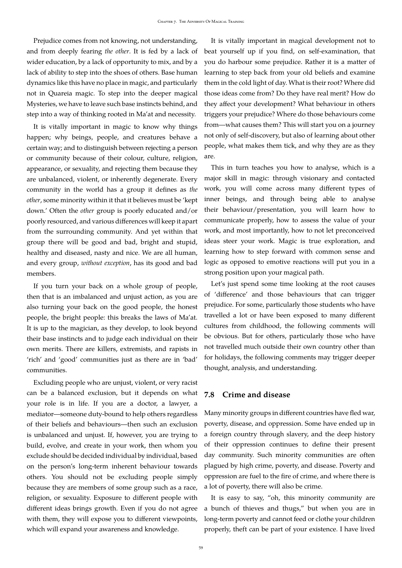Prejudice comes from not knowing, not understanding, and from deeply fearing *the other*. It is fed by a lack of wider education, by a lack of opportunity to mix, and by a lack of ability to step into the shoes of others. Base human dynamics like this have no place in magic, and particularly not in Quareia magic. To step into the deeper magical Mysteries, we have to leave such base instincts behind, and step into a way of thinking rooted in Ma'at and necessity.

It is vitally important in magic to know why things happen; why beings, people, and creatures behave a certain way; and to distinguish between rejecting a person or community because of their colour, culture, religion, appearance, or sexuality, and rejecting them because they are unbalanced, violent, or inherently degenerate. Every community in the world has a group it defines as *the other*, some minority within it that it believes must be 'kept down.' Often the *other* group is poorly educated and/or poorly resourced, and various differences will keep it apart from the surrounding community. And yet within that group there will be good and bad, bright and stupid, healthy and diseased, nasty and nice. We are all human, and every group, *without exception*, has its good and bad members.

If you turn your back on a whole group of people, then that is an imbalanced and unjust action, as you are also turning your back on the good people, the honest people, the bright people: this breaks the laws of Ma'at. It is up to the magician, as they develop, to look beyond their base instincts and to judge each individual on their own merits. There are killers, extremists, and rapists in 'rich' and 'good' communities just as there are in 'bad' communities.

Excluding people who are unjust, violent, or very racist can be a balanced exclusion, but it depends on what your role is in life. If you are a doctor, a lawyer, a mediator—someone duty-bound to help others regardless of their beliefs and behaviours—then such an exclusion is unbalanced and unjust. If, however, you are trying to build, evolve, and create in your work, then whom you exclude should be decided individual by individual, based on the person's long-term inherent behaviour towards others. You should not be excluding people simply because they are members of some group such as a race, religion, or sexuality. Exposure to different people with different ideas brings growth. Even if you do not agree with them, they will expose you to different viewpoints, which will expand your awareness and knowledge.

It is vitally important in magical development not to beat yourself up if you find, on self-examination, that you do harbour some prejudice. Rather it is a matter of learning to step back from your old beliefs and examine them in the cold light of day. What is their root? Where did those ideas come from? Do they have real merit? How do they affect your development? What behaviour in others triggers your prejudice? Where do those behaviours come from—what causes them? This will start you on a journey not only of self-discovery, but also of learning about other people, what makes them tick, and why they are as they are.

This in turn teaches you how to analyse, which is a major skill in magic: through visionary and contacted work, you will come across many different types of inner beings, and through being able to analyse their behaviour/presentation, you will learn how to communicate properly, how to assess the value of your work, and most importantly, how to not let preconceived ideas steer your work. Magic is true exploration, and learning how to step forward with common sense and logic as opposed to emotive reactions will put you in a strong position upon your magical path.

Let's just spend some time looking at the root causes of 'difference' and those behaviours that can trigger prejudice. For some, particularly those students who have travelled a lot or have been exposed to many different cultures from childhood, the following comments will be obvious. But for others, particularly those who have not travelled much outside their own country other than for holidays, the following comments may trigger deeper thought, analysis, and understanding.

### <span id="page-58-0"></span>**7.8 Crime and disease**

Many minority groups in different countries have fled war, poverty, disease, and oppression. Some have ended up in a foreign country through slavery, and the deep history of their oppression continues to define their present day community. Such minority communities are often plagued by high crime, poverty, and disease. Poverty and oppression are fuel to the fire of crime, and where there is a lot of poverty, there will also be crime.

It is easy to say, "oh, this minority community are a bunch of thieves and thugs," but when you are in long-term poverty and cannot feed or clothe your children properly, theft can be part of your existence. I have lived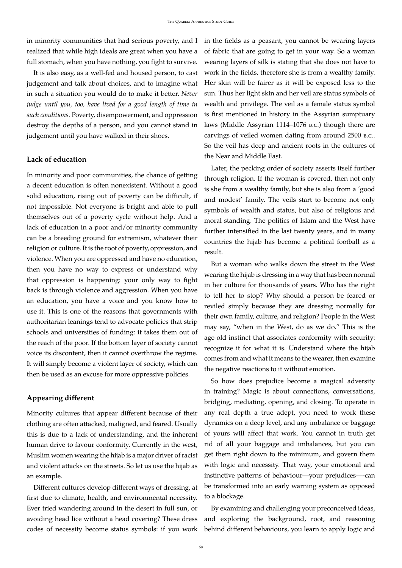in minority communities that had serious poverty, and I in the fields as a peasant, you cannot be wearing layers realized that while high ideals are great when you have a full stomach, when you have nothing, you fight to survive.

It is also easy, as a well-fed and housed person, to cast judgement and talk about choices, and to imagine what in such a situation you would do to make it better. *Never judge until you, too, have lived for a good length of time in such conditions.* Poverty, disempowerment, and oppression destroy the depths of a person, and you cannot stand in judgement until you have walked in their shoes.

### **Lack of education**

In minority and poor communities, the chance of getting a decent education is often nonexistent. Without a good solid education, rising out of poverty can be difficult, if not impossible. Not everyone is bright and able to pull themselves out of a poverty cycle without help. And a lack of education in a poor and/or minority community can be a breeding ground for extremism, whatever their religion or culture. It is the root of poverty, oppression, and violence. When you are oppressed and have no education, then you have no way to express or understand why that oppression is happening: your only way to fight back is through violence and aggression. When you have an education, you have a voice and you know how to use it. This is one of the reasons that governments with authoritarian leanings tend to advocate policies that strip schools and universities of funding: it takes them out of the reach of the poor. If the bottom layer of society cannot voice its discontent, then it cannot overthrow the regime. It will simply become a violent layer of society, which can then be used as an excuse for more oppressive policies.

#### **Appearing different**

Minority cultures that appear different because of their clothing are often attacked, maligned, and feared. Usually this is due to a lack of understanding, and the inherent human drive to favour conformity. Currently in the west, Muslim women wearing the hijab is a major driver of racist and violent attacks on the streets. So let us use the hijab as an example.

Different cultures develop different ways of dressing, at first due to climate, health, and environmental necessity. Ever tried wandering around in the desert in full sun, or avoiding head lice without a head covering? These dress codes of necessity become status symbols: if you work of fabric that are going to get in your way. So a woman wearing layers of silk is stating that she does not have to work in the fields, therefore she is from a wealthy family. Her skin will be fairer as it will be exposed less to the sun. Thus her light skin and her veil are status symbols of wealth and privilege. The veil as a female status symbol is first mentioned in history in the Assyrian sumptuary laws (Middle Assyrian 1114–1076 b.c.) though there are carvings of veiled women dating from around 2500 b.c.. So the veil has deep and ancient roots in the cultures of the Near and Middle East.

Later, the pecking order of society asserts itself further through religion. If the woman is covered, then not only is she from a wealthy family, but she is also from a 'good and modest' family. The veils start to become not only symbols of wealth and status, but also of religious and moral standing. The politics of Islam and the West have further intensified in the last twenty years, and in many countries the hijab has become a political football as a result.

But a woman who walks down the street in the West wearing the hijab is dressing in a way that has been normal in her culture for thousands of years. Who has the right to tell her to stop? Why should a person be feared or reviled simply because they are dressing normally for their own family, culture, and religion? People in the West may say, "when in the West, do as we do." This is the age-old instinct that associates conformity with security: recognize it for what it is. Understand where the hijab comes from and what it means to the wearer, then examine the negative reactions to it without emotion.

So how does prejudice become a magical adversity in training? Magic is about connections, conversations, bridging, mediating, opening, and closing. To operate in any real depth a true adept, you need to work these dynamics on a deep level, and any imbalance or baggage of yours will affect that work. You cannot in truth get rid of all your baggage and imbalances, but you can get them right down to the minimum, and govern them with logic and necessity. That way, your emotional and instinctive patterns of behaviour—your prejudices—-can be transformed into an early warning system as opposed to a blockage.

By examining and challenging your preconceived ideas, and exploring the background, root, and reasoning behind different behaviours, you learn to apply logic and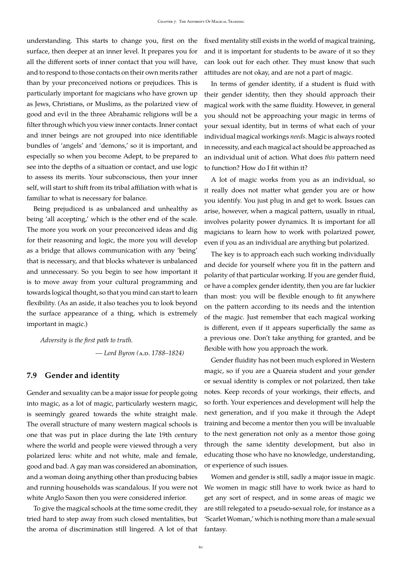understanding. This starts to change you, first on the surface, then deeper at an inner level. It prepares you for all the different sorts of inner contact that you will have, and to respond to those contacts on their own merits rather than by your preconceived notions or prejudices. This is particularly important for magicians who have grown up as Jews, Christians, or Muslims, as the polarized view of good and evil in the three Abrahamic religions will be a filter through which you view inner contacts. Inner contact and inner beings are not grouped into nice identifiable bundles of 'angels' and 'demons,' so it is important, and especially so when you become Adept, to be prepared to see into the depths of a situation or contact, and use logic to assess its merits. Your subconscious, then your inner self, will start to shift from its tribal affiliation with what is familiar to what is necessary for balance.

Being prejudiced is as unbalanced and unhealthy as being 'all accepting,' which is the other end of the scale. The more you work on your preconceived ideas and dig for their reasoning and logic, the more you will develop as a bridge that allows communication with any 'being' that is necessary, and that blocks whatever is unbalanced and unnecessary. So you begin to see how important it is to move away from your cultural programming and towards logical thought, so that you mind can start to learn flexibility. (As an aside, it also teaches you to look beyond the surface appearance of a thing, which is extremely important in magic.)

*Adversity is the first path to truth. — Lord Byron (*a.d. *1788–1824)*

### <span id="page-60-0"></span>**7.9 Gender and identity**

Gender and sexuality can be a major issue for people going into magic, as a lot of magic, particularly western magic, is seemingly geared towards the white straight male. The overall structure of many western magical schools is one that was put in place during the late 19th century where the world and people were viewed through a very polarized lens: white and not white, male and female, good and bad. A gay man was considered an abomination, and a woman doing anything other than producing babies and running households was scandalous. If you were not white Anglo Saxon then you were considered inferior.

To give the magical schools at the time some credit, they tried hard to step away from such closed mentalities, but the aroma of discrimination still lingered. A lot of that fixed mentality still exists in the world of magical training, and it is important for students to be aware of it so they can look out for each other. They must know that such attitudes are not okay, and are not a part of magic.

In terms of gender identity, if a student is fluid with their gender identity, then they should approach their magical work with the same fluidity. However, in general you should not be approaching your magic in terms of your sexual identity, but in terms of what each of your individual magical workings *needs*. Magic is always rooted in necessity, and each magical act should be approached as an individual unit of action. What does *this* pattern need to function? How do I fit within it?

A lot of magic works from you as an individual, so it really does not matter what gender you are or how you identify. You just plug in and get to work. Issues can arise, however, when a magical pattern, usually in ritual, involves polarity power dynamics. It is important for all magicians to learn how to work with polarized power, even if you as an individual are anything but polarized.

The key is to approach each such working individually and decide for yourself where you fit in the pattern and polarity of that particular working. If you are gender fluid, or have a complex gender identity, then you are far luckier than most: you will be flexible enough to fit anywhere on the pattern according to its needs and the intention of the magic. Just remember that each magical working is different, even if it appears superficially the same as a previous one. Don't take anything for granted, and be flexible with how you approach the work.

Gender fluidity has not been much explored in Western magic, so if you are a Quareia student and your gender or sexual identity is complex or not polarized, then take notes. Keep records of your workings, their effects, and so forth. Your experiences and development will help the next generation, and if you make it through the Adept training and become a mentor then you will be invaluable to the next generation not only as a mentor those going through the same identity development, but also in educating those who have no knowledge, understanding, or experience of such issues.

Women and gender is still, sadly a major issue in magic. We women in magic still have to work twice as hard to get any sort of respect, and in some areas of magic we are still relegated to a pseudo-sexual role, for instance as a 'Scarlet Woman,' which is nothing more than a male sexual fantasy.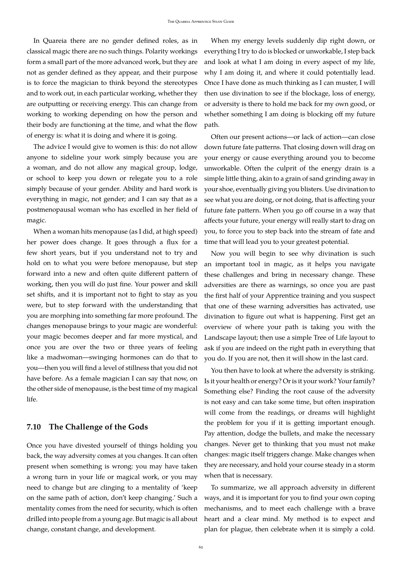In Quareia there are no gender defined roles, as in classical magic there are no such things. Polarity workings form a small part of the more advanced work, but they are not as gender defined as they appear, and their purpose is to force the magician to think beyond the stereotypes and to work out, in each particular working, whether they are outputting or receiving energy. This can change from working to working depending on how the person and their body are functioning at the time, and what the flow of energy is: what it is doing and where it is going.

The advice I would give to women is this: do not allow anyone to sideline your work simply because you are a woman, and do not allow any magical group, lodge, or school to keep you down or relegate you to a role simply because of your gender. Ability and hard work is everything in magic, not gender; and I can say that as a postmenopausal woman who has excelled in her field of magic.

When a woman hits menopause (as I did, at high speed) her power does change. It goes through a flux for a few short years, but if you understand not to try and hold on to what you were before menopause, but step forward into a new and often quite different pattern of working, then you will do just fine. Your power and skill set shifts, and it is important not to fight to stay as you were, but to step forward with the understanding that you are morphing into something far more profound. The changes menopause brings to your magic are wonderful: your magic becomes deeper and far more mystical, and once you are over the two or three years of feeling like a madwoman—swinging hormones can do that to you—then you will find a level of stillness that you did not have before. As a female magician I can say that now, on the other side of menopause, is the best time of my magical life.

#### <span id="page-61-0"></span>**7.10 The Challenge of the Gods**

Once you have divested yourself of things holding you back, the way adversity comes at you changes. It can often present when something is wrong: you may have taken a wrong turn in your life or magical work, or you may need to change but are clinging to a mentality of 'keep on the same path of action, don't keep changing.' Such a mentality comes from the need for security, which is often drilled into people from a young age. But magic is all about change, constant change, and development.

When my energy levels suddenly dip right down, or everything I try to do is blocked or unworkable, I step back and look at what I am doing in every aspect of my life, why I am doing it, and where it could potentially lead. Once I have done as much thinking as I can muster, I will then use divination to see if the blockage, loss of energy, or adversity is there to hold me back for my own good, or whether something I am doing is blocking off my future path.

Often our present actions—or lack of action—can close down future fate patterns. That closing down will drag on your energy or cause everything around you to become unworkable. Often the culprit of the energy drain is a simple little thing, akin to a grain of sand grinding away in your shoe, eventually giving you blisters. Use divination to see what you are doing, or not doing, that is affecting your future fate pattern. When you go off course in a way that affects your future, your energy will really start to drag on you, to force you to step back into the stream of fate and time that will lead you to your greatest potential.

Now you will begin to see why divination is such an important tool in magic, as it helps you navigate these challenges and bring in necessary change. These adversities are there as warnings, so once you are past the first half of your Apprentice training and you suspect that one of these warning adversities has activated, use divination to figure out what is happening. First get an overview of where your path is taking you with the Landscape layout; then use a simple Tree of Life layout to ask if you are indeed on the right path in everything that you do. If you are not, then it will show in the last card.

You then have to look at where the adversity is striking. Is it your health or energy? Or is it your work? Your family? Something else? Finding the root cause of the adversity is not easy and can take some time, but often inspiration will come from the readings, or dreams will highlight the problem for you if it is getting important enough. Pay attention, dodge the bullets, and make the necessary changes. Never get to thinking that you must not make changes: magic itself triggers change. Make changes when they are necessary, and hold your course steady in a storm when that is necessary.

To summarize, we all approach adversity in different ways, and it is important for you to find your own coping mechanisms, and to meet each challenge with a brave heart and a clear mind. My method is to expect and plan for plague, then celebrate when it is simply a cold.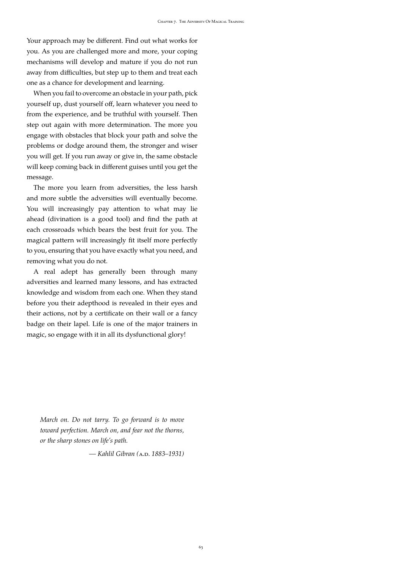Your approach may be different. Find out what works for you. As you are challenged more and more, your coping mechanisms will develop and mature if you do not run away from difficulties, but step up to them and treat each one as a chance for development and learning.

When you fail to overcome an obstacle in your path, pick yourself up, dust yourself off, learn whatever you need to from the experience, and be truthful with yourself. Then step out again with more determination. The more you engage with obstacles that block your path and solve the problems or dodge around them, the stronger and wiser you will get. If you run away or give in, the same obstacle will keep coming back in different guises until you get the message.

The more you learn from adversities, the less harsh and more subtle the adversities will eventually become. You will increasingly pay attention to what may lie ahead (divination is a good tool) and find the path at each crossroads which bears the best fruit for you. The magical pattern will increasingly fit itself more perfectly to you, ensuring that you have exactly what you need, and removing what you do not.

A real adept has generally been through many adversities and learned many lessons, and has extracted knowledge and wisdom from each one. When they stand before you their adepthood is revealed in their eyes and their actions, not by a certificate on their wall or a fancy badge on their lapel. Life is one of the major trainers in magic, so engage with it in all its dysfunctional glory!

*March on. Do not tarry. To go forward is to move toward perfection. March on, and fear not the thorns, or the sharp stones on life's path.*

*— Kahlil Gibran (*a.d. *1883–1931)*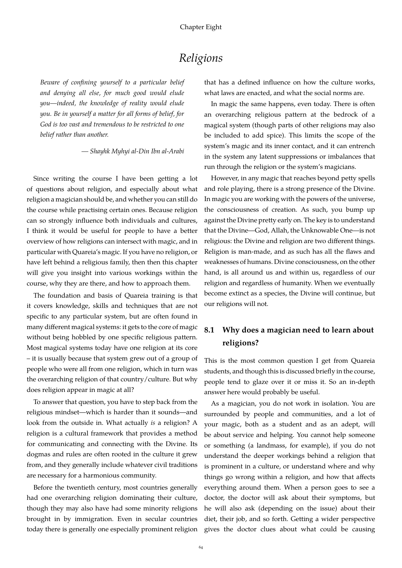# *Religions*

<span id="page-63-0"></span>*Beware of confining yourself to a particular belief and denying all else, for much good would elude you—indeed, the knowledge of reality would elude you. Be in yourself a matter for all forms of belief, for God is too vast and tremendous to be restricted to one belief rather than another.*

*— Shayhk Myhyi al-Din Ibn al-Arabi*

Since writing the course I have been getting a lot of questions about religion, and especially about what religion a magician should be, and whether you can still do the course while practising certain ones. Because religion can so strongly influence both individuals and cultures, I think it would be useful for people to have a better overview of how religions can intersect with magic, and in particular with Quareia's magic. If you have no religion, or have left behind a religious family, then then this chapter will give you insight into various workings within the course, why they are there, and how to approach them.

The foundation and basis of Quareia training is that it covers knowledge, skills and techniques that are not specific to any particular system, but are often found in many different magical systems: it gets to the core of magic without being hobbled by one specific religious pattern. Most magical systems today have one religion at its core – it is usually because that system grew out of a group of people who were all from one religion, which in turn was the overarching religion of that country/culture. But why does religion appear in magic at all?

To answer that question, you have to step back from the religious mindset—which is harder than it sounds—and look from the outside in. What actually *is* a religion? A religion is a cultural framework that provides a method for communicating and connecting with the Divine. Its dogmas and rules are often rooted in the culture it grew from, and they generally include whatever civil traditions are necessary for a harmonious community.

Before the twentieth century, most countries generally had one overarching religion dominating their culture, though they may also have had some minority religions brought in by immigration. Even in secular countries today there is generally one especially prominent religion that has a defined influence on how the culture works, what laws are enacted, and what the social norms are.

In magic the same happens, even today. There is often an overarching religious pattern at the bedrock of a magical system (though parts of other religions may also be included to add spice). This limits the scope of the system's magic and its inner contact, and it can entrench in the system any latent suppressions or imbalances that run through the religion or the system's magicians.

However, in any magic that reaches beyond petty spells and role playing, there is a strong presence of the Divine. In magic you are working with the powers of the universe, the consciousness of creation. As such, you bump up against the Divine pretty early on. The key is to understand that the Divine—God, Allah, the Unknowable One—is not religious: the Divine and religion are two different things. Religion is man-made, and as such has all the flaws and weaknesses of humans. Divine consciousness, on the other hand, is all around us and within us, regardless of our religion and regardless of humanity. When we eventually become extinct as a species, the Divine will continue, but our religions will not.

# <span id="page-63-1"></span>**8.1 Why does a magician need to learn about religions?**

This is the most common question I get from Quareia students, and though this is discussed briefly in the course, people tend to glaze over it or miss it. So an in-depth answer here would probably be useful.

As a magician, you do not work in isolation. You are surrounded by people and communities, and a lot of your magic, both as a student and as an adept, will be about service and helping. You cannot help someone or something (a landmass, for example), if you do not understand the deeper workings behind a religion that is prominent in a culture, or understand where and why things go wrong within a religion, and how that affects everything around them. When a person goes to see a doctor, the doctor will ask about their symptoms, but he will also ask (depending on the issue) about their diet, their job, and so forth. Getting a wider perspective gives the doctor clues about what could be causing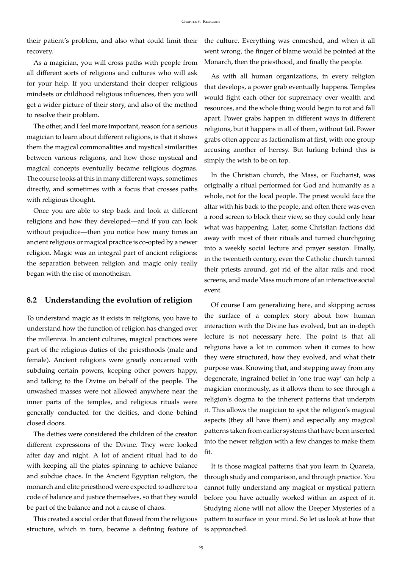their patient's problem, and also what could limit their ) the culture. Everything was enmeshed, and when it all recovery.

As a magician, you will cross paths with people from all different sorts of religions and cultures who will ask for your help. If you understand their deeper religious mindsets or childhood religious influences, then you will get a wider picture of their story, and also of the method to resolve their problem.

The other, and I feel more important, reason for a serious magician to learn about different religions, is that it shows them the magical commonalities and mystical similarities between various religions, and how those mystical and magical concepts eventually became religious dogmas. The course looks at this in many different ways, sometimes directly, and sometimes with a focus that crosses paths with religious thought.

Once you are able to step back and look at different religions and how they developed—and if you can look without prejudice—then you notice how many times an ancient religious or magical practice is co-opted by a newer religion. Magic was an integral part of ancient religions: the separation between religion and magic only really began with the rise of monotheism.

# <span id="page-64-0"></span>**8.2 Understanding the evolution of religion**

To understand magic as it exists in religions, you have to understand how the function of religion has changed over the millennia. In ancient cultures, magical practices were part of the religious duties of the priesthoods (male and female). Ancient religions were greatly concerned with subduing certain powers, keeping other powers happy, and talking to the Divine on behalf of the people. The unwashed masses were not allowed anywhere near the inner parts of the temples, and religious rituals were generally conducted for the deities, and done behind closed doors.

The deities were considered the children of the creator: different expressions of the Divine. They were looked after day and night. A lot of ancient ritual had to do with keeping all the plates spinning to achieve balance and subdue chaos. In the Ancient Egyptian religion, the monarch and elite priesthood were expected to adhere to a code of balance and justice themselves, so that they would be part of the balance and not a cause of chaos.

This created a social order that flowed from the religious structure, which in turn, became a defining feature of went wrong, the finger of blame would be pointed at the Monarch, then the priesthood, and finally the people.

As with all human organizations, in every religion that develops, a power grab eventually happens. Temples would fight each other for supremacy over wealth and resources, and the whole thing would begin to rot and fall apart. Power grabs happen in different ways in different religions, but it happens in all of them, without fail. Power grabs often appear as factionalism at first, with one group accusing another of heresy. But lurking behind this is simply the wish to be on top.

In the Christian church, the Mass, or Eucharist, was originally a ritual performed for God and humanity as a whole, not for the local people. The priest would face the altar with his back to the people, and often there was even a rood screen to block their view, so they could only hear what was happening. Later, some Christian factions did away with most of their rituals and turned churchgoing into a weekly social lecture and prayer session. Finally, in the twentieth century, even the Catholic church turned their priests around, got rid of the altar rails and rood screens, and made Mass much more of an interactive social event.

Of course I am generalizing here, and skipping across the surface of a complex story about how human interaction with the Divine has evolved, but an in-depth lecture is not necessary here. The point is that all religions have a lot in common when it comes to how they were structured, how they evolved, and what their purpose was. Knowing that, and stepping away from any degenerate, ingrained belief in 'one true way' can help a magician enormously, as it allows them to see through a religion's dogma to the inherent patterns that underpin it. This allows the magician to spot the religion's magical aspects (they all have them) and especially any magical patterns taken from earlier systems that have been inserted into the newer religion with a few changes to make them fit.

It is those magical patterns that you learn in Quareia, through study and comparison, and through practice. You cannot fully understand any magical or mystical pattern before you have actually worked within an aspect of it. Studying alone will not allow the Deeper Mysteries of a pattern to surface in your mind. So let us look at how that is approached.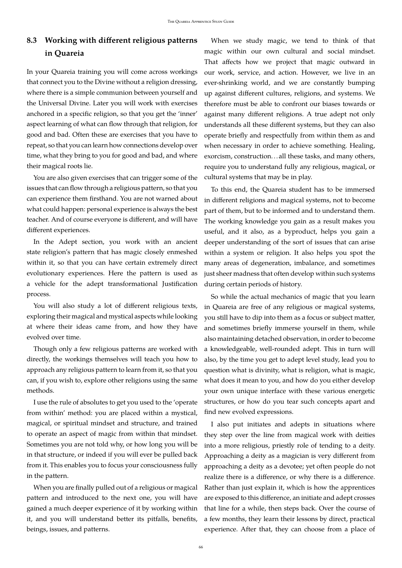# <span id="page-65-0"></span>**8.3 Working with different religious patterns in Quareia**

In your Quareia training you will come across workings that connect you to the Divine without a religion dressing, where there is a simple communion between yourself and the Universal Divine. Later you will work with exercises anchored in a specific religion, so that you get the 'inner' aspect learning of what can flow through that religion, for good and bad. Often these are exercises that you have to repeat, so that you can learn how connections develop over time, what they bring to you for good and bad, and where their magical roots lie.

You are also given exercises that can trigger some of the issues that can flow through a religious pattern, so that you can experience them firsthand. You are not warned about what could happen: personal experience is always the best teacher. And of course everyone is different, and will have different experiences.

In the Adept section, you work with an ancient state religion's pattern that has magic closely enmeshed within it, so that you can have certain extremely direct evolutionary experiences. Here the pattern is used as a vehicle for the adept transformational Justification process.

You will also study a lot of different religious texts, exploring their magical and mystical aspects while looking at where their ideas came from, and how they have evolved over time.

Though only a few religious patterns are worked with directly, the workings themselves will teach you how to approach any religious pattern to learn from it, so that you can, if you wish to, explore other religions using the same methods.

I use the rule of absolutes to get you used to the 'operate from within' method: you are placed within a mystical, magical, or spiritual mindset and structure, and trained to operate an aspect of magic from within that mindset. Sometimes you are not told why, or how long you will be in that structure, or indeed if you will ever be pulled back from it. This enables you to focus your consciousness fully in the pattern.

When you are finally pulled out of a religious or magical pattern and introduced to the next one, you will have gained a much deeper experience of it by working within it, and you will understand better its pitfalls, benefits, beings, issues, and patterns.

When we study magic, we tend to think of that magic within our own cultural and social mindset. That affects how we project that magic outward in our work, service, and action. However, we live in an ever-shrinking world, and we are constantly bumping up against different cultures, religions, and systems. We therefore must be able to confront our biases towards or against many different religions. A true adept not only understands all these different systems, but they can also operate briefly and respectfully from within them as and when necessary in order to achieve something. Healing, exorcism, construction. . . all these tasks, and many others, require you to understand fully any religious, magical, or cultural systems that may be in play.

To this end, the Quareia student has to be immersed in different religions and magical systems, not to become part of them, but to be informed and to understand them. The working knowledge you gain as a result makes you useful, and it also, as a byproduct, helps you gain a deeper understanding of the sort of issues that can arise within a system or religion. It also helps you spot the many areas of degeneration, imbalance, and sometimes just sheer madness that often develop within such systems during certain periods of history.

So while the actual mechanics of magic that you learn in Quareia are free of any religious or magical systems, you still have to dip into them as a focus or subject matter, and sometimes briefly immerse yourself in them, while also maintaining detached observation, in order to become a knowledgeable, well-rounded adept. This in turn will also, by the time you get to adept level study, lead you to question what is divinity, what is religion, what is magic, what does it mean to you, and how do you either develop your own unique interface with these various energetic structures, or how do you tear such concepts apart and find new evolved expressions.

I also put initiates and adepts in situations where they step over the line from magical work with deities into a more religious, priestly role of tending to a deity. Approaching a deity as a magician is very different from approaching a deity as a devotee; yet often people do not realize there is a difference, or why there is a difference. Rather than just explain it, which is how the apprentices are exposed to this difference, an initiate and adept crosses that line for a while, then steps back. Over the course of a few months, they learn their lessons by direct, practical experience. After that, they can choose from a place of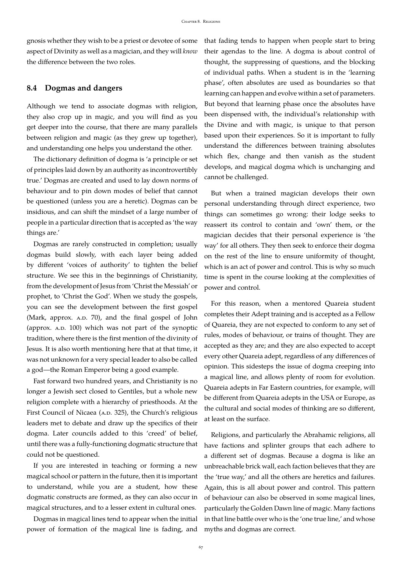gnosis whether they wish to be a priest or devotee of some aspect of Divinity as well as a magician, and they will *know* the difference between the two roles.

#### <span id="page-66-0"></span>**8.4 Dogmas and dangers**

Although we tend to associate dogmas with religion, they also crop up in magic, and you will find as you get deeper into the course, that there are many parallels between religion and magic (as they grew up together), and understanding one helps you understand the other.

The dictionary definition of dogma is 'a principle or set of principles laid down by an authority as incontrovertibly true.' Dogmas are created and used to lay down norms of behaviour and to pin down modes of belief that cannot be questioned (unless you are a heretic). Dogmas can be insidious, and can shift the mindset of a large number of people in a particular direction that is accepted as 'the way things are.'

Dogmas are rarely constructed in completion; usually dogmas build slowly, with each layer being added by different 'voices of authority' to tighten the belief structure. We see this in the beginnings of Christianity, from the development of Jesus from 'Christ the Messiah' or prophet, to 'Christ the God'. When we study the gospels, you can see the development between the first gospel (Mark, approx.  $A.D. 70$ ), and the final gospel of John (approx. A.D. 100) which was not part of the synoptic tradition, where there is the first mention of the divinity of Jesus. It is also worth mentioning here that at that time, it was not unknown for a very special leader to also be called a god—the Roman Emperor being a good example.

Fast forward two hundred years, and Christianity is no longer a Jewish sect closed to Gentiles, but a whole new religion complete with a hierarchy of priesthoods. At the First Council of Nicaea (A.D. 325), the Church's religious leaders met to debate and draw up the specifics of their dogma. Later councils added to this 'creed' of belief, until there was a fully-functioning dogmatic structure that could not be questioned.

If you are interested in teaching or forming a new magical school or pattern in the future, then it is important to understand, while you are a student, how these dogmatic constructs are formed, as they can also occur in magical structures, and to a lesser extent in cultural ones.

Dogmas in magical lines tend to appear when the initial power of formation of the magical line is fading, and that fading tends to happen when people start to bring their agendas to the line. A dogma is about control of thought, the suppressing of questions, and the blocking of individual paths. When a student is in the 'learning phase', often absolutes are used as boundaries so that learning can happen and evolve within a set of parameters. But beyond that learning phase once the absolutes have been dispensed with, the individual's relationship with the Divine and with magic, is unique to that person based upon their experiences. So it is important to fully understand the differences between training absolutes which flex, change and then vanish as the student develops, and magical dogma which is unchanging and cannot be challenged.

But when a trained magician develops their own personal understanding through direct experience, two things can sometimes go wrong: their lodge seeks to reassert its control to contain and 'own' them, or the magician decides that their personal experience is 'the way' for all others. They then seek to enforce their dogma on the rest of the line to ensure uniformity of thought, which is an act of power and control. This is why so much time is spent in the course looking at the complexities of power and control.

For this reason, when a mentored Quareia student completes their Adept training and is accepted as a Fellow of Quareia, they are not expected to conform to any set of rules, modes of behaviour, or trains of thought. They are accepted as they are; and they are also expected to accept every other Quareia adept, regardless of any differences of opinion. This sidesteps the issue of dogma creeping into a magical line, and allows plenty of room for evolution. Quareia adepts in Far Eastern countries, for example, will be different from Quareia adepts in the USA or Europe, as the cultural and social modes of thinking are so different, at least on the surface.

Religions, and particularly the Abrahamic religions, all have factions and splinter groups that each adhere to a different set of dogmas. Because a dogma is like an unbreachable brick wall, each faction believes that they are the 'true way,' and all the others are heretics and failures. Again, this is all about power and control. This pattern of behaviour can also be observed in some magical lines, particularly the Golden Dawn line of magic. Many factions in that line battle over who is the 'one true line,' and whose myths and dogmas are correct.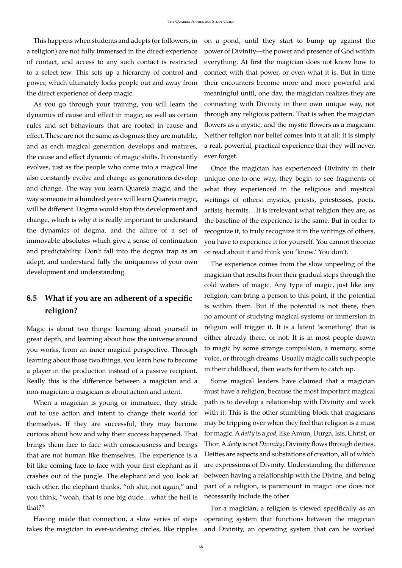This happens when students and adepts (or followers, in a religion) are not fully immersed in the direct experience of contact, and access to any such contact is restricted to a select few. This sets up a hierarchy of control and power, which ultimately locks people out and away from the direct experience of deep magic.

As you go through your training, you will learn the dynamics of cause and effect in magic, as well as certain rules and set behaviours that are rooted in cause and effect. These are not the same as dogmas: they are mutable, and as each magical generation develops and matures, the cause and effect dynamic of magic shifts. It constantly evolves, just as the people who come into a magical line also constantly evolve and change as generations develop and change. The way you learn Quareia magic, and the way someone in a hundred years will learn Quareia magic, will be different. Dogma would stop this development and change, which is why it is really important to understand the dynamics of dogma, and the allure of a set of immovable absolutes which give a sense of continuation and predictability. Don't fall into the dogma trap as an adept, and understand fully the uniqueness of your own development and understanding.

# <span id="page-67-0"></span>**8.5 What if you are an adherent of a specific religion?**

Magic is about two things: learning about yourself in great depth, and learning about how the universe around you works, from an inner magical perspective. Through learning about those two things, you learn how to become a player in the production instead of a passive recipient. Really this is the difference between a magician and a non-magician: a magician is about action and intent.

When a magician is young or immature, they stride out to use action and intent to change their world for themselves. If they are successful, they may become curious about how and why their success happened. That brings them face to face with consciousness and beings that are not human like themselves. The experience is a bit like coming face to face with your first elephant as it crashes out of the jungle. The elephant and you look at each other, the elephant thinks, "oh shit, not again," and you think, "woah, that is one big dude...what the hell is that?"

Having made that connection, a slow series of steps takes the magician in ever-widening circles, like ripples

on a pond, until they start to bump up against the power of Divinity—the power and presence of God within everything. At first the magician does not know how to connect with that power, or even what it is. But in time their encounters become more and more powerful and meaningful until, one day, the magician realizes they are connecting with Divinity in their own unique way, not through any religious pattern. That is when the magician flowers as a mystic, and the mystic flowers as a magician. Neither religion nor belief comes into it at all: it is simply a real, powerful, practical experience that they will never, ever forget.

Once the magician has experienced Divinity in their unique one-to-one way, they begin to see fragments of what they experienced in the religious and mystical writings of others: mystics, priests, priestesses, poets, artists, hermits. . . It is irrelevant what religion they are, as the baseline of the experience is the same. But in order to recognize it, to truly recognize it in the writings of others, you have to experience it for yourself. You cannot theorize or read about it and think you 'know.' You don't.

The experience comes from the slow unpeeling of the magician that results from their gradual steps through the cold waters of magic. Any type of magic, just like any religion, can bring a person to this point, if the potential is within them. But if the potential is not there, then no amount of studying magical systems or immersion in religion will trigger it. It is a latent 'something' that is either already there, or not. It is in most people drawn to magic by some strange compulsion, a memory, some voice, or through dreams. Usually magic calls such people in their childhood, then waits for them to catch up.

Some magical leaders have claimed that a magician must have a religion, because the most important magical path is to develop a relationship with Divinity and work with it. This is the other stumbling block that magicians may be tripping over when they feel that religion is a must for magic. A *deity* is a *god*, like Amun, Durga, Isis, Christ, or Thor. A *deity* is not *Divinity*; Divinity flows through deities. Deities are aspects and substations of creation, all of which are expressions of Divinity. Understanding the difference between having a relationship with the Divine, and being part of a religion, is paramount in magic: one does not necessarily include the other.

For a magician, a religion is viewed specifically as an operating system that functions between the magician and Divinity, an operating system that can be worked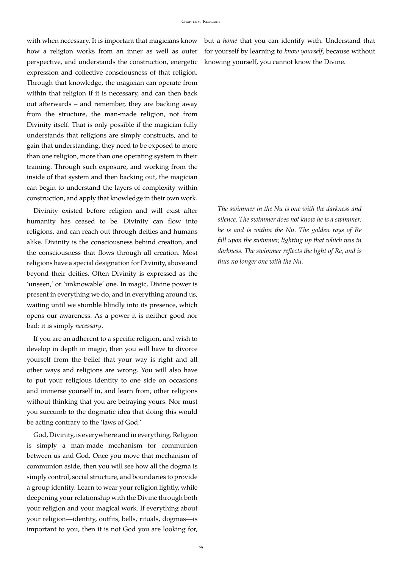with when necessary. It is important that magicians know how a religion works from an inner as well as outer perspective, and understands the construction, energetic expression and collective consciousness of that religion. Through that knowledge, the magician can operate from within that religion if it is necessary, and can then back out afterwards – and remember, they are backing away from the structure, the man-made religion, not from Divinity itself. That is only possible if the magician fully understands that religions are simply constructs, and to gain that understanding, they need to be exposed to more than one religion, more than one operating system in their training. Through such exposure, and working from the inside of that system and then backing out, the magician can begin to understand the layers of complexity within construction, and apply that knowledge in their own work.

Divinity existed before religion and will exist after humanity has ceased to be. Divinity can flow into religions, and can reach out through deities and humans alike. Divinity is the consciousness behind creation, and the consciousness that flows through all creation. Most religions have a special designation for Divinity, above and beyond their deities. Often Divinity is expressed as the 'unseen,' or 'unknowable' one. In magic, Divine power is present in everything we do, and in everything around us, waiting until we stumble blindly into its presence, which opens our awareness. As a power it is neither good nor bad: it is simply *necessary*.

If you are an adherent to a specific religion, and wish to develop in depth in magic, then you will have to divorce yourself from the belief that your way is right and all other ways and religions are wrong. You will also have to put your religious identity to one side on occasions and immerse yourself in, and learn from, other religions without thinking that you are betraying yours. Nor must you succumb to the dogmatic idea that doing this would be acting contrary to the 'laws of God.'

God, Divinity, is everywhere and in everything. Religion is simply a man-made mechanism for communion between us and God. Once you move that mechanism of communion aside, then you will see how all the dogma is simply control, social structure, and boundaries to provide a group identity. Learn to wear your religion lightly, while deepening your relationship with the Divine through both your religion and your magical work. If everything about your religion—identity, outfits, bells, rituals, dogmas—is important to you, then it is not God you are looking for,

but a *home* that you can identify with. Understand that for yourself by learning to *know yourself*, because without knowing yourself, you cannot know the Divine.

*The swimmer in the Nu is one with the darkness and silence. The swimmer does not know he is a swimmer: he is and is within the Nu. The golden rays of Re fall upon the swimmer, lighting up that which was in darkness. The swimmer reflects the light of Re, and is thus no longer one with the Nu.*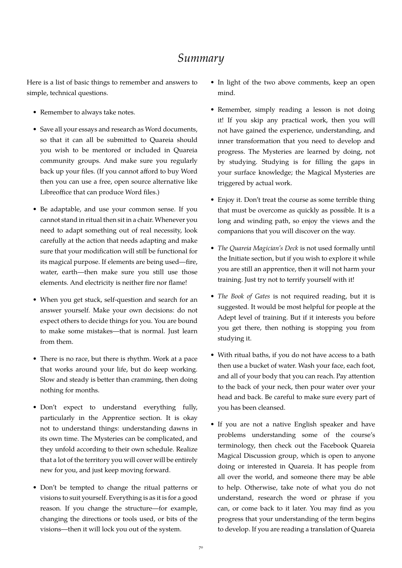# *Summary*

<span id="page-69-0"></span>Here is a list of basic things to remember and answers to simple, technical questions.

- Remember to always take notes.
- Save all your essays and research as Word documents, so that it can all be submitted to Quareia should you wish to be mentored or included in Quareia community groups. And make sure you regularly back up your files. (If you cannot afford to buy Word then you can use a free, open source alternative like Libreoffice that can produce Word files.)
- Be adaptable, and use your common sense. If you cannot stand in ritual then sit in a chair. Whenever you need to adapt something out of real necessity, look carefully at the action that needs adapting and make sure that your modification will still be functional for its magical purpose. If elements are being used—fire, water, earth—then make sure you still use those elements. And electricity is neither fire nor flame!
- When you get stuck, self-question and search for an answer yourself. Make your own decisions: do not expect others to decide things for you. You are bound to make some mistakes—that is normal. Just learn from them.
- There is no race, but there is rhythm. Work at a pace that works around your life, but do keep working. Slow and steady is better than cramming, then doing nothing for months.
- Don't expect to understand everything fully, particularly in the Apprentice section. It is okay not to understand things: understanding dawns in its own time. The Mysteries can be complicated, and they unfold according to their own schedule. Realize that a lot of the territory you will cover will be entirely new for you, and just keep moving forward.
- Don't be tempted to change the ritual patterns or visions to suit yourself. Everything is as it is for a good reason. If you change the structure—for example, changing the directions or tools used, or bits of the visions—then it will lock you out of the system.
- In light of the two above comments, keep an open mind.
- Remember, simply reading a lesson is not doing it! If you skip any practical work, then you will not have gained the experience, understanding, and inner transformation that you need to develop and progress. The Mysteries are learned by doing, not by studying. Studying is for filling the gaps in your surface knowledge; the Magical Mysteries are triggered by actual work.
- Enjoy it. Don't treat the course as some terrible thing that must be overcome as quickly as possible. It is a long and winding path, so enjoy the views and the companions that you will discover on the way.
- *The Quareia Magician's Deck* is not used formally until the Initiate section, but if you wish to explore it while you are still an apprentice, then it will not harm your training. Just try not to terrify yourself with it!
- *The Book of Gates* is not required reading, but it is suggested. It would be most helpful for people at the Adept level of training. But if it interests you before you get there, then nothing is stopping you from studying it.
- With ritual baths, if you do not have access to a bath then use a bucket of water. Wash your face, each foot, and all of your body that you can reach. Pay attention to the back of your neck, then pour water over your head and back. Be careful to make sure every part of you has been cleansed.
- If you are not a native English speaker and have problems understanding some of the course's terminology, then check out the Facebook Quareia Magical Discussion group, which is open to anyone doing or interested in Quareia. It has people from all over the world, and someone there may be able to help. Otherwise, take note of what you do not understand, research the word or phrase if you can, or come back to it later. You may find as you progress that your understanding of the term begins to develop. If you are reading a translation of Quareia